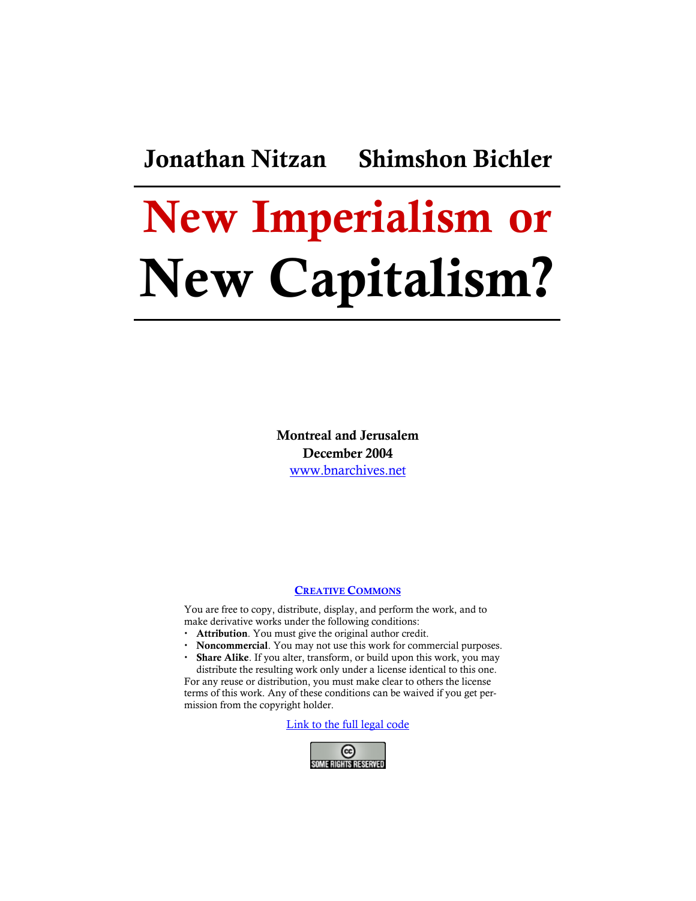# New Imperialism or New Capitalism?

Montreal and Jerusalem December 2004 [www.bnarchives.net](http://www.bnarchives.net/)

# [CREATIVE COMMONS](http://creativecommons.org/licenses/by-nc-sa/2.0/)

You are free to copy, distribute, display, and perform the work, and to make derivative works under the following conditions:

- Attribution. You must give the original author credit.
- **Noncommercial**. You may not use this work for commercial purposes.<br>• **Share Alike** If you alter transform or build upon this work, you may
- Share Alike. If you alter, transform, or build upon this work, you may distribute the resulting work only under a license identical to this one.

For any reuse or distribution, you must make clear to others the license terms of this work. Any of these conditions can be waived if you get permission from the copyright holder.

[Link to the full legal code](http://creativecommons.org/licenses/by-nc-sa/2.0/legalcode)

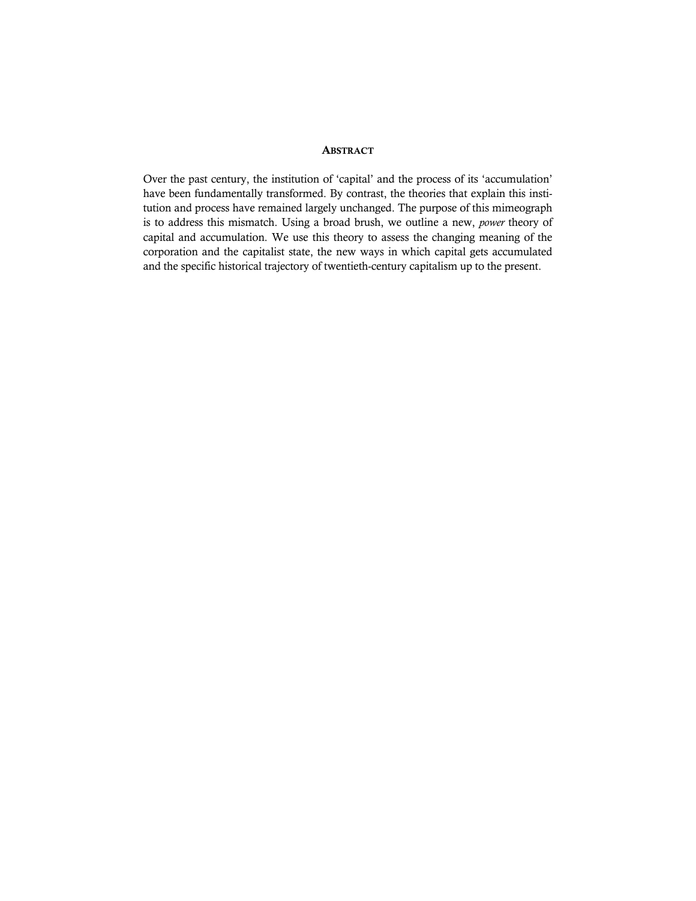# **ABSTRACT**

Over the past century, the institution of 'capital' and the process of its 'accumulation' have been fundamentally transformed. By contrast, the theories that explain this institution and process have remained largely unchanged. The purpose of this mimeograph is to address this mismatch. Using a broad brush, we outline a new, *power* theory of capital and accumulation. We use this theory to assess the changing meaning of the corporation and the capitalist state, the new ways in which capital gets accumulated and the specific historical trajectory of twentieth-century capitalism up to the present.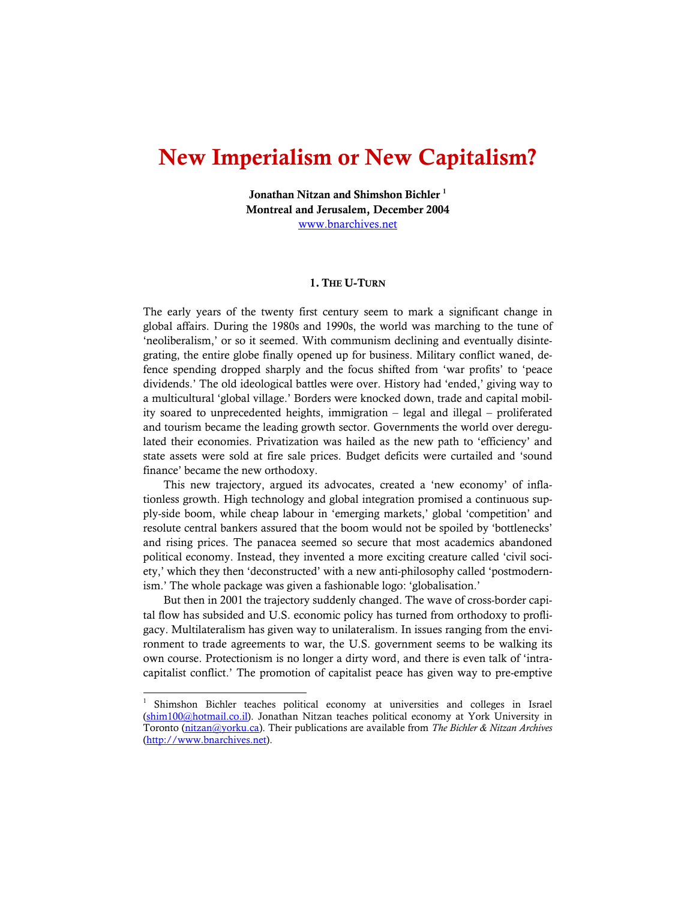# New Imperialism or New Capitalism?

Jonathan Nitzan and Shimshon Bichler<sup>[1](#page-2-0)</sup> Montreal and Jerusalem, December 2004 [www.bnarchives.net](http://www.bnarchives.net/)

# 1. THE U-TURN

The early years of the twenty first century seem to mark a significant change in global affairs. During the 1980s and 1990s, the world was marching to the tune of 'neoliberalism,' or so it seemed. With communism declining and eventually disintegrating, the entire globe finally opened up for business. Military conflict waned, defence spending dropped sharply and the focus shifted from 'war profits' to 'peace dividends.' The old ideological battles were over. History had 'ended,' giving way to a multicultural 'global village.' Borders were knocked down, trade and capital mobility soared to unprecedented heights, immigration – legal and illegal – proliferated and tourism became the leading growth sector. Governments the world over deregulated their economies. Privatization was hailed as the new path to 'efficiency' and state assets were sold at fire sale prices. Budget deficits were curtailed and 'sound finance' became the new orthodoxy.

This new trajectory, argued its advocates, created a 'new economy' of inflationless growth. High technology and global integration promised a continuous supply-side boom, while cheap labour in 'emerging markets,' global 'competition' and resolute central bankers assured that the boom would not be spoiled by 'bottlenecks' and rising prices. The panacea seemed so secure that most academics abandoned political economy. Instead, they invented a more exciting creature called 'civil society,' which they then 'deconstructed' with a new anti-philosophy called 'postmodernism.' The whole package was given a fashionable logo: 'globalisation.'

But then in 2001 the trajectory suddenly changed. The wave of cross-border capital flow has subsided and U.S. economic policy has turned from orthodoxy to profligacy. Multilateralism has given way to unilateralism. In issues ranging from the environment to trade agreements to war, the U.S. government seems to be walking its own course. Protectionism is no longer a dirty word, and there is even talk of 'intracapitalist conflict.' The promotion of capitalist peace has given way to pre-emptive

 $\overline{a}$ 

<span id="page-2-0"></span><sup>1</sup> Shimshon Bichler teaches political economy at universities and colleges in Israel ([shim100@hotmail.co.il\)](mailto:shim100@hotmail.co.il). Jonathan Nitzan teaches political economy at York University in Toronto ([nitzan@yorku.ca](mailto:nitzan@yorku.ca)). Their publications are available from *The Bichler & Nitzan Archives* ([http://www.bnarchives.net](http://www.bnarchives.net/)).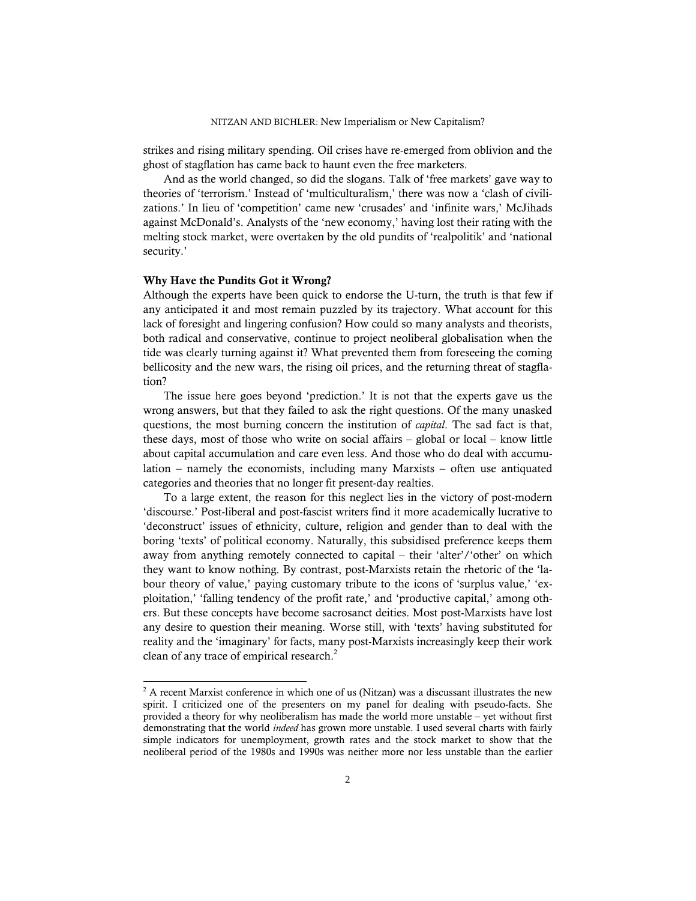strikes and rising military spending. Oil crises have re-emerged from oblivion and the ghost of stagflation has came back to haunt even the free marketers.

And as the world changed, so did the slogans. Talk of 'free markets' gave way to theories of 'terrorism.' Instead of 'multiculturalism,' there was now a 'clash of civilizations.' In lieu of 'competition' came new 'crusades' and 'infinite wars,' McJihads against McDonald's. Analysts of the 'new economy,' having lost their rating with the melting stock market, were overtaken by the old pundits of 'realpolitik' and 'national security.'

# Why Have the Pundits Got it Wrong?

 $\overline{a}$ 

Although the experts have been quick to endorse the U-turn, the truth is that few if any anticipated it and most remain puzzled by its trajectory. What account for this lack of foresight and lingering confusion? How could so many analysts and theorists, both radical and conservative, continue to project neoliberal globalisation when the tide was clearly turning against it? What prevented them from foreseeing the coming bellicosity and the new wars, the rising oil prices, and the returning threat of stagflation?

The issue here goes beyond 'prediction.' It is not that the experts gave us the wrong answers, but that they failed to ask the right questions. Of the many unasked questions, the most burning concern the institution of *capital*. The sad fact is that, these days, most of those who write on social affairs – global or local – know little about capital accumulation and care even less. And those who do deal with accumulation – namely the economists, including many Marxists – often use antiquated categories and theories that no longer fit present-day realties.

To a large extent, the reason for this neglect lies in the victory of post-modern 'discourse.' Post-liberal and post-fascist writers find it more academically lucrative to 'deconstruct' issues of ethnicity, culture, religion and gender than to deal with the boring 'texts' of political economy. Naturally, this subsidised preference keeps them away from anything remotely connected to capital – their 'alter'/'other' on which they want to know nothing. By contrast, post-Marxists retain the rhetoric of the 'labour theory of value,' paying customary tribute to the icons of 'surplus value,' 'exploitation,' 'falling tendency of the profit rate,' and 'productive capital,' among others. But these concepts have become sacrosanct deities. Most post-Marxists have lost any desire to question their meaning. Worse still, with 'texts' having substituted for reality and the 'imaginary' for facts, many post-Marxists increasingly keep their work clean of any trace of empirical research. $2$ 

<span id="page-3-0"></span> $2^2$  A recent Marxist conference in which one of us (Nitzan) was a discussant illustrates the new spirit. I criticized one of the presenters on my panel for dealing with pseudo-facts. She provided a theory for why neoliberalism has made the world more unstable – yet without first demonstrating that the world *indeed* has grown more unstable. I used several charts with fairly simple indicators for unemployment, growth rates and the stock market to show that the neoliberal period of the 1980s and 1990s was neither more nor less unstable than the earlier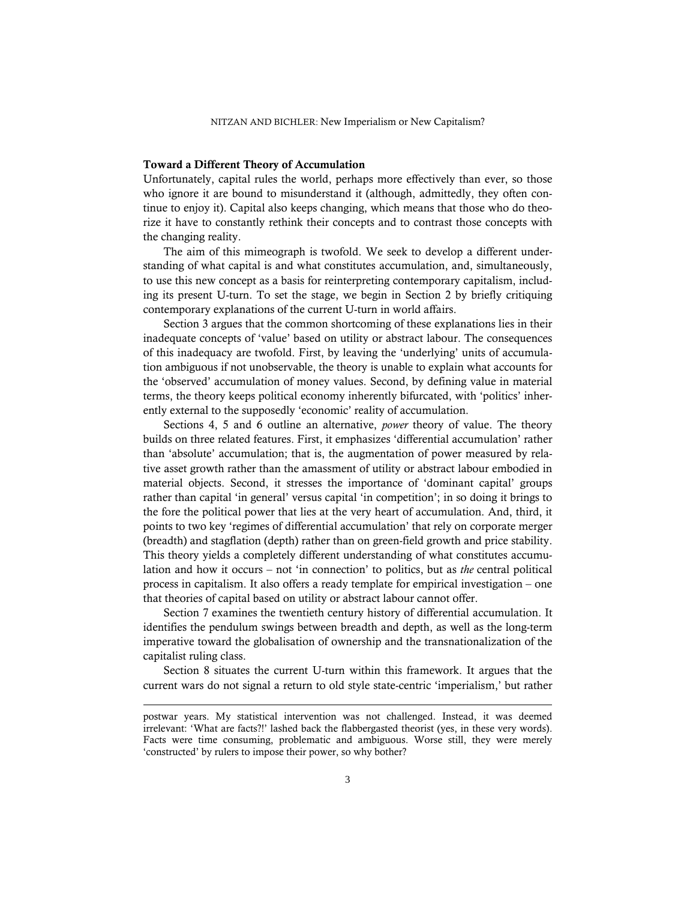# Toward a Different Theory of Accumulation

Unfortunately, capital rules the world, perhaps more effectively than ever, so those who ignore it are bound to misunderstand it (although, admittedly, they often continue to enjoy it). Capital also keeps changing, which means that those who do theorize it have to constantly rethink their concepts and to contrast those concepts with the changing reality.

The aim of this mimeograph is twofold. We seek to develop a different understanding of what capital is and what constitutes accumulation, and, simultaneously, to use this new concept as a basis for reinterpreting contemporary capitalism, including its present U-turn. To set the stage, we begin in Section 2 by briefly critiquing contemporary explanations of the current U-turn in world affairs.

Section 3 argues that the common shortcoming of these explanations lies in their inadequate concepts of 'value' based on utility or abstract labour. The consequences of this inadequacy are twofold. First, by leaving the 'underlying' units of accumulation ambiguous if not unobservable, the theory is unable to explain what accounts for the 'observed' accumulation of money values. Second, by defining value in material terms, the theory keeps political economy inherently bifurcated, with 'politics' inherently external to the supposedly 'economic' reality of accumulation.

Sections 4, 5 and 6 outline an alternative, *power* theory of value. The theory builds on three related features. First, it emphasizes 'differential accumulation' rather than 'absolute' accumulation; that is, the augmentation of power measured by relative asset growth rather than the amassment of utility or abstract labour embodied in material objects. Second, it stresses the importance of 'dominant capital' groups rather than capital 'in general' versus capital 'in competition'; in so doing it brings to the fore the political power that lies at the very heart of accumulation. And, third, it points to two key 'regimes of differential accumulation' that rely on corporate merger (breadth) and stagflation (depth) rather than on green-field growth and price stability. This theory yields a completely different understanding of what constitutes accumulation and how it occurs – not 'in connection' to politics, but as *the* central political process in capitalism. It also offers a ready template for empirical investigation – one that theories of capital based on utility or abstract labour cannot offer.

Section 7 examines the twentieth century history of differential accumulation. It identifies the pendulum swings between breadth and depth, as well as the long-term imperative toward the globalisation of ownership and the transnationalization of the capitalist ruling class.

Section 8 situates the current U-turn within this framework. It argues that the current wars do not signal a return to old style state-centric 'imperialism,' but rather

 $\overline{a}$ 

postwar years. My statistical intervention was not challenged. Instead, it was deemed irrelevant: 'What are facts?!' lashed back the flabbergasted theorist (yes, in these very words). Facts were time consuming, problematic and ambiguous. Worse still, they were merely 'constructed' by rulers to impose their power, so why bother?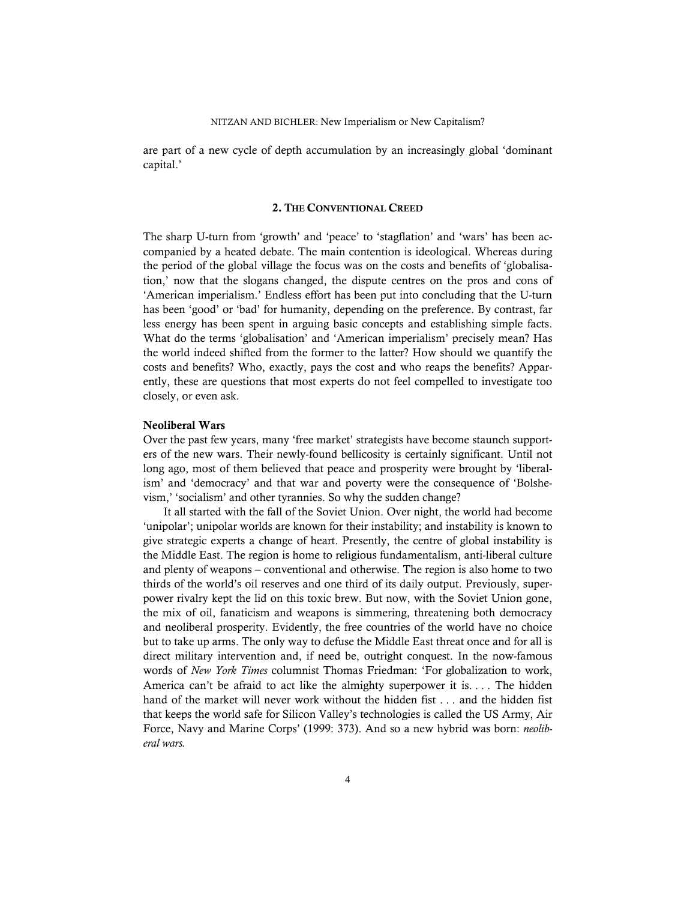are part of a new cycle of depth accumulation by an increasingly global 'dominant capital.'

# 2. THE CONVENTIONAL CREED

The sharp U-turn from 'growth' and 'peace' to 'stagflation' and 'wars' has been accompanied by a heated debate. The main contention is ideological. Whereas during the period of the global village the focus was on the costs and benefits of 'globalisation,' now that the slogans changed, the dispute centres on the pros and cons of 'American imperialism.' Endless effort has been put into concluding that the U-turn has been 'good' or 'bad' for humanity, depending on the preference. By contrast, far less energy has been spent in arguing basic concepts and establishing simple facts. What do the terms 'globalisation' and 'American imperialism' precisely mean? Has the world indeed shifted from the former to the latter? How should we quantify the costs and benefits? Who, exactly, pays the cost and who reaps the benefits? Apparently, these are questions that most experts do not feel compelled to investigate too closely, or even ask.

# Neoliberal Wars

Over the past few years, many 'free market' strategists have become staunch supporters of the new wars. Their newly-found bellicosity is certainly significant. Until not long ago, most of them believed that peace and prosperity were brought by 'liberalism' and 'democracy' and that war and poverty were the consequence of 'Bolshevism,' 'socialism' and other tyrannies. So why the sudden change?

It all started with the fall of the Soviet Union. Over night, the world had become 'unipolar'; unipolar worlds are known for their instability; and instability is known to give strategic experts a change of heart. Presently, the centre of global instability is the Middle East. The region is home to religious fundamentalism, anti-liberal culture and plenty of weapons – conventional and otherwise. The region is also home to two thirds of the world's oil reserves and one third of its daily output. Previously, superpower rivalry kept the lid on this toxic brew. But now, with the Soviet Union gone, the mix of oil, fanaticism and weapons is simmering, threatening both democracy and neoliberal prosperity. Evidently, the free countries of the world have no choice but to take up arms. The only way to defuse the Middle East threat once and for all is direct military intervention and, if need be, outright conquest. In the now-famous words of *New York Times* columnist Thomas Friedman: 'For globalization to work, America can't be afraid to act like the almighty superpower it is. . . . The hidden hand of the market will never work without the hidden fist . . . and the hidden fist that keeps the world safe for Silicon Valley's technologies is called the US Army, Air Force, Navy and Marine Corps' (1999: 373). And so a new hybrid was born: *neoliberal wars.*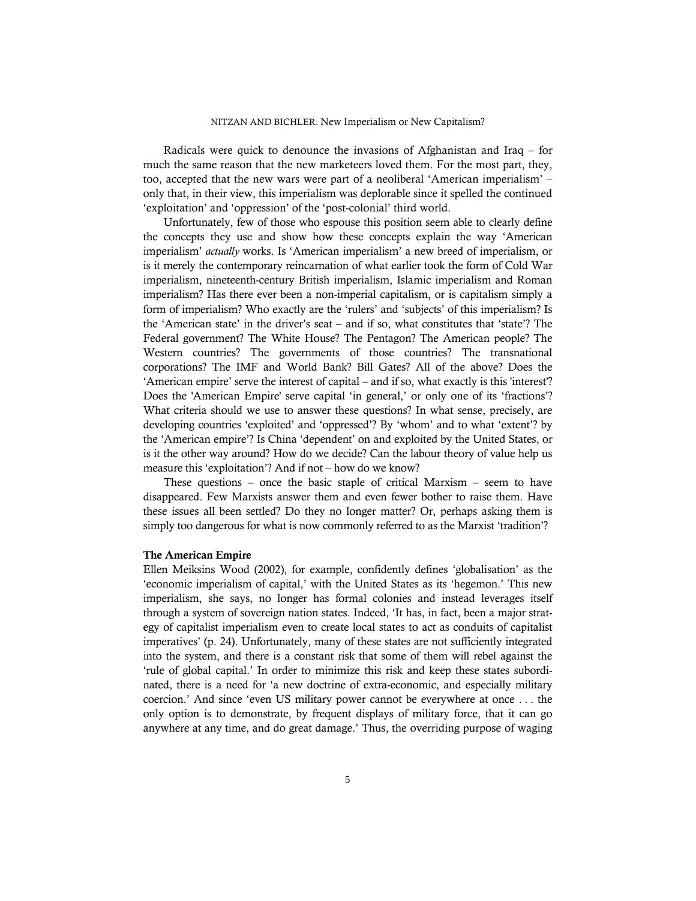Radicals were quick to denounce the invasions of Afghanistan and Iraq – for much the same reason that the new marketeers loved them. For the most part, they, too, accepted that the new wars were part of a neoliberal 'American imperialism' – only that, in their view, this imperialism was deplorable since it spelled the continued 'exploitation' and 'oppression' of the 'post-colonial' third world.

Unfortunately, few of those who espouse this position seem able to clearly define the concepts they use and show how these concepts explain the way 'American imperialism' *actually* works. Is 'American imperialism' a new breed of imperialism, or is it merely the contemporary reincarnation of what earlier took the form of Cold War imperialism, nineteenth-century British imperialism, Islamic imperialism and Roman imperialism? Has there ever been a non-imperial capitalism, or is capitalism simply a form of imperialism? Who exactly are the 'rulers' and 'subjects' of this imperialism? Is the 'American state' in the driver's seat – and if so, what constitutes that 'state'? The Federal government? The White House? The Pentagon? The American people? The Western countries? The governments of those countries? The transnational corporations? The IMF and World Bank? Bill Gates? All of the above? Does the 'American empire' serve the interest of capital – and if so, what exactly is this 'interest'? Does the 'American Empire' serve capital 'in general,' or only one of its 'fractions'? What criteria should we use to answer these questions? In what sense, precisely, are developing countries 'exploited' and 'oppressed'? By 'whom' and to what 'extent'? by the 'American empire'? Is China 'dependent' on and exploited by the United States, or is it the other way around? How do we decide? Can the labour theory of value help us measure this 'exploitation'? And if not – how do we know?

These questions – once the basic staple of critical Marxism – seem to have disappeared. Few Marxists answer them and even fewer bother to raise them. Have these issues all been settled? Do they no longer matter? Or, perhaps asking them is simply too dangerous for what is now commonly referred to as the Marxist 'tradition'?

#### The American Empire

Ellen Meiksins Wood (2002), for example, confidently defines 'globalisation' as the 'economic imperialism of capital,' with the United States as its 'hegemon.' This new imperialism, she says, no longer has formal colonies and instead leverages itself through a system of sovereign nation states. Indeed, 'It has, in fact, been a major strategy of capitalist imperialism even to create local states to act as conduits of capitalist imperatives' (p. 24). Unfortunately, many of these states are not sufficiently integrated into the system, and there is a constant risk that some of them will rebel against the 'rule of global capital.' In order to minimize this risk and keep these states subordinated, there is a need for 'a new doctrine of extra-economic, and especially military coercion.' And since 'even US military power cannot be everywhere at once . . . the only option is to demonstrate, by frequent displays of military force, that it can go anywhere at any time, and do great damage.' Thus, the overriding purpose of waging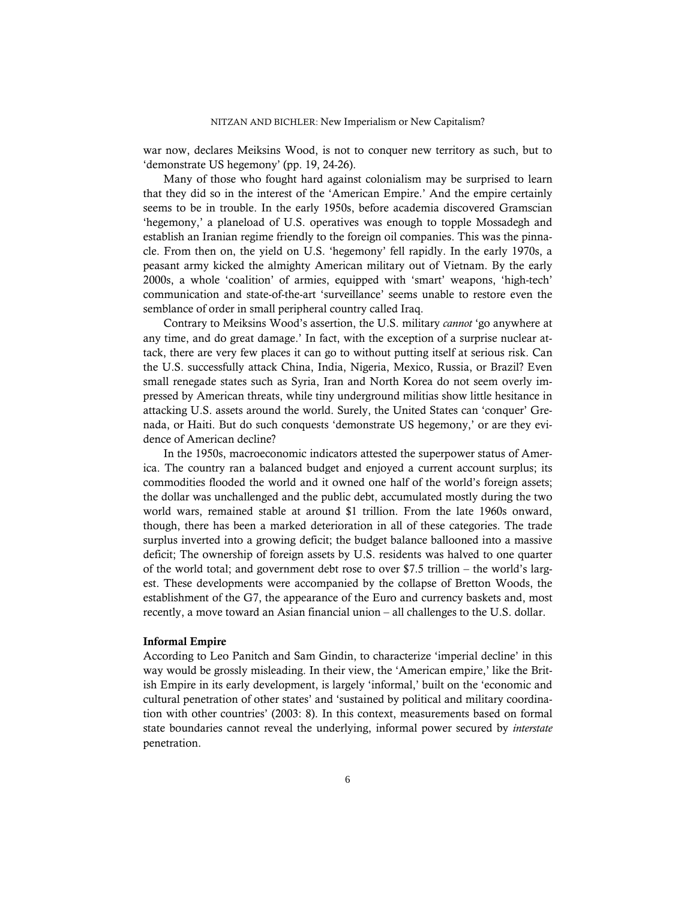war now, declares Meiksins Wood, is not to conquer new territory as such, but to 'demonstrate US hegemony' (pp. 19, 24-26).

Many of those who fought hard against colonialism may be surprised to learn that they did so in the interest of the 'American Empire.' And the empire certainly seems to be in trouble. In the early 1950s, before academia discovered Gramscian 'hegemony,' a planeload of U.S. operatives was enough to topple Mossadegh and establish an Iranian regime friendly to the foreign oil companies. This was the pinnacle. From then on, the yield on U.S. 'hegemony' fell rapidly. In the early 1970s, a peasant army kicked the almighty American military out of Vietnam. By the early 2000s, a whole 'coalition' of armies, equipped with 'smart' weapons, 'high-tech' communication and state-of-the-art 'surveillance' seems unable to restore even the semblance of order in small peripheral country called Iraq.

Contrary to Meiksins Wood's assertion, the U.S. military *cannot* 'go anywhere at any time, and do great damage.' In fact, with the exception of a surprise nuclear attack, there are very few places it can go to without putting itself at serious risk. Can the U.S. successfully attack China, India, Nigeria, Mexico, Russia, or Brazil? Even small renegade states such as Syria, Iran and North Korea do not seem overly impressed by American threats, while tiny underground militias show little hesitance in attacking U.S. assets around the world. Surely, the United States can 'conquer' Grenada, or Haiti. But do such conquests 'demonstrate US hegemony,' or are they evidence of American decline?

In the 1950s, macroeconomic indicators attested the superpower status of America. The country ran a balanced budget and enjoyed a current account surplus; its commodities flooded the world and it owned one half of the world's foreign assets; the dollar was unchallenged and the public debt, accumulated mostly during the two world wars, remained stable at around \$1 trillion. From the late 1960s onward, though, there has been a marked deterioration in all of these categories. The trade surplus inverted into a growing deficit; the budget balance ballooned into a massive deficit; The ownership of foreign assets by U.S. residents was halved to one quarter of the world total; and government debt rose to over \$7.5 trillion – the world's largest. These developments were accompanied by the collapse of Bretton Woods, the establishment of the G7, the appearance of the Euro and currency baskets and, most recently, a move toward an Asian financial union – all challenges to the U.S. dollar.

# Informal Empire

According to Leo Panitch and Sam Gindin, to characterize 'imperial decline' in this way would be grossly misleading. In their view, the 'American empire,' like the British Empire in its early development, is largely 'informal,' built on the 'economic and cultural penetration of other states' and 'sustained by political and military coordination with other countries' (2003: 8). In this context, measurements based on formal state boundaries cannot reveal the underlying, informal power secured by *interstate* penetration.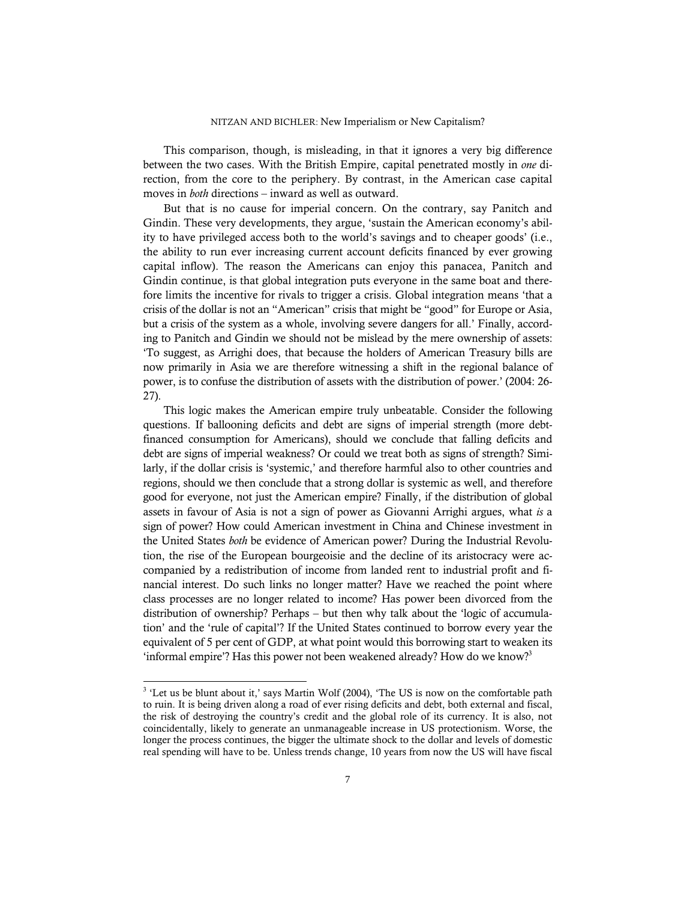This comparison, though, is misleading, in that it ignores a very big difference between the two cases. With the British Empire, capital penetrated mostly in *one* direction, from the core to the periphery. By contrast, in the American case capital moves in *both* directions – inward as well as outward.

But that is no cause for imperial concern. On the contrary, say Panitch and Gindin. These very developments, they argue, 'sustain the American economy's ability to have privileged access both to the world's savings and to cheaper goods' (i.e., the ability to run ever increasing current account deficits financed by ever growing capital inflow). The reason the Americans can enjoy this panacea, Panitch and Gindin continue, is that global integration puts everyone in the same boat and therefore limits the incentive for rivals to trigger a crisis. Global integration means 'that a crisis of the dollar is not an "American" crisis that might be "good" for Europe or Asia, but a crisis of the system as a whole, involving severe dangers for all.' Finally, according to Panitch and Gindin we should not be mislead by the mere ownership of assets: 'To suggest, as Arrighi does, that because the holders of American Treasury bills are now primarily in Asia we are therefore witnessing a shift in the regional balance of power, is to confuse the distribution of assets with the distribution of power.' (2004: 26- 27).

This logic makes the American empire truly unbeatable. Consider the following questions. If ballooning deficits and debt are signs of imperial strength (more debtfinanced consumption for Americans), should we conclude that falling deficits and debt are signs of imperial weakness? Or could we treat both as signs of strength? Similarly, if the dollar crisis is 'systemic,' and therefore harmful also to other countries and regions, should we then conclude that a strong dollar is systemic as well, and therefore good for everyone, not just the American empire? Finally, if the distribution of global assets in favour of Asia is not a sign of power as Giovanni Arrighi argues, what *is* a sign of power? How could American investment in China and Chinese investment in the United States *both* be evidence of American power? During the Industrial Revolution, the rise of the European bourgeoisie and the decline of its aristocracy were accompanied by a redistribution of income from landed rent to industrial profit and financial interest. Do such links no longer matter? Have we reached the point where class processes are no longer related to income? Has power been divorced from the distribution of ownership? Perhaps – but then why talk about the 'logic of accumulation' and the 'rule of capital'? If the United States continued to borrow every year the equivalent of 5 per cent of GDP, at what point would this borrowing start to weaken its 'informal empire'? Has this power not been weakened already? How do we know[?3](#page-8-0)

1

<span id="page-8-0"></span> $3$  'Let us be blunt about it,' says Martin Wolf (2004), 'The US is now on the comfortable path to ruin. It is being driven along a road of ever rising deficits and debt, both external and fiscal, the risk of destroying the country's credit and the global role of its currency. It is also, not coincidentally, likely to generate an unmanageable increase in US protectionism. Worse, the longer the process continues, the bigger the ultimate shock to the dollar and levels of domestic real spending will have to be. Unless trends change, 10 years from now the US will have fiscal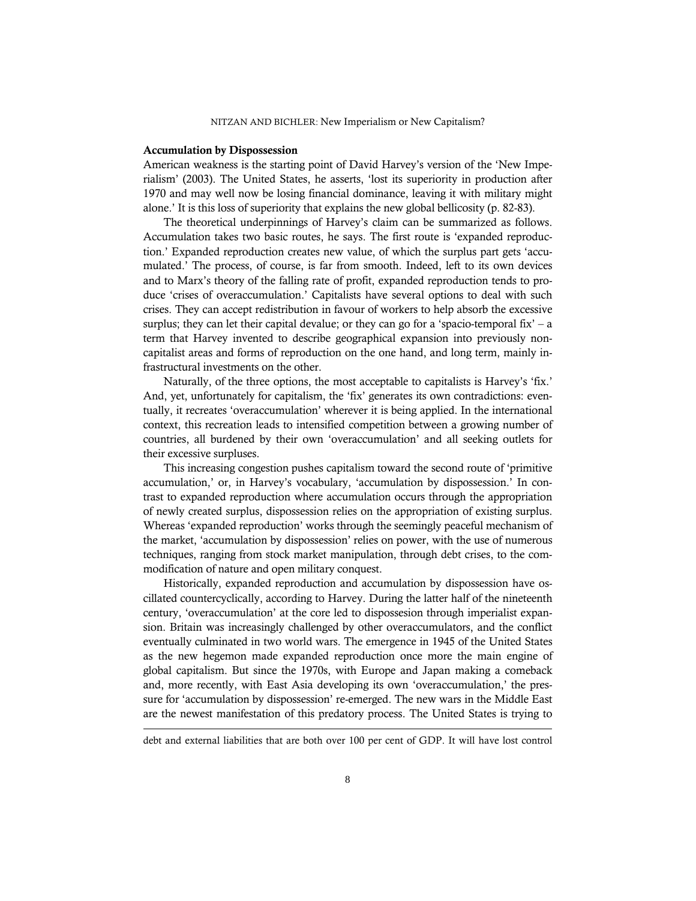#### Accumulation by Dispossession

-

American weakness is the starting point of David Harvey's version of the 'New Imperialism' (2003). The United States, he asserts, 'lost its superiority in production after 1970 and may well now be losing financial dominance, leaving it with military might alone.' It is this loss of superiority that explains the new global bellicosity (p. 82-83).

The theoretical underpinnings of Harvey's claim can be summarized as follows. Accumulation takes two basic routes, he says. The first route is 'expanded reproduction.' Expanded reproduction creates new value, of which the surplus part gets 'accumulated.' The process, of course, is far from smooth. Indeed, left to its own devices and to Marx's theory of the falling rate of profit, expanded reproduction tends to produce 'crises of overaccumulation.' Capitalists have several options to deal with such crises. They can accept redistribution in favour of workers to help absorb the excessive surplus; they can let their capital devalue; or they can go for a 'spacio-temporal fix' – a term that Harvey invented to describe geographical expansion into previously noncapitalist areas and forms of reproduction on the one hand, and long term, mainly infrastructural investments on the other.

Naturally, of the three options, the most acceptable to capitalists is Harvey's 'fix.' And, yet, unfortunately for capitalism, the 'fix' generates its own contradictions: eventually, it recreates 'overaccumulation' wherever it is being applied. In the international context, this recreation leads to intensified competition between a growing number of countries, all burdened by their own 'overaccumulation' and all seeking outlets for their excessive surpluses.

This increasing congestion pushes capitalism toward the second route of 'primitive accumulation,' or, in Harvey's vocabulary, 'accumulation by dispossession.' In contrast to expanded reproduction where accumulation occurs through the appropriation of newly created surplus, dispossession relies on the appropriation of existing surplus. Whereas 'expanded reproduction' works through the seemingly peaceful mechanism of the market, 'accumulation by dispossession' relies on power, with the use of numerous techniques, ranging from stock market manipulation, through debt crises, to the commodification of nature and open military conquest.

Historically, expanded reproduction and accumulation by dispossession have oscillated countercyclically, according to Harvey. During the latter half of the nineteenth century, 'overaccumulation' at the core led to dispossesion through imperialist expansion. Britain was increasingly challenged by other overaccumulators, and the conflict eventually culminated in two world wars. The emergence in 1945 of the United States as the new hegemon made expanded reproduction once more the main engine of global capitalism. But since the 1970s, with Europe and Japan making a comeback and, more recently, with East Asia developing its own 'overaccumulation,' the pressure for 'accumulation by dispossession' re-emerged. The new wars in the Middle East are the newest manifestation of this predatory process. The United States is trying to

debt and external liabilities that are both over 100 per cent of GDP. It will have lost control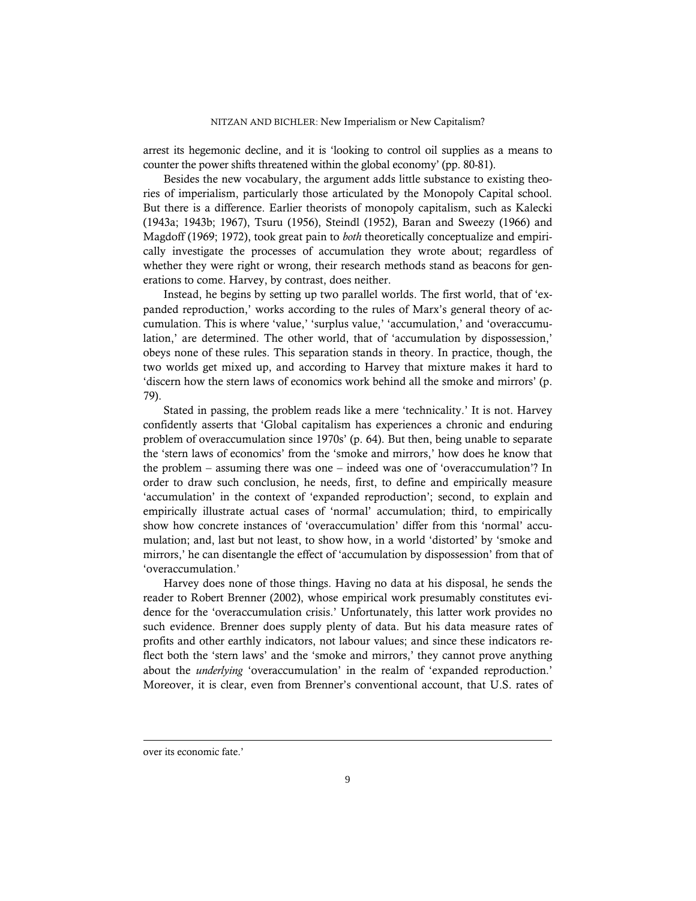arrest its hegemonic decline, and it is 'looking to control oil supplies as a means to counter the power shifts threatened within the global economy' (pp. 80-81).

Besides the new vocabulary, the argument adds little substance to existing theories of imperialism, particularly those articulated by the Monopoly Capital school. But there is a difference. Earlier theorists of monopoly capitalism, such as Kalecki (1943a; 1943b; 1967), Tsuru (1956), Steindl (1952), Baran and Sweezy (1966) and Magdoff (1969; 1972), took great pain to *both* theoretically conceptualize and empirically investigate the processes of accumulation they wrote about; regardless of whether they were right or wrong, their research methods stand as beacons for generations to come. Harvey, by contrast, does neither.

Instead, he begins by setting up two parallel worlds. The first world, that of 'expanded reproduction,' works according to the rules of Marx's general theory of accumulation. This is where 'value,' 'surplus value,' 'accumulation,' and 'overaccumulation,' are determined. The other world, that of 'accumulation by dispossession,' obeys none of these rules. This separation stands in theory. In practice, though, the two worlds get mixed up, and according to Harvey that mixture makes it hard to 'discern how the stern laws of economics work behind all the smoke and mirrors' (p. 79).

Stated in passing, the problem reads like a mere 'technicality.' It is not. Harvey confidently asserts that 'Global capitalism has experiences a chronic and enduring problem of overaccumulation since 1970s' (p. 64). But then, being unable to separate the 'stern laws of economics' from the 'smoke and mirrors,' how does he know that the problem – assuming there was one – indeed was one of 'overaccumulation'? In order to draw such conclusion, he needs, first, to define and empirically measure 'accumulation' in the context of 'expanded reproduction'; second, to explain and empirically illustrate actual cases of 'normal' accumulation; third, to empirically show how concrete instances of 'overaccumulation' differ from this 'normal' accumulation; and, last but not least, to show how, in a world 'distorted' by 'smoke and mirrors,' he can disentangle the effect of 'accumulation by dispossession' from that of 'overaccumulation.'

Harvey does none of those things. Having no data at his disposal, he sends the reader to Robert Brenner (2002), whose empirical work presumably constitutes evidence for the 'overaccumulation crisis.' Unfortunately, this latter work provides no such evidence. Brenner does supply plenty of data. But his data measure rates of profits and other earthly indicators, not labour values; and since these indicators reflect both the 'stern laws' and the 'smoke and mirrors,' they cannot prove anything about the *underlying* 'overaccumulation' in the realm of 'expanded reproduction.' Moreover, it is clear, even from Brenner's conventional account, that U.S. rates of

 $\overline{a}$ 

over its economic fate.'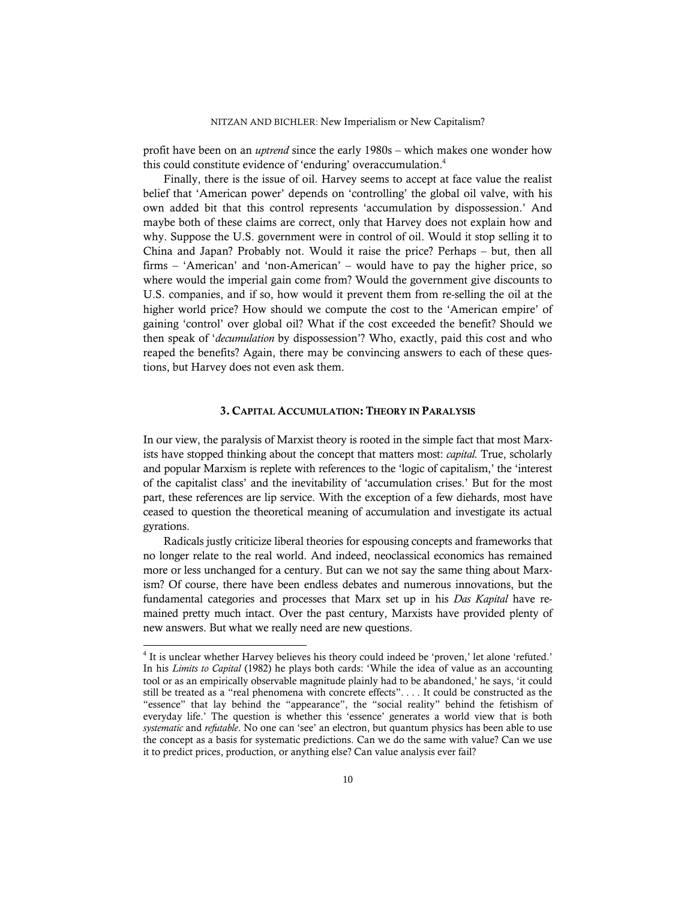profit have been on an *uptrend* since the early 1980s – which makes one wonder how this could constitute evidence of 'enduring' overaccumulation. [4](#page-11-0)

Finally, there is the issue of oil. Harvey seems to accept at face value the realist belief that 'American power' depends on 'controlling' the global oil valve, with his own added bit that this control represents 'accumulation by dispossession.' And maybe both of these claims are correct, only that Harvey does not explain how and why. Suppose the U.S. government were in control of oil. Would it stop selling it to China and Japan? Probably not. Would it raise the price? Perhaps – but, then all firms – 'American' and 'non-American' – would have to pay the higher price, so where would the imperial gain come from? Would the government give discounts to U.S. companies, and if so, how would it prevent them from re-selling the oil at the higher world price? How should we compute the cost to the 'American empire' of gaining 'control' over global oil? What if the cost exceeded the benefit? Should we then speak of '*decumulation* by dispossession'? Who, exactly, paid this cost and who reaped the benefits? Again, there may be convincing answers to each of these questions, but Harvey does not even ask them.

#### 3. CAPITAL ACCUMULATION: THEORY IN PARALYSIS

In our view, the paralysis of Marxist theory is rooted in the simple fact that most Marxists have stopped thinking about the concept that matters most: *capital.* True, scholarly and popular Marxism is replete with references to the 'logic of capitalism,' the 'interest of the capitalist class' and the inevitability of 'accumulation crises.' But for the most part, these references are lip service. With the exception of a few diehards, most have ceased to question the theoretical meaning of accumulation and investigate its actual gyrations.

Radicals justly criticize liberal theories for espousing concepts and frameworks that no longer relate to the real world. And indeed, neoclassical economics has remained more or less unchanged for a century. But can we not say the same thing about Marxism? Of course, there have been endless debates and numerous innovations, but the fundamental categories and processes that Marx set up in his *Das Kapital* have remained pretty much intact. Over the past century, Marxists have provided plenty of new answers. But what we really need are new questions.

 $\overline{a}$ 

<span id="page-11-0"></span><sup>&</sup>lt;sup>4</sup> It is unclear whether Harvey believes his theory could indeed be 'proven,' let alone 'refuted.' In his *Limits to Capital* (1982) he plays both cards: 'While the idea of value as an accounting tool or as an empirically observable magnitude plainly had to be abandoned,' he says, 'it could still be treated as a "real phenomena with concrete effects". . . . It could be constructed as the "essence" that lay behind the "appearance", the "social reality" behind the fetishism of everyday life.' The question is whether this 'essence' generates a world view that is both *systematic* and *refutable*. No one can 'see' an electron, but quantum physics has been able to use the concept as a basis for systematic predictions. Can we do the same with value? Can we use it to predict prices, production, or anything else? Can value analysis ever fail?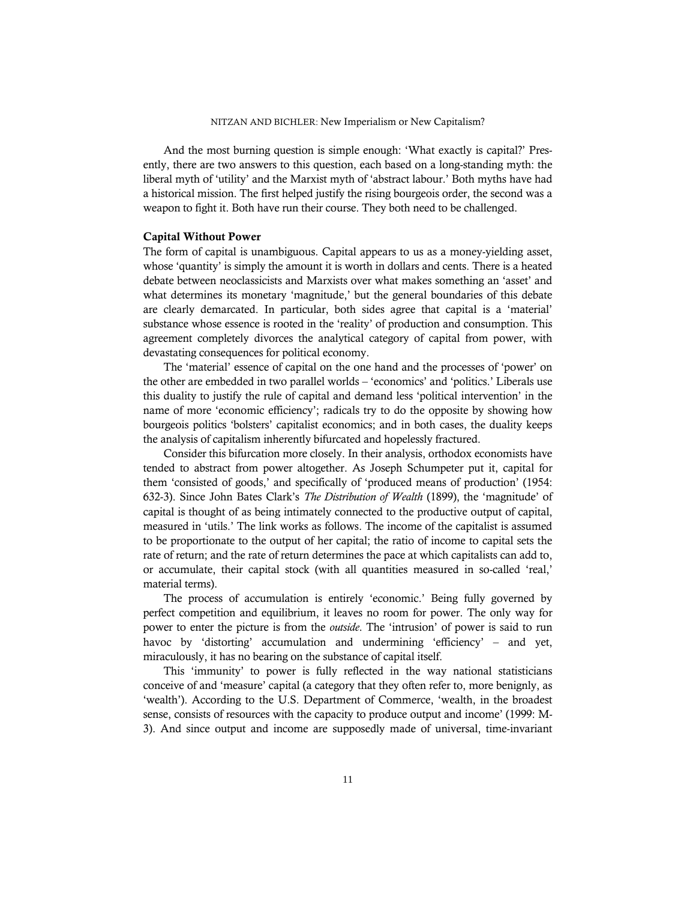And the most burning question is simple enough: 'What exactly is capital?' Presently, there are two answers to this question, each based on a long-standing myth: the liberal myth of 'utility' and the Marxist myth of 'abstract labour.' Both myths have had a historical mission. The first helped justify the rising bourgeois order, the second was a weapon to fight it. Both have run their course. They both need to be challenged.

#### Capital Without Power

The form of capital is unambiguous. Capital appears to us as a money-yielding asset, whose 'quantity' is simply the amount it is worth in dollars and cents. There is a heated debate between neoclassicists and Marxists over what makes something an 'asset' and what determines its monetary 'magnitude,' but the general boundaries of this debate are clearly demarcated. In particular, both sides agree that capital is a 'material' substance whose essence is rooted in the 'reality' of production and consumption. This agreement completely divorces the analytical category of capital from power, with devastating consequences for political economy.

The 'material' essence of capital on the one hand and the processes of 'power' on the other are embedded in two parallel worlds – 'economics' and 'politics.' Liberals use this duality to justify the rule of capital and demand less 'political intervention' in the name of more 'economic efficiency'; radicals try to do the opposite by showing how bourgeois politics 'bolsters' capitalist economics; and in both cases, the duality keeps the analysis of capitalism inherently bifurcated and hopelessly fractured.

Consider this bifurcation more closely. In their analysis, orthodox economists have tended to abstract from power altogether. As Joseph Schumpeter put it, capital for them 'consisted of goods,' and specifically of 'produced means of production' (1954: 632-3). Since John Bates Clark's *The Distribution of Wealth* (1899), the 'magnitude' of capital is thought of as being intimately connected to the productive output of capital, measured in 'utils.' The link works as follows. The income of the capitalist is assumed to be proportionate to the output of her capital; the ratio of income to capital sets the rate of return; and the rate of return determines the pace at which capitalists can add to, or accumulate, their capital stock (with all quantities measured in so-called 'real,' material terms).

The process of accumulation is entirely 'economic.' Being fully governed by perfect competition and equilibrium, it leaves no room for power. The only way for power to enter the picture is from the *outside*. The 'intrusion' of power is said to run havoc by 'distorting' accumulation and undermining 'efficiency' – and yet, miraculously, it has no bearing on the substance of capital itself.

This 'immunity' to power is fully reflected in the way national statisticians conceive of and 'measure' capital (a category that they often refer to, more benignly, as 'wealth'). According to the U.S. Department of Commerce, 'wealth, in the broadest sense, consists of resources with the capacity to produce output and income' (1999: M-3). And since output and income are supposedly made of universal, time-invariant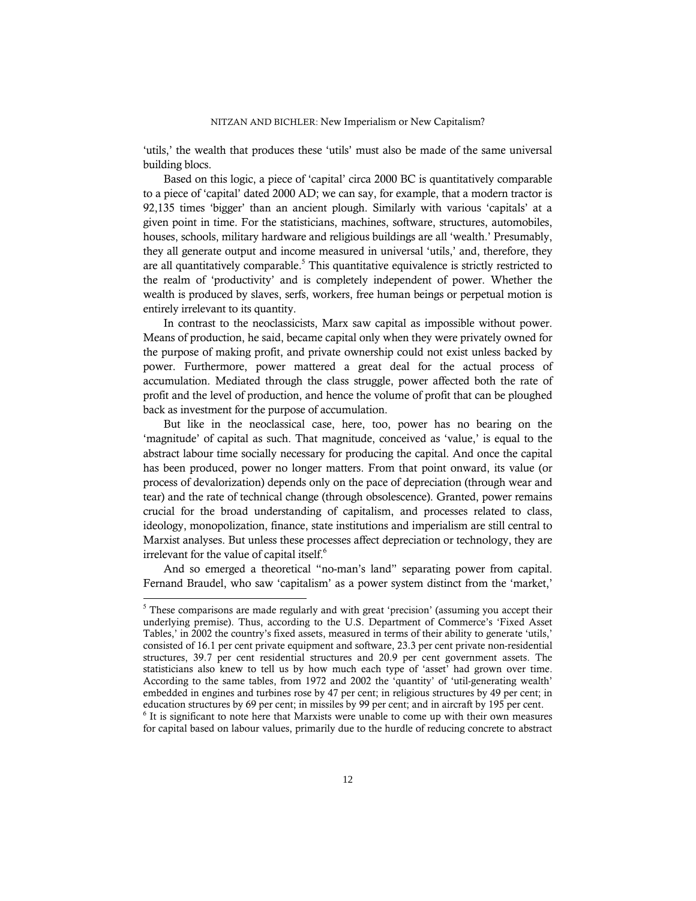'utils,' the wealth that produces these 'utils' must also be made of the same universal building blocs.

Based on this logic, a piece of 'capital' circa 2000 BC is quantitatively comparable to a piece of 'capital' dated 2000 AD; we can say, for example, that a modern tractor is 92,135 times 'bigger' than an ancient plough. Similarly with various 'capitals' at a given point in time. For the statisticians, machines, software, structures, automobiles, houses, schools, military hardware and religious buildings are all 'wealth.' Presumably, they all generate output and income measured in universal 'utils,' and, therefore, they areall quantitatively comparable.<sup>5</sup> This quantitative equivalence is strictly restricted to the realm of 'productivity' and is completely independent of power. Whether the wealth is produced by slaves, serfs, workers, free human beings or perpetual motion is entirely irrelevant to its quantity.

In contrast to the neoclassicists, Marx saw capital as impossible without power. Means of production, he said, became capital only when they were privately owned for the purpose of making profit, and private ownership could not exist unless backed by power. Furthermore, power mattered a great deal for the actual process of accumulation. Mediated through the class struggle, power affected both the rate of profit and the level of production, and hence the volume of profit that can be ploughed back as investment for the purpose of accumulation.

But like in the neoclassical case, here, too, power has no bearing on the 'magnitude' of capital as such. That magnitude, conceived as 'value,' is equal to the abstract labour time socially necessary for producing the capital. And once the capital has been produced, power no longer matters. From that point onward, its value (or process of devalorization) depends only on the pace of depreciation (through wear and tear) and the rate of technical change (through obsolescence). Granted, power remains crucial for the broad understanding of capitalism, and processes related to class, ideology, monopolization, finance, state institutions and imperialism are still central to Marxist analyses. But unless these processes affect depreciation or technology, they are irrelevant for the value of capital itself. [6](#page-13-1)

And so emerged a theoretical "no-man's land" separating power from capital. Fernand Braudel, who saw 'capitalism' as a power system distinct from the 'market,'

-

<span id="page-13-0"></span><sup>&</sup>lt;sup>5</sup> These comparisons are made regularly and with great 'precision' (assuming you accept their underlying premise). Thus, according to the U.S. Department of Commerce's 'Fixed Asset Tables,' in 2002 the country's fixed assets, measured in terms of their ability to generate 'utils,' consisted of 16.1 per cent private equipment and software, 23.3 per cent private non-residential structures, 39.7 per cent residential structures and 20.9 per cent government assets. The statisticians also knew to tell us by how much each type of 'asset' had grown over time. According to the same tables, from 1972 and 2002 the 'quantity' of 'util-generating wealth' embedded in engines and turbines rose by 47 per cent; in religious structures by 49 per cent; in education structures by 69 per cent; in missiles by 99 per cent; and in aircraft by 195 per cent. 6

<span id="page-13-1"></span> $\delta$  It is significant to note here that Marxists were unable to come up with their own measures for capital based on labour values, primarily due to the hurdle of reducing concrete to abstract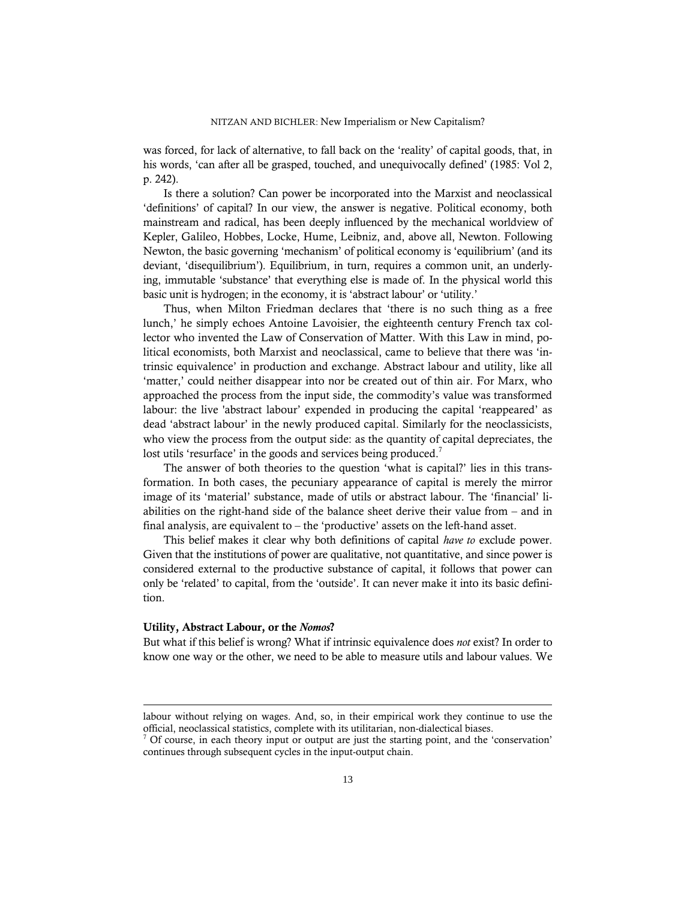was forced, for lack of alternative, to fall back on the 'reality' of capital goods, that, in his words, 'can after all be grasped, touched, and unequivocally defined' (1985: Vol 2, p. 242).

Is there a solution? Can power be incorporated into the Marxist and neoclassical 'definitions' of capital? In our view, the answer is negative. Political economy, both mainstream and radical, has been deeply influenced by the mechanical worldview of Kepler, Galileo, Hobbes, Locke, Hume, Leibniz, and, above all, Newton. Following Newton, the basic governing 'mechanism' of political economy is 'equilibrium' (and its deviant, 'disequilibrium'). Equilibrium, in turn, requires a common unit, an underlying, immutable 'substance' that everything else is made of. In the physical world this basic unit is hydrogen; in the economy, it is 'abstract labour' or 'utility.'

Thus, when Milton Friedman declares that 'there is no such thing as a free lunch,' he simply echoes Antoine Lavoisier, the eighteenth century French tax collector who invented the Law of Conservation of Matter. With this Law in mind, political economists, both Marxist and neoclassical, came to believe that there was 'intrinsic equivalence' in production and exchange. Abstract labour and utility, like all 'matter,' could neither disappear into nor be created out of thin air. For Marx, who approached the process from the input side, the commodity's value was transformed labour: the live 'abstract labour' expended in producing the capital 'reappeared' as dead 'abstract labour' in the newly produced capital. Similarly for the neoclassicists, who view the process from the output side: as the quantity of capital depreciates, the lost utils 'resurface' in the goods and services being produced.<sup>7</sup>

The answer of both theories to the question 'what is capital?' lies in this transformation. In both cases, the pecuniary appearance of capital is merely the mirror image of its 'material' substance, made of utils or abstract labour. The 'financial' liabilities on the right-hand side of the balance sheet derive their value from – and in final analysis, are equivalent to – the 'productive' assets on the left-hand asset.

This belief makes it clear why both definitions of capital *have to* exclude power. Given that the institutions of power are qualitative, not quantitative, and since power is considered external to the productive substance of capital, it follows that power can only be 'related' to capital, from the 'outside'. It can never make it into its basic definition.

#### Utility, Abstract Labour, or the *Nomos*?

 $\overline{a}$ 

But what if this belief is wrong? What if intrinsic equivalence does *not* exist? In order to know one way or the other, we need to be able to measure utils and labour values. We

labour without relying on wages. And, so, in their empirical work they continue to use the official, neoclassical statistics, complete with its utilitarian, non-dialectical biases. 7

<span id="page-14-0"></span> $\sigma$  Of course, in each theory input or output are just the starting point, and the 'conservation' continues through subsequent cycles in the input-output chain.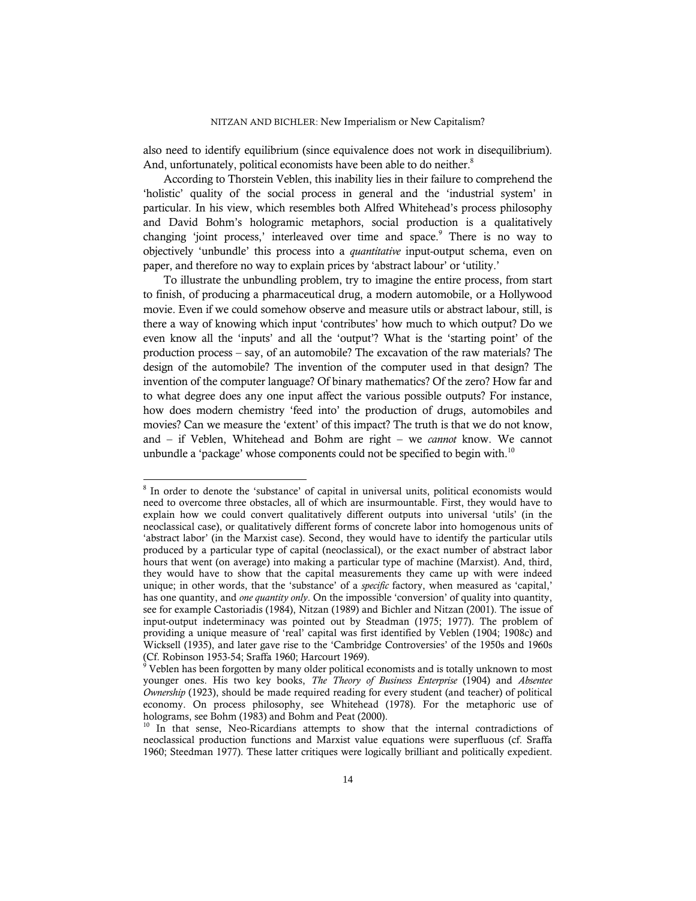also need to identify equilibrium (since equivalence does not work in disequilibrium). And, unfortunately, political economists have been able to do neither.<sup>8</sup>

According to Thorstein Veblen, this inability lies in their failure to comprehend the 'holistic' quality of the social process in general and the 'industrial system' in particular. In his view, which resembles both Alfred Whitehead's process philosophy and David Bohm's hologramic metaphors, social production is a qualitatively changing'joint process,' interleaved over time and space.<sup>9</sup> There is no way to objectively 'unbundle' this process into a *quantitative* input-output schema, even on paper, and therefore no way to explain prices by 'abstract labour' or 'utility.'

To illustrate the unbundling problem, try to imagine the entire process, from start to finish, of producing a pharmaceutical drug, a modern automobile, or a Hollywood movie. Even if we could somehow observe and measure utils or abstract labour, still, is there a way of knowing which input 'contributes' how much to which output? Do we even know all the 'inputs' and all the 'output'? What is the 'starting point' of the production process – say, of an automobile? The excavation of the raw materials? The design of the automobile? The invention of the computer used in that design? The invention of the computer language? Of binary mathematics? Of the zero? How far and to what degree does any one input affect the various possible outputs? For instance, how does modern chemistry 'feed into' the production of drugs, automobiles and movies? Can we measure the 'extent' of this impact? The truth is that we do not know, and – if Veblen, Whitehead and Bohm are right – we *cannot* know. We cannot unbundle a 'package' whose components could not be specified to begin with.<sup>[10](#page-15-2)</sup>

1

<span id="page-15-0"></span><sup>&</sup>lt;sup>8</sup> In order to denote the 'substance' of capital in universal units, political economists would need to overcome three obstacles, all of which are insurmountable. First, they would have to explain how we could convert qualitatively different outputs into universal 'utils' (in the neoclassical case), or qualitatively different forms of concrete labor into homogenous units of 'abstract labor' (in the Marxist case). Second, they would have to identify the particular utils produced by a particular type of capital (neoclassical), or the exact number of abstract labor hours that went (on average) into making a particular type of machine (Marxist). And, third, they would have to show that the capital measurements they came up with were indeed unique; in other words, that the 'substance' of a *specific* factory, when measured as 'capital,' has one quantity, and *one quantity only*. On the impossible 'conversion' of quality into quantity, see for example Castoriadis (1984), Nitzan (1989) and Bichler and Nitzan (2001). The issue of input-output indeterminacy was pointed out by Steadman (1975; 1977). The problem of providing a unique measure of 'real' capital was first identified by Veblen (1904; 1908c) and Wicksell (1935), and later gave rise to the 'Cambridge Controversies' of the 1950s and 1960s (Cf. Robinson 1953-54; Sraffa 1960; Harcourt 1969).

<span id="page-15-1"></span>Veblen has been forgotten by many older political economists and is totally unknown to most younger ones. His two key books, *The Theory of Business Enterprise* (1904) and *Absentee Ownership* (1923), should be made required reading for every student (and teacher) of political economy. On process philosophy, see Whitehead (1978). For the metaphoric use of holograms, see Bohm (1983) and Bohm and Peat (2000).

<span id="page-15-2"></span><sup>&</sup>lt;sup>10</sup> In that sense, Neo-Ricardians attempts to show that the internal contradictions of neoclassical production functions and Marxist value equations were superfluous (cf. Sraffa 1960; Steedman 1977). These latter critiques were logically brilliant and politically expedient.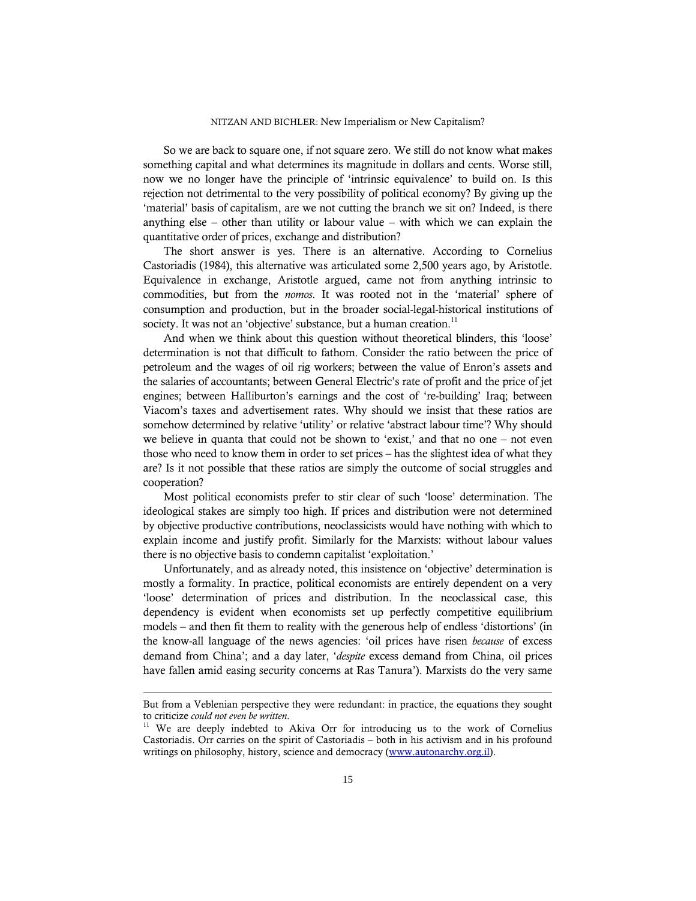So we are back to square one, if not square zero. We still do not know what makes something capital and what determines its magnitude in dollars and cents. Worse still, now we no longer have the principle of 'intrinsic equivalence' to build on. Is this rejection not detrimental to the very possibility of political economy? By giving up the 'material' basis of capitalism, are we not cutting the branch we sit on? Indeed, is there anything else – other than utility or labour value – with which we can explain the quantitative order of prices, exchange and distribution?

The short answer is yes. There is an alternative. According to Cornelius Castoriadis (1984), this alternative was articulated some 2,500 years ago, by Aristotle. Equivalence in exchange, Aristotle argued, came not from anything intrinsic to commodities, but from the *nomos*. It was rooted not in the 'material' sphere of consumption and production, but in the broader social-legal-historical institutions of society. It was not an 'objective' substance, but a human creation. $11$ 

And when we think about this question without theoretical blinders, this 'loose' determination is not that difficult to fathom. Consider the ratio between the price of petroleum and the wages of oil rig workers; between the value of Enron's assets and the salaries of accountants; between General Electric's rate of profit and the price of jet engines; between Halliburton's earnings and the cost of 're-building' Iraq; between Viacom's taxes and advertisement rates. Why should we insist that these ratios are somehow determined by relative 'utility' or relative 'abstract labour time'? Why should we believe in quanta that could not be shown to 'exist,' and that no one – not even those who need to know them in order to set prices – has the slightest idea of what they are? Is it not possible that these ratios are simply the outcome of social struggles and cooperation?

Most political economists prefer to stir clear of such 'loose' determination. The ideological stakes are simply too high. If prices and distribution were not determined by objective productive contributions, neoclassicists would have nothing with which to explain income and justify profit. Similarly for the Marxists: without labour values there is no objective basis to condemn capitalist 'exploitation.'

Unfortunately, and as already noted, this insistence on 'objective' determination is mostly a formality. In practice, political economists are entirely dependent on a very 'loose' determination of prices and distribution. In the neoclassical case, this dependency is evident when economists set up perfectly competitive equilibrium models – and then fit them to reality with the generous help of endless 'distortions' (in the know-all language of the news agencies: 'oil prices have risen *because* of excess demand from China'; and a day later, '*despite* excess demand from China, oil prices have fallen amid easing security concerns at Ras Tanura'). Marxists do the very same

 $\overline{a}$ 

But from a Veblenian perspective they were redundant: in practice, the equations they sought

<span id="page-16-0"></span>to criticize *could not even be written*.<br><sup>11</sup> We are deeply indebted to Akiva Orr for introducing us to the work of Cornelius Castoriadis. Orr carries on the spirit of Castoriadis – both in his activism and in his profound writings on philosophy, history, science and democracy [\(www.autonarchy.org.il\)](http://www.autonarchy.org.il/).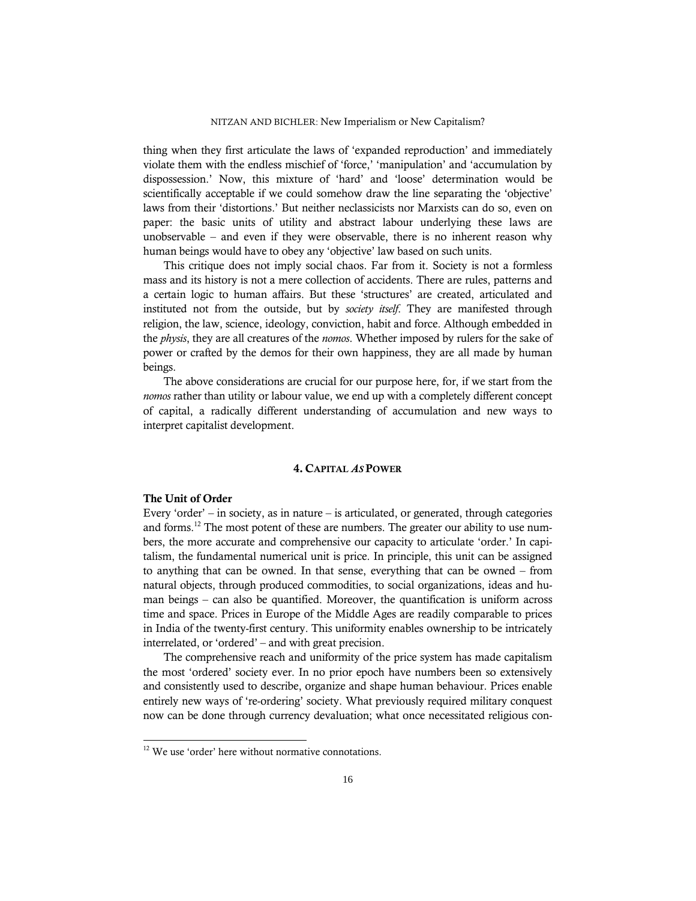thing when they first articulate the laws of 'expanded reproduction' and immediately violate them with the endless mischief of 'force,' 'manipulation' and 'accumulation by dispossession.' Now, this mixture of 'hard' and 'loose' determination would be scientifically acceptable if we could somehow draw the line separating the 'objective' laws from their 'distortions.' But neither neclassicists nor Marxists can do so, even on paper: the basic units of utility and abstract labour underlying these laws are unobservable – and even if they were observable, there is no inherent reason why human beings would have to obey any 'objective' law based on such units.

This critique does not imply social chaos. Far from it. Society is not a formless mass and its history is not a mere collection of accidents. There are rules, patterns and a certain logic to human affairs. But these 'structures' are created, articulated and instituted not from the outside, but by *society itself*. They are manifested through religion, the law, science, ideology, conviction, habit and force. Although embedded in the *physis*, they are all creatures of the *nomos*. Whether imposed by rulers for the sake of power or crafted by the demos for their own happiness, they are all made by human beings.

The above considerations are crucial for our purpose here, for, if we start from the *nomos* rather than utility or labour value, we end up with a completely different concept of capital, a radically different understanding of accumulation and new ways to interpret capitalist development.

# 4. CAPITAL *AS* POWER

#### The Unit of Order

-

Every 'order' – in society, as in nature – is articulated, or generated, through categories and forms.<sup>12</sup> The most potent of these are numbers. The greater our ability to use numbers, the more accurate and comprehensive our capacity to articulate 'order.' In capitalism, the fundamental numerical unit is price. In principle, this unit can be assigned to anything that can be owned. In that sense, everything that can be owned – from natural objects, through produced commodities, to social organizations, ideas and human beings – can also be quantified. Moreover, the quantification is uniform across time and space. Prices in Europe of the Middle Ages are readily comparable to prices in India of the twenty-first century. This uniformity enables ownership to be intricately interrelated, or 'ordered' – and with great precision.

The comprehensive reach and uniformity of the price system has made capitalism the most 'ordered' society ever. In no prior epoch have numbers been so extensively and consistently used to describe, organize and shape human behaviour. Prices enable entirely new ways of 're-ordering' society. What previously required military conquest now can be done through currency devaluation; what once necessitated religious con-

<span id="page-17-0"></span> $12$  We use 'order' here without normative connotations.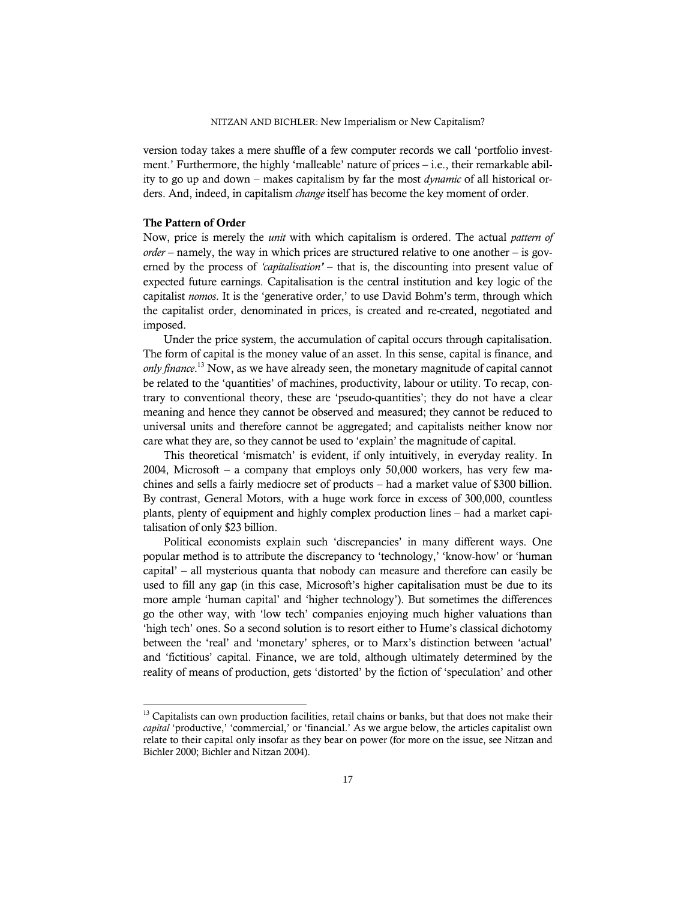version today takes a mere shuffle of a few computer records we call 'portfolio investment.' Furthermore, the highly 'malleable' nature of prices – i.e., their remarkable ability to go up and down – makes capitalism by far the most *dynamic* of all historical orders. And, indeed, in capitalism *change* itself has become the key moment of order.

#### The Pattern of Order

1

Now, price is merely the *unit* with which capitalism is ordered. The actual *pattern of order* – namely, the way in which prices are structured relative to one another – is governed by the process of *'capitalisation'* – that is, the discounting into present value of expected future earnings. Capitalisation is the central institution and key logic of the capitalist *nomos*. It is the 'generative order,' to use David Bohm's term, through which the capitalist order, denominated in prices, is created and re-created, negotiated and imposed.

Under the price system, the accumulation of capital occurs through capitalisation. The form of capital is the money value of an asset. In this sense, capital is finance, and *only finance*. [13](#page-18-0) Now, as we have already seen, the monetary magnitude of capital cannot be related to the 'quantities' of machines, productivity, labour or utility. To recap, contrary to conventional theory, these are 'pseudo-quantities'; they do not have a clear meaning and hence they cannot be observed and measured; they cannot be reduced to universal units and therefore cannot be aggregated; and capitalists neither know nor care what they are, so they cannot be used to 'explain' the magnitude of capital.

This theoretical 'mismatch' is evident, if only intuitively, in everyday reality. In 2004, Microsoft – a company that employs only 50,000 workers, has very few machines and sells a fairly mediocre set of products – had a market value of \$300 billion. By contrast, General Motors, with a huge work force in excess of 300,000, countless plants, plenty of equipment and highly complex production lines – had a market capitalisation of only \$23 billion.

Political economists explain such 'discrepancies' in many different ways. One popular method is to attribute the discrepancy to 'technology,' 'know-how' or 'human capital' – all mysterious quanta that nobody can measure and therefore can easily be used to fill any gap (in this case, Microsoft's higher capitalisation must be due to its more ample 'human capital' and 'higher technology'). But sometimes the differences go the other way, with 'low tech' companies enjoying much higher valuations than 'high tech' ones. So a second solution is to resort either to Hume's classical dichotomy between the 'real' and 'monetary' spheres, or to Marx's distinction between 'actual' and 'fictitious' capital. Finance, we are told, although ultimately determined by the reality of means of production, gets 'distorted' by the fiction of 'speculation' and other

<span id="page-18-0"></span><sup>&</sup>lt;sup>13</sup> Capitalists can own production facilities, retail chains or banks, but that does not make their *capital* 'productive,' 'commercial,' or 'financial.' As we argue below, the articles capitalist own relate to their capital only insofar as they bear on power (for more on the issue, see Nitzan and Bichler 2000; Bichler and Nitzan 2004).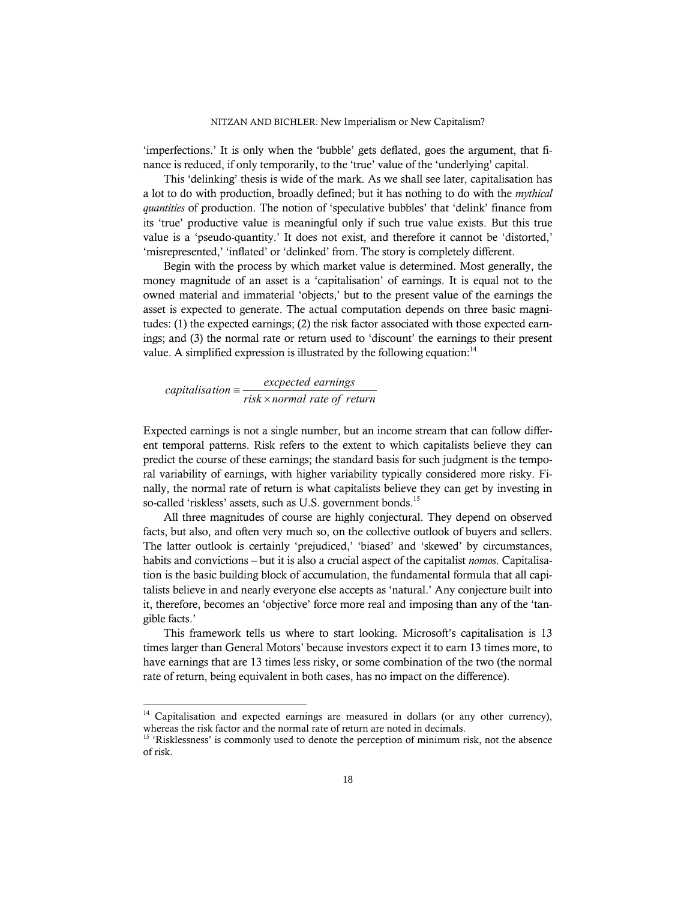'imperfections.' It is only when the 'bubble' gets deflated, goes the argument, that finance is reduced, if only temporarily, to the 'true' value of the 'underlying' capital.

This 'delinking' thesis is wide of the mark. As we shall see later, capitalisation has a lot to do with production, broadly defined; but it has nothing to do with the *mythical quantities* of production. The notion of 'speculative bubbles' that 'delink' finance from its 'true' productive value is meaningful only if such true value exists. But this true value is a 'pseudo-quantity.' It does not exist, and therefore it cannot be 'distorted,' 'misrepresented,' 'inflated' or 'delinked' from. The story is completely different.

Begin with the process by which market value is determined. Most generally, the money magnitude of an asset is a 'capitalisation' of earnings. It is equal not to the owned material and immaterial 'objects,' but to the present value of the earnings the asset is expected to generate. The actual computation depends on three basic magnitudes: (1) the expected earnings; (2) the risk factor associated with those expected earnings; and (3) the normal rate or return used to 'discount' the earnings to their present value. A simplified expression is illustrated by the following equation:  $14$ 

$$
capitalisation = \frac{expected\ earnings}{risk \times normal\ rate\ of\ return}
$$

 $\overline{a}$ 

Expected earnings is not a single number, but an income stream that can follow different temporal patterns. Risk refers to the extent to which capitalists believe they can predict the course of these earnings; the standard basis for such judgment is the temporal variability of earnings, with higher variability typically considered more risky. Finally, the normal rate of return is what capitalists believe they can get by investing in so-called 'riskless' assets, such as U.S. government bonds.<sup>15</sup>

All three magnitudes of course are highly conjectural. They depend on observed facts, but also, and often very much so, on the collective outlook of buyers and sellers. The latter outlook is certainly 'prejudiced,' 'biased' and 'skewed' by circumstances, habits and convictions – but it is also a crucial aspect of the capitalist *nomos*. Capitalisation is the basic building block of accumulation, the fundamental formula that all capitalists believe in and nearly everyone else accepts as 'natural.' Any conjecture built into it, therefore, becomes an 'objective' force more real and imposing than any of the 'tangible facts.'

This framework tells us where to start looking. Microsoft's capitalisation is 13 times larger than General Motors' because investors expect it to earn 13 times more, to have earnings that are 13 times less risky, or some combination of the two (the normal rate of return, being equivalent in both cases, has no impact on the difference).

<span id="page-19-0"></span><sup>&</sup>lt;sup>14</sup> Capitalisation and expected earnings are measured in dollars (or any other currency), whereas the risk factor and the normal rate of return are noted in decimals.<br><sup>15</sup> 'Risklessness' is commonly used to denote the perception of minimum risk, not the absence

<span id="page-19-1"></span>of risk.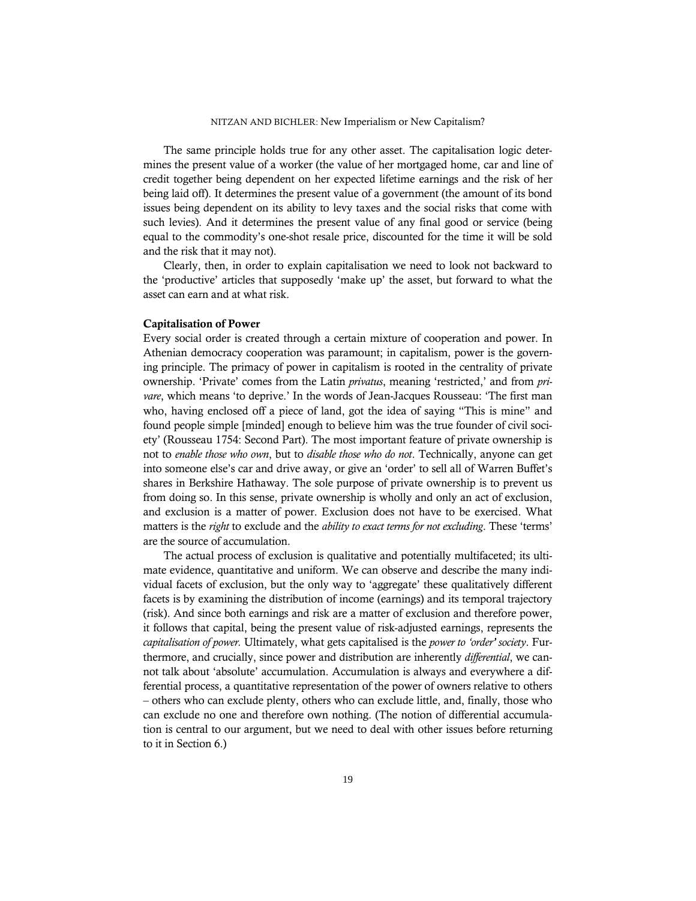The same principle holds true for any other asset. The capitalisation logic determines the present value of a worker (the value of her mortgaged home, car and line of credit together being dependent on her expected lifetime earnings and the risk of her being laid off). It determines the present value of a government (the amount of its bond issues being dependent on its ability to levy taxes and the social risks that come with such levies). And it determines the present value of any final good or service (being equal to the commodity's one-shot resale price, discounted for the time it will be sold and the risk that it may not).

Clearly, then, in order to explain capitalisation we need to look not backward to the 'productive' articles that supposedly 'make up' the asset, but forward to what the asset can earn and at what risk.

#### Capitalisation of Power

Every social order is created through a certain mixture of cooperation and power. In Athenian democracy cooperation was paramount; in capitalism, power is the governing principle. The primacy of power in capitalism is rooted in the centrality of private ownership. 'Private' comes from the Latin *privatus*, meaning 'restricted,' and from *privare*, which means 'to deprive.' In the words of Jean-Jacques Rousseau: 'The first man who, having enclosed off a piece of land, got the idea of saying "This is mine" and found people simple [minded] enough to believe him was the true founder of civil society' (Rousseau 1754: Second Part). The most important feature of private ownership is not to *enable those who own*, but to *disable those who do not*. Technically, anyone can get into someone else's car and drive away, or give an 'order' to sell all of Warren Buffet's shares in Berkshire Hathaway. The sole purpose of private ownership is to prevent us from doing so. In this sense, private ownership is wholly and only an act of exclusion, and exclusion is a matter of power. Exclusion does not have to be exercised. What matters is the *right* to exclude and the *ability to exact terms for not excluding*. These 'terms' are the source of accumulation.

The actual process of exclusion is qualitative and potentially multifaceted; its ultimate evidence, quantitative and uniform. We can observe and describe the many individual facets of exclusion, but the only way to 'aggregate' these qualitatively different facets is by examining the distribution of income (earnings) and its temporal trajectory (risk). And since both earnings and risk are a matter of exclusion and therefore power, it follows that capital, being the present value of risk-adjusted earnings, represents the *capitalisation of power.* Ultimately, what gets capitalised is the *power to 'order' society*. Furthermore, and crucially, since power and distribution are inherently *differential*, we cannot talk about 'absolute' accumulation. Accumulation is always and everywhere a differential process, a quantitative representation of the power of owners relative to others – others who can exclude plenty, others who can exclude little, and, finally, those who can exclude no one and therefore own nothing. (The notion of differential accumulation is central to our argument, but we need to deal with other issues before returning to it in Section 6.)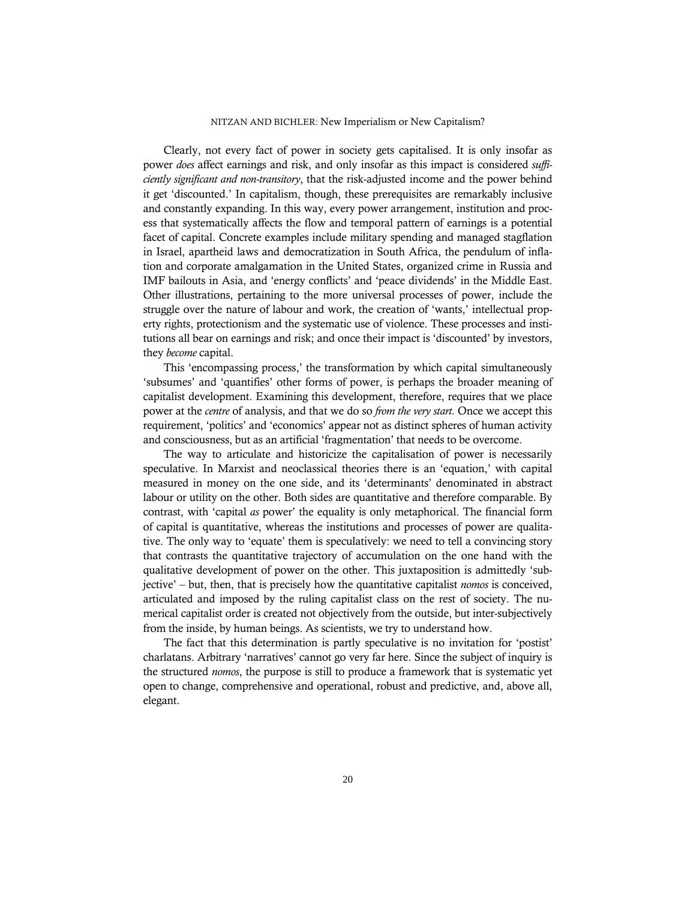Clearly, not every fact of power in society gets capitalised. It is only insofar as power *does* affect earnings and risk, and only insofar as this impact is considered *sufficiently significant and non-transitory*, that the risk-adjusted income and the power behind it get 'discounted.' In capitalism, though, these prerequisites are remarkably inclusive and constantly expanding. In this way, every power arrangement, institution and process that systematically affects the flow and temporal pattern of earnings is a potential facet of capital. Concrete examples include military spending and managed stagflation in Israel, apartheid laws and democratization in South Africa, the pendulum of inflation and corporate amalgamation in the United States, organized crime in Russia and IMF bailouts in Asia, and 'energy conflicts' and 'peace dividends' in the Middle East. Other illustrations, pertaining to the more universal processes of power, include the struggle over the nature of labour and work, the creation of 'wants,' intellectual property rights, protectionism and the systematic use of violence. These processes and institutions all bear on earnings and risk; and once their impact is 'discounted' by investors, they *become* capital.

This 'encompassing process,' the transformation by which capital simultaneously 'subsumes' and 'quantifies' other forms of power, is perhaps the broader meaning of capitalist development. Examining this development, therefore, requires that we place power at the *centre* of analysis, and that we do so *from the very start.* Once we accept this requirement, 'politics' and 'economics' appear not as distinct spheres of human activity and consciousness, but as an artificial 'fragmentation' that needs to be overcome.

The way to articulate and historicize the capitalisation of power is necessarily speculative. In Marxist and neoclassical theories there is an 'equation,' with capital measured in money on the one side, and its 'determinants' denominated in abstract labour or utility on the other. Both sides are quantitative and therefore comparable. By contrast, with 'capital *as* power' the equality is only metaphorical. The financial form of capital is quantitative, whereas the institutions and processes of power are qualitative. The only way to 'equate' them is speculatively: we need to tell a convincing story that contrasts the quantitative trajectory of accumulation on the one hand with the qualitative development of power on the other. This juxtaposition is admittedly 'subjective' – but, then, that is precisely how the quantitative capitalist *nomos* is conceived, articulated and imposed by the ruling capitalist class on the rest of society. The numerical capitalist order is created not objectively from the outside, but inter-subjectively from the inside, by human beings. As scientists, we try to understand how.

The fact that this determination is partly speculative is no invitation for 'postist' charlatans. Arbitrary 'narratives' cannot go very far here. Since the subject of inquiry is the structured *nomos*, the purpose is still to produce a framework that is systematic yet open to change, comprehensive and operational, robust and predictive, and, above all, elegant.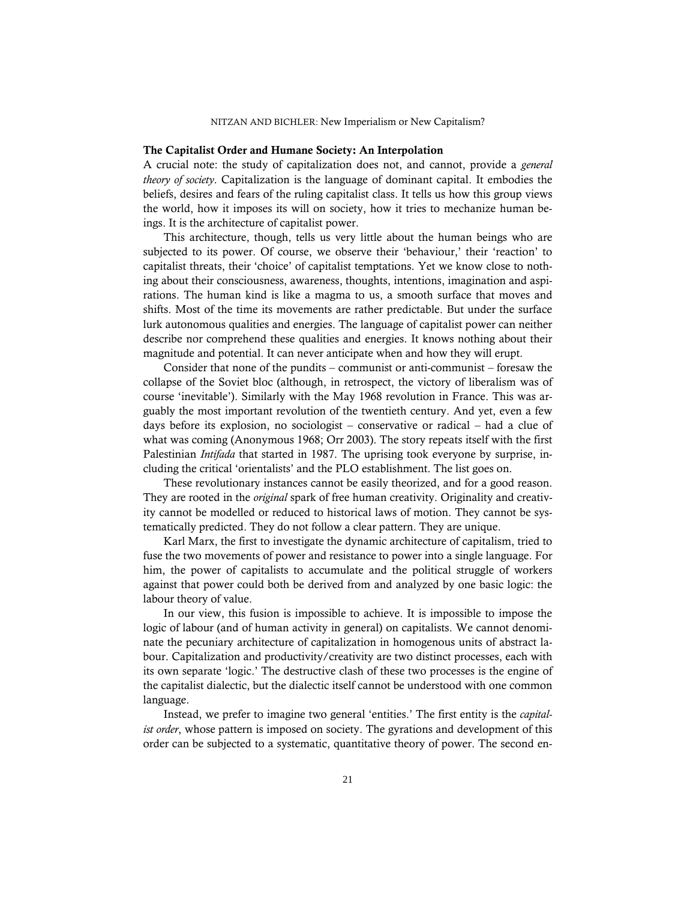#### The Capitalist Order and Humane Society: An Interpolation

A crucial note: the study of capitalization does not, and cannot, provide a *general theory of society*. Capitalization is the language of dominant capital. It embodies the beliefs, desires and fears of the ruling capitalist class. It tells us how this group views the world, how it imposes its will on society, how it tries to mechanize human beings. It is the architecture of capitalist power.

This architecture, though, tells us very little about the human beings who are subjected to its power. Of course, we observe their 'behaviour,' their 'reaction' to capitalist threats, their 'choice' of capitalist temptations. Yet we know close to nothing about their consciousness, awareness, thoughts, intentions, imagination and aspirations. The human kind is like a magma to us, a smooth surface that moves and shifts. Most of the time its movements are rather predictable. But under the surface lurk autonomous qualities and energies. The language of capitalist power can neither describe nor comprehend these qualities and energies. It knows nothing about their magnitude and potential. It can never anticipate when and how they will erupt.

Consider that none of the pundits – communist or anti-communist – foresaw the collapse of the Soviet bloc (although, in retrospect, the victory of liberalism was of course 'inevitable'). Similarly with the May 1968 revolution in France. This was arguably the most important revolution of the twentieth century. And yet, even a few days before its explosion, no sociologist – conservative or radical – had a clue of what was coming (Anonymous 1968; Orr 2003). The story repeats itself with the first Palestinian *Intifada* that started in 1987. The uprising took everyone by surprise, including the critical 'orientalists' and the PLO establishment. The list goes on.

These revolutionary instances cannot be easily theorized, and for a good reason. They are rooted in the *original* spark of free human creativity. Originality and creativity cannot be modelled or reduced to historical laws of motion. They cannot be systematically predicted. They do not follow a clear pattern. They are unique.

Karl Marx, the first to investigate the dynamic architecture of capitalism, tried to fuse the two movements of power and resistance to power into a single language. For him, the power of capitalists to accumulate and the political struggle of workers against that power could both be derived from and analyzed by one basic logic: the labour theory of value.

In our view, this fusion is impossible to achieve. It is impossible to impose the logic of labour (and of human activity in general) on capitalists. We cannot denominate the pecuniary architecture of capitalization in homogenous units of abstract labour. Capitalization and productivity/creativity are two distinct processes, each with its own separate 'logic.' The destructive clash of these two processes is the engine of the capitalist dialectic, but the dialectic itself cannot be understood with one common language.

Instead, we prefer to imagine two general 'entities.' The first entity is the *capitalist order*, whose pattern is imposed on society. The gyrations and development of this order can be subjected to a systematic, quantitative theory of power. The second en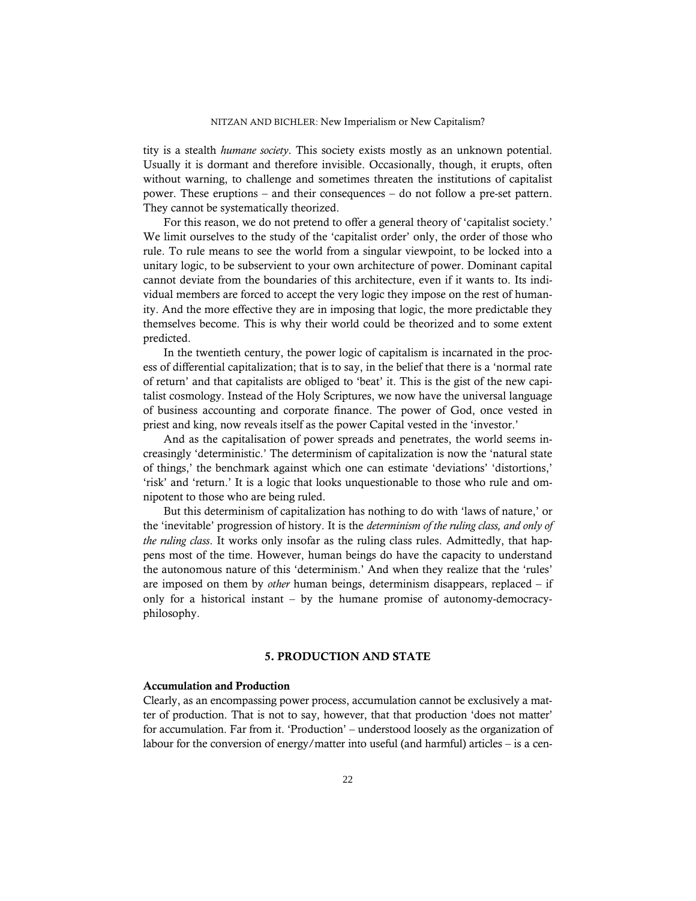tity is a stealth *humane society*. This society exists mostly as an unknown potential. Usually it is dormant and therefore invisible. Occasionally, though, it erupts, often without warning, to challenge and sometimes threaten the institutions of capitalist power. These eruptions – and their consequences – do not follow a pre-set pattern. They cannot be systematically theorized.

For this reason, we do not pretend to offer a general theory of 'capitalist society.' We limit ourselves to the study of the 'capitalist order' only, the order of those who rule. To rule means to see the world from a singular viewpoint, to be locked into a unitary logic, to be subservient to your own architecture of power. Dominant capital cannot deviate from the boundaries of this architecture, even if it wants to. Its individual members are forced to accept the very logic they impose on the rest of humanity. And the more effective they are in imposing that logic, the more predictable they themselves become. This is why their world could be theorized and to some extent predicted.

In the twentieth century, the power logic of capitalism is incarnated in the process of differential capitalization; that is to say, in the belief that there is a 'normal rate of return' and that capitalists are obliged to 'beat' it. This is the gist of the new capitalist cosmology. Instead of the Holy Scriptures, we now have the universal language of business accounting and corporate finance. The power of God, once vested in priest and king, now reveals itself as the power Capital vested in the 'investor.'

And as the capitalisation of power spreads and penetrates, the world seems increasingly 'deterministic.' The determinism of capitalization is now the 'natural state of things,' the benchmark against which one can estimate 'deviations' 'distortions,' 'risk' and 'return.' It is a logic that looks unquestionable to those who rule and omnipotent to those who are being ruled.

But this determinism of capitalization has nothing to do with 'laws of nature,' or the 'inevitable' progression of history. It is the *determinism of the ruling class, and only of the ruling class*. It works only insofar as the ruling class rules. Admittedly, that happens most of the time. However, human beings do have the capacity to understand the autonomous nature of this 'determinism.' And when they realize that the 'rules' are imposed on them by *other* human beings, determinism disappears, replaced – if only for a historical instant – by the humane promise of autonomy-democracyphilosophy.

# 5. PRODUCTION AND STATE

# Accumulation and Production

Clearly, as an encompassing power process, accumulation cannot be exclusively a matter of production. That is not to say, however, that that production 'does not matter' for accumulation. Far from it. 'Production' – understood loosely as the organization of labour for the conversion of energy/matter into useful (and harmful) articles – is a cen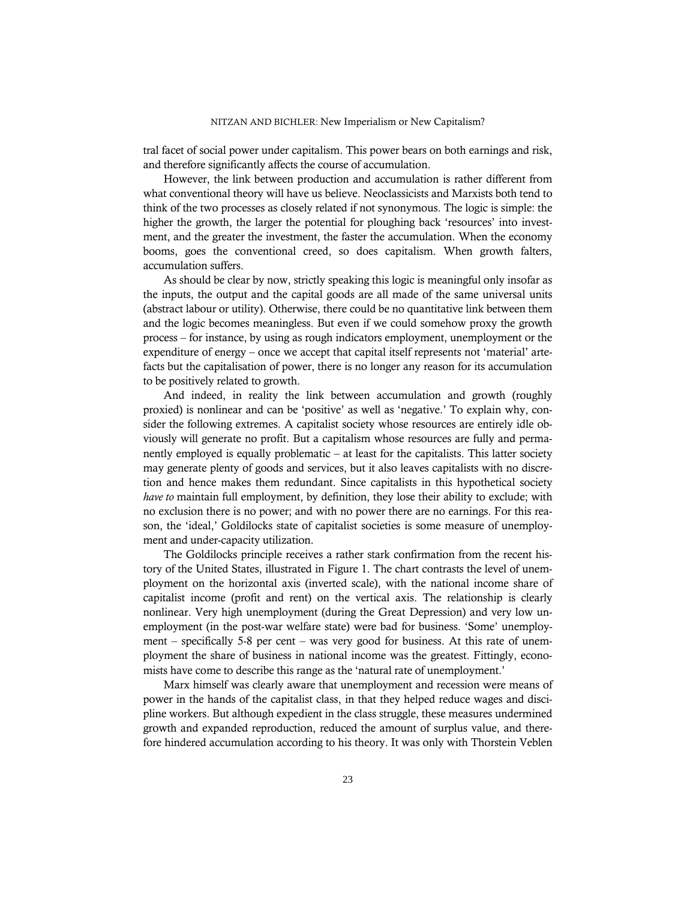tral facet of social power under capitalism. This power bears on both earnings and risk, and therefore significantly affects the course of accumulation.

However, the link between production and accumulation is rather different from what conventional theory will have us believe. Neoclassicists and Marxists both tend to think of the two processes as closely related if not synonymous. The logic is simple: the higher the growth, the larger the potential for ploughing back 'resources' into investment, and the greater the investment, the faster the accumulation. When the economy booms, goes the conventional creed, so does capitalism. When growth falters, accumulation suffers.

As should be clear by now, strictly speaking this logic is meaningful only insofar as the inputs, the output and the capital goods are all made of the same universal units (abstract labour or utility). Otherwise, there could be no quantitative link between them and the logic becomes meaningless. But even if we could somehow proxy the growth process – for instance, by using as rough indicators employment, unemployment or the expenditure of energy – once we accept that capital itself represents not 'material' artefacts but the capitalisation of power, there is no longer any reason for its accumulation to be positively related to growth.

And indeed, in reality the link between accumulation and growth (roughly proxied) is nonlinear and can be 'positive' as well as 'negative.' To explain why, consider the following extremes. A capitalist society whose resources are entirely idle obviously will generate no profit. But a capitalism whose resources are fully and permanently employed is equally problematic – at least for the capitalists. This latter society may generate plenty of goods and services, but it also leaves capitalists with no discretion and hence makes them redundant. Since capitalists in this hypothetical society *have to* maintain full employment, by definition, they lose their ability to exclude; with no exclusion there is no power; and with no power there are no earnings. For this reason, the 'ideal,' Goldilocks state of capitalist societies is some measure of unemployment and under-capacity utilization.

The Goldilocks principle receives a rather stark confirmation from the recent history of the United States, illustrated in Figure 1. The chart contrasts the level of unemployment on the horizontal axis (inverted scale), with the national income share of capitalist income (profit and rent) on the vertical axis. The relationship is clearly nonlinear. Very high unemployment (during the Great Depression) and very low unemployment (in the post-war welfare state) were bad for business. 'Some' unemployment – specifically 5-8 per cent – was very good for business. At this rate of unemployment the share of business in national income was the greatest. Fittingly, economists have come to describe this range as the 'natural rate of unemployment.'

Marx himself was clearly aware that unemployment and recession were means of power in the hands of the capitalist class, in that they helped reduce wages and discipline workers. But although expedient in the class struggle, these measures undermined growth and expanded reproduction, reduced the amount of surplus value, and therefore hindered accumulation according to his theory. It was only with Thorstein Veblen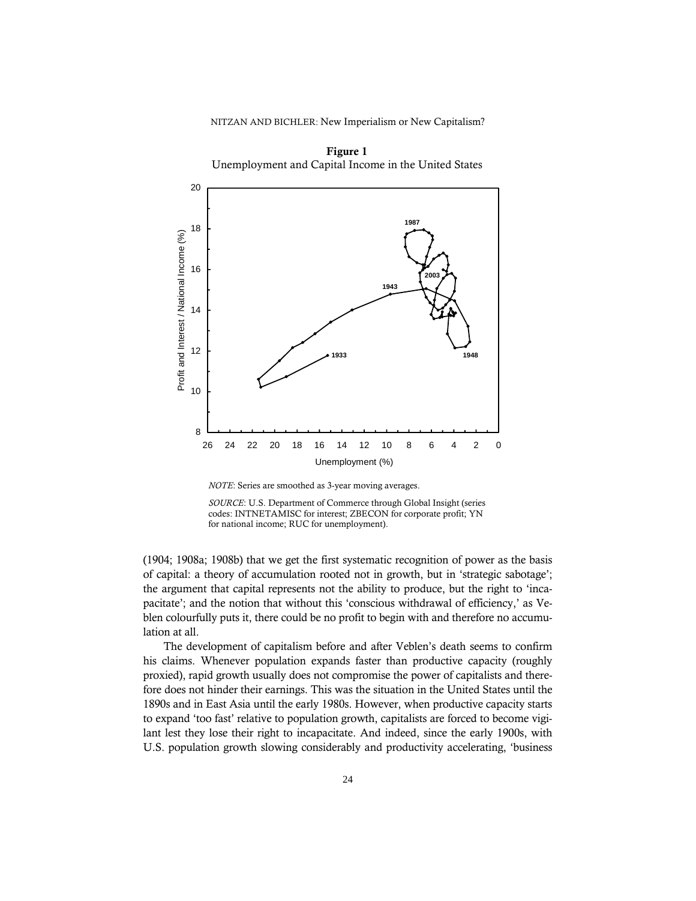

Figure 1 Unemployment and Capital Income in the United States

*SOURCE*: U.S. Department of Commerce through Global Insight (series codes: INTNETAMISC for interest; ZBECON for corporate profit; YN for national income; RUC for unemployment).

(1904; 1908a; 1908b) that we get the first systematic recognition of power as the basis of capital: a theory of accumulation rooted not in growth, but in 'strategic sabotage'; the argument that capital represents not the ability to produce, but the right to 'incapacitate'; and the notion that without this 'conscious withdrawal of efficiency,' as Veblen colourfully puts it, there could be no profit to begin with and therefore no accumulation at all.

The development of capitalism before and after Veblen's death seems to confirm his claims. Whenever population expands faster than productive capacity (roughly proxied), rapid growth usually does not compromise the power of capitalists and therefore does not hinder their earnings. This was the situation in the United States until the 1890s and in East Asia until the early 1980s. However, when productive capacity starts to expand 'too fast' relative to population growth, capitalists are forced to become vigilant lest they lose their right to incapacitate. And indeed, since the early 1900s, with U.S. population growth slowing considerably and productivity accelerating, 'business

*NOTE*: Series are smoothed as 3-year moving averages.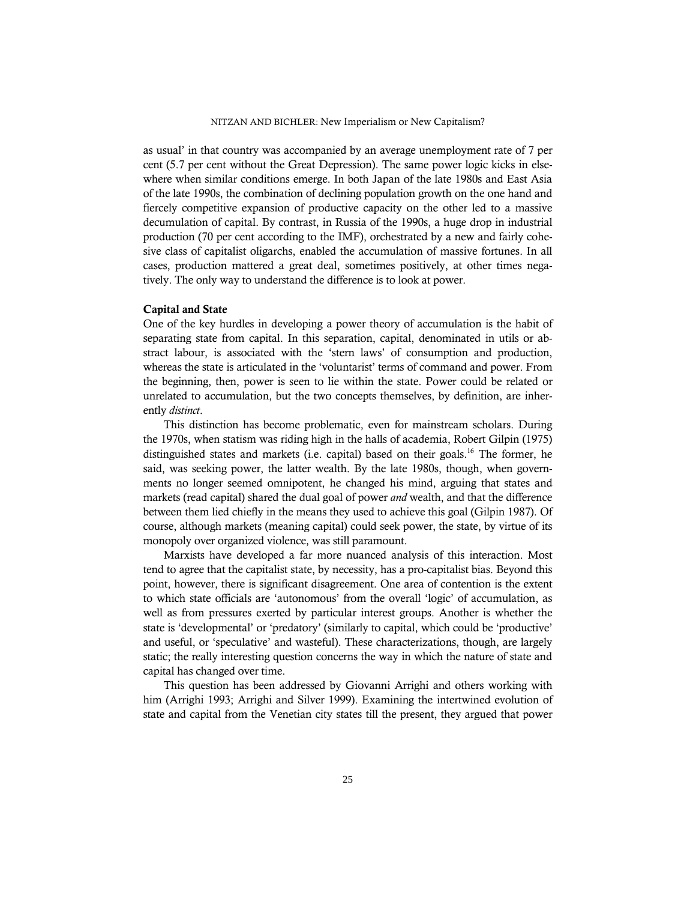as usual' in that country was accompanied by an average unemployment rate of 7 per cent (5.7 per cent without the Great Depression). The same power logic kicks in elsewhere when similar conditions emerge. In both Japan of the late 1980s and East Asia of the late 1990s, the combination of declining population growth on the one hand and fiercely competitive expansion of productive capacity on the other led to a massive decumulation of capital. By contrast, in Russia of the 1990s, a huge drop in industrial production (70 per cent according to the IMF), orchestrated by a new and fairly cohesive class of capitalist oligarchs, enabled the accumulation of massive fortunes. In all cases, production mattered a great deal, sometimes positively, at other times negatively. The only way to understand the difference is to look at power.

# Capital and State

One of the key hurdles in developing a power theory of accumulation is the habit of separating state from capital. In this separation, capital, denominated in utils or abstract labour, is associated with the 'stern laws' of consumption and production, whereas the state is articulated in the 'voluntarist' terms of command and power. From the beginning, then, power is seen to lie within the state. Power could be related or unrelated to accumulation, but the two concepts themselves, by definition, are inherently *distinct*.

This distinction has become problematic, even for mainstream scholars. During the 1970s, when statism was riding high in the halls of academia, Robert Gilpin (1975) distinguished states and markets (i.e. capital) based on their goals.<sup>16</sup> The former, he said, was seeking power, the latter wealth. By the late 1980s, though, when governments no longer seemed omnipotent, he changed his mind, arguing that states and markets (read capital) shared the dual goal of power *and* wealth, and that the difference between them lied chiefly in the means they used to achieve this goal (Gilpin 1987). Of course, although markets (meaning capital) could seek power, the state, by virtue of its monopoly over organized violence, was still paramount.

Marxists have developed a far more nuanced analysis of this interaction. Most tend to agree that the capitalist state, by necessity, has a pro-capitalist bias. Beyond this point, however, there is significant disagreement. One area of contention is the extent to which state officials are 'autonomous' from the overall 'logic' of accumulation, as well as from pressures exerted by particular interest groups. Another is whether the state is 'developmental' or 'predatory' (similarly to capital, which could be 'productive' and useful, or 'speculative' and wasteful). These characterizations, though, are largely static; the really interesting question concerns the way in which the nature of state and capital has changed over time.

<span id="page-26-0"></span>This question has been addressed by Giovanni Arrighi and others working with him (Arrighi 1993; Arrighi and Silver 1999). Examining the intertwined evolution of state and capital from the Venetian city states till the present, they argued that power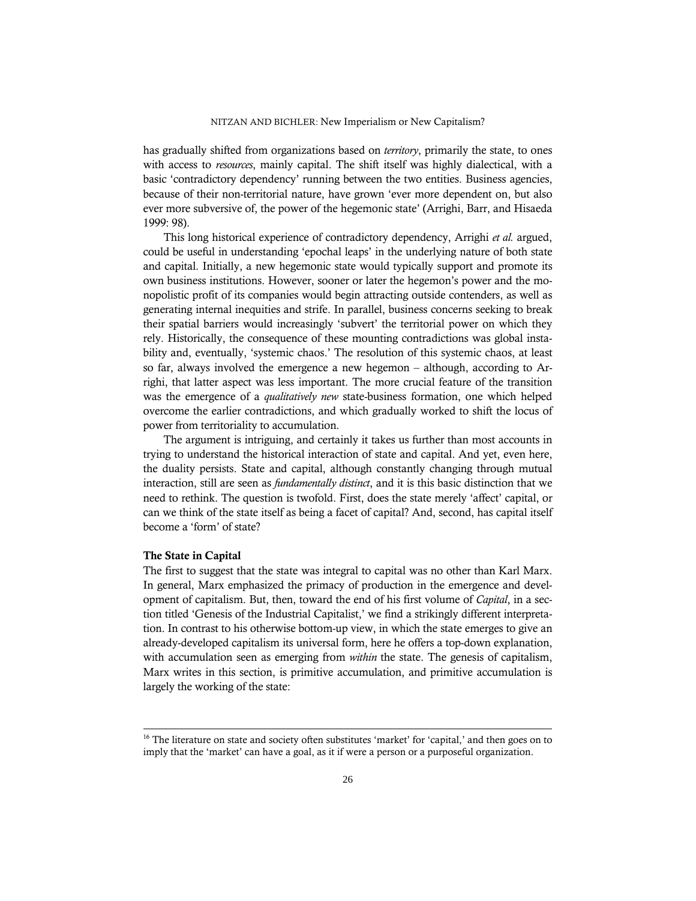has gradually shifted from organizations based on *territory*, primarily the state, to ones with access to *resources*, mainly capital. The shift itself was highly dialectical, with a basic 'contradictory dependency' running between the two entities. Business agencies, because of their non-territorial nature, have grown 'ever more dependent on, but also ever more subversive of, the power of the hegemonic state' (Arrighi, Barr, and Hisaeda 1999: 98).

This long historical experience of contradictory dependency, Arrighi *et al.* argued, could be useful in understanding 'epochal leaps' in the underlying nature of both state and capital. Initially, a new hegemonic state would typically support and promote its own business institutions. However, sooner or later the hegemon's power and the monopolistic profit of its companies would begin attracting outside contenders, as well as generating internal inequities and strife. In parallel, business concerns seeking to break their spatial barriers would increasingly 'subvert' the territorial power on which they rely. Historically, the consequence of these mounting contradictions was global instability and, eventually, 'systemic chaos.' The resolution of this systemic chaos, at least so far, always involved the emergence a new hegemon – although, according to Arrighi, that latter aspect was less important. The more crucial feature of the transition was the emergence of a *qualitatively new* state-business formation, one which helped overcome the earlier contradictions, and which gradually worked to shift the locus of power from territoriality to accumulation.

The argument is intriguing, and certainly it takes us further than most accounts in trying to understand the historical interaction of state and capital. And yet, even here, the duality persists. State and capital, although constantly changing through mutual interaction, still are seen as *fundamentally distinct*, and it is this basic distinction that we need to rethink. The question is twofold. First, does the state merely 'affect' capital, or can we think of the state itself as being a facet of capital? And, second, has capital itself become a 'form' of state?

# The State in Capital

-

The first to suggest that the state was integral to capital was no other than Karl Marx. In general, Marx emphasized the primacy of production in the emergence and development of capitalism. But, then, toward the end of his first volume of *Capital*, in a section titled 'Genesis of the Industrial Capitalist,' we find a strikingly different interpretation. In contrast to his otherwise bottom-up view, in which the state emerges to give an already-developed capitalism its universal form, here he offers a top-down explanation, with accumulation seen as emerging from *within* the state. The genesis of capitalism, Marx writes in this section, is primitive accumulation, and primitive accumulation is largely the working of the state:

<sup>&</sup>lt;sup>16</sup> The literature on state and society often substitutes 'market' for 'capital,' and then goes on to imply that the 'market' can have a goal, as it if were a person or a purposeful organization.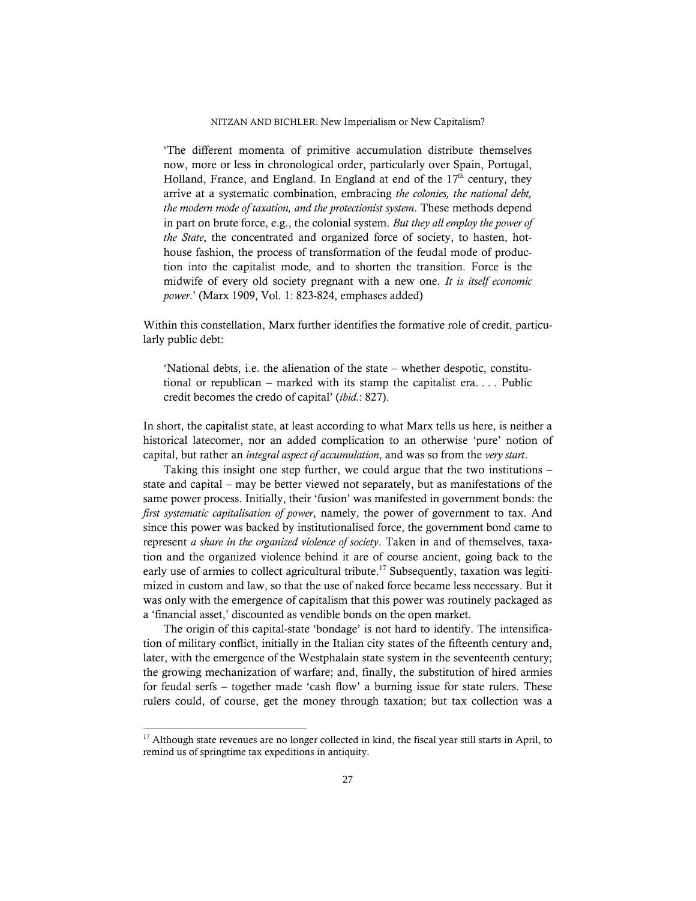'The different momenta of primitive accumulation distribute themselves now, more or less in chronological order, particularly over Spain, Portugal, Holland, France, and England. In England at end of the  $17<sup>th</sup>$  century, they arrive at a systematic combination, embracing *the colonies, the national debt, the modern mode of taxation, and the protectionist system*. These methods depend in part on brute force, e.g., the colonial system. *But they all employ the power of the State*, the concentrated and organized force of society, to hasten, hothouse fashion, the process of transformation of the feudal mode of production into the capitalist mode, and to shorten the transition. Force is the midwife of every old society pregnant with a new one. *It is itself economic power*.' (Marx 1909, Vol. 1: 823-824, emphases added)

Within this constellation, Marx further identifies the formative role of credit, particularly public debt:

'National debts, i.e. the alienation of the state – whether despotic, constitutional or republican – marked with its stamp the capitalist era. . . . Public credit becomes the credo of capital' (*ibid.*: 827).

In short, the capitalist state, at least according to what Marx tells us here, is neither a historical latecomer, nor an added complication to an otherwise 'pure' notion of capital, but rather an *integral aspect of accumulation*, and was so from the *very start*.

Taking this insight one step further, we could argue that the two institutions – state and capital – may be better viewed not separately, but as manifestations of the same power process. Initially, their 'fusion' was manifested in government bonds: the *first systematic capitalisation of power*, namely, the power of government to tax. And since this power was backed by institutionalised force, the government bond came to represent *a share in the organized violence of society*. Taken in and of themselves, taxation and the organized violence behind it are of course ancient, going back to the early use of armies to collect agricultural tribute.<sup>17</sup> Subsequently, taxation was legitimized in custom and law, so that the use of naked force became less necessary. But it was only with the emergence of capitalism that this power was routinely packaged as a 'financial asset,' discounted as vendible bonds on the open market.

The origin of this capital-state 'bondage' is not hard to identify. The intensification of military conflict, initially in the Italian city states of the fifteenth century and, later, with the emergence of the Westphalain state system in the seventeenth century; the growing mechanization of warfare; and, finally, the substitution of hired armies for feudal serfs – together made 'cash flow' a burning issue for state rulers. These rulers could, of course, get the money through taxation; but tax collection was a

 $\overline{a}$ 

<span id="page-28-0"></span> $17$  Although state revenues are no longer collected in kind, the fiscal year still starts in April, to remind us of springtime tax expeditions in antiquity.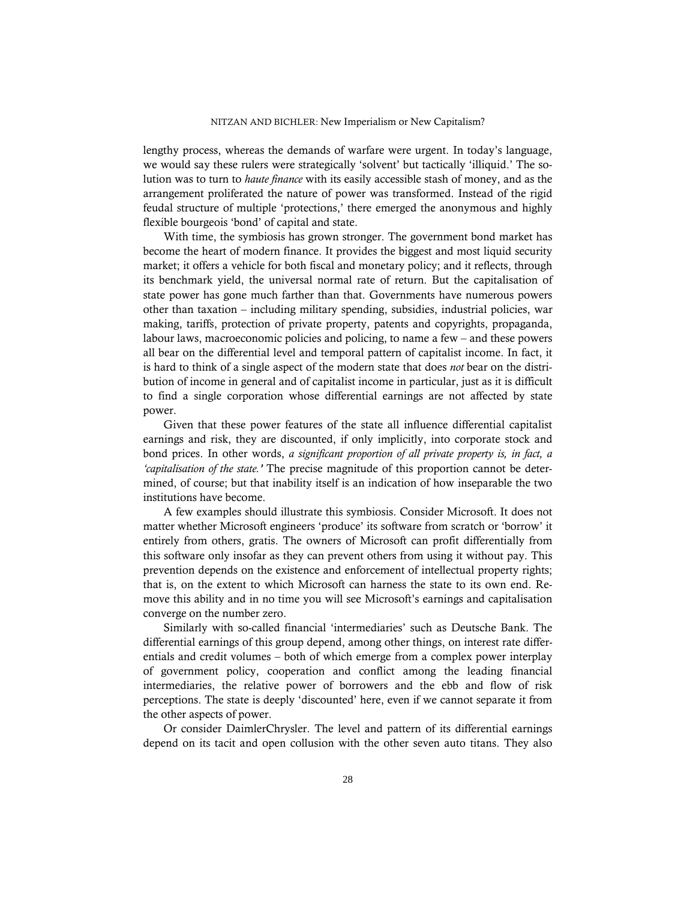lengthy process, whereas the demands of warfare were urgent. In today's language, we would say these rulers were strategically 'solvent' but tactically 'illiquid.' The solution was to turn to *haute finance* with its easily accessible stash of money, and as the arrangement proliferated the nature of power was transformed. Instead of the rigid feudal structure of multiple 'protections,' there emerged the anonymous and highly flexible bourgeois 'bond' of capital and state.

With time, the symbiosis has grown stronger. The government bond market has become the heart of modern finance. It provides the biggest and most liquid security market; it offers a vehicle for both fiscal and monetary policy; and it reflects, through its benchmark yield, the universal normal rate of return. But the capitalisation of state power has gone much farther than that. Governments have numerous powers other than taxation – including military spending, subsidies, industrial policies, war making, tariffs, protection of private property, patents and copyrights, propaganda, labour laws, macroeconomic policies and policing, to name a few – and these powers all bear on the differential level and temporal pattern of capitalist income. In fact, it is hard to think of a single aspect of the modern state that does *not* bear on the distribution of income in general and of capitalist income in particular, just as it is difficult to find a single corporation whose differential earnings are not affected by state power.

Given that these power features of the state all influence differential capitalist earnings and risk, they are discounted, if only implicitly, into corporate stock and bond prices. In other words, *a significant proportion of all private property is, in fact, a 'capitalisation of the state.'* The precise magnitude of this proportion cannot be determined, of course; but that inability itself is an indication of how inseparable the two institutions have become.

A few examples should illustrate this symbiosis. Consider Microsoft. It does not matter whether Microsoft engineers 'produce' its software from scratch or 'borrow' it entirely from others, gratis. The owners of Microsoft can profit differentially from this software only insofar as they can prevent others from using it without pay. This prevention depends on the existence and enforcement of intellectual property rights; that is, on the extent to which Microsoft can harness the state to its own end. Remove this ability and in no time you will see Microsoft's earnings and capitalisation converge on the number zero.

Similarly with so-called financial 'intermediaries' such as Deutsche Bank. The differential earnings of this group depend, among other things, on interest rate differentials and credit volumes – both of which emerge from a complex power interplay of government policy, cooperation and conflict among the leading financial intermediaries, the relative power of borrowers and the ebb and flow of risk perceptions. The state is deeply 'discounted' here, even if we cannot separate it from the other aspects of power.

Or consider DaimlerChrysler. The level and pattern of its differential earnings depend on its tacit and open collusion with the other seven auto titans. They also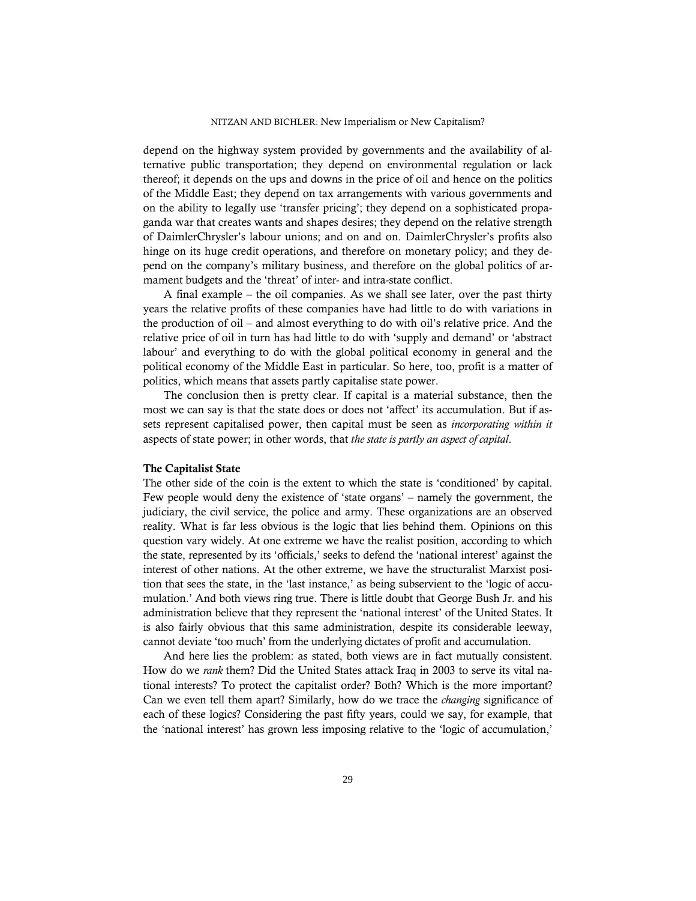depend on the highway system provided by governments and the availability of alternative public transportation; they depend on environmental regulation or lack thereof; it depends on the ups and downs in the price of oil and hence on the politics of the Middle East; they depend on tax arrangements with various governments and on the ability to legally use 'transfer pricing'; they depend on a sophisticated propaganda war that creates wants and shapes desires; they depend on the relative strength of DaimlerChrysler's labour unions; and on and on. DaimlerChrysler's profits also hinge on its huge credit operations, and therefore on monetary policy; and they depend on the company's military business, and therefore on the global politics of armament budgets and the 'threat' of inter- and intra-state conflict.

A final example – the oil companies. As we shall see later, over the past thirty years the relative profits of these companies have had little to do with variations in the production of oil – and almost everything to do with oil's relative price. And the relative price of oil in turn has had little to do with 'supply and demand' or 'abstract labour' and everything to do with the global political economy in general and the political economy of the Middle East in particular. So here, too, profit is a matter of politics, which means that assets partly capitalise state power.

The conclusion then is pretty clear. If capital is a material substance, then the most we can say is that the state does or does not 'affect' its accumulation. But if assets represent capitalised power, then capital must be seen as *incorporating within it* aspects of state power; in other words, that *the state is partly an aspect of capital*.

# The Capitalist State

The other side of the coin is the extent to which the state is 'conditioned' by capital. Few people would deny the existence of 'state organs' – namely the government, the judiciary, the civil service, the police and army. These organizations are an observed reality. What is far less obvious is the logic that lies behind them. Opinions on this question vary widely. At one extreme we have the realist position, according to which the state, represented by its 'officials,' seeks to defend the 'national interest' against the interest of other nations. At the other extreme, we have the structuralist Marxist position that sees the state, in the 'last instance,' as being subservient to the 'logic of accumulation.' And both views ring true. There is little doubt that George Bush Jr. and his administration believe that they represent the 'national interest' of the United States. It is also fairly obvious that this same administration, despite its considerable leeway, cannot deviate 'too much' from the underlying dictates of profit and accumulation.

And here lies the problem: as stated, both views are in fact mutually consistent. How do we *rank* them? Did the United States attack Iraq in 2003 to serve its vital national interests? To protect the capitalist order? Both? Which is the more important? Can we even tell them apart? Similarly, how do we trace the *changing* significance of each of these logics? Considering the past fifty years, could we say, for example, that the 'national interest' has grown less imposing relative to the 'logic of accumulation,'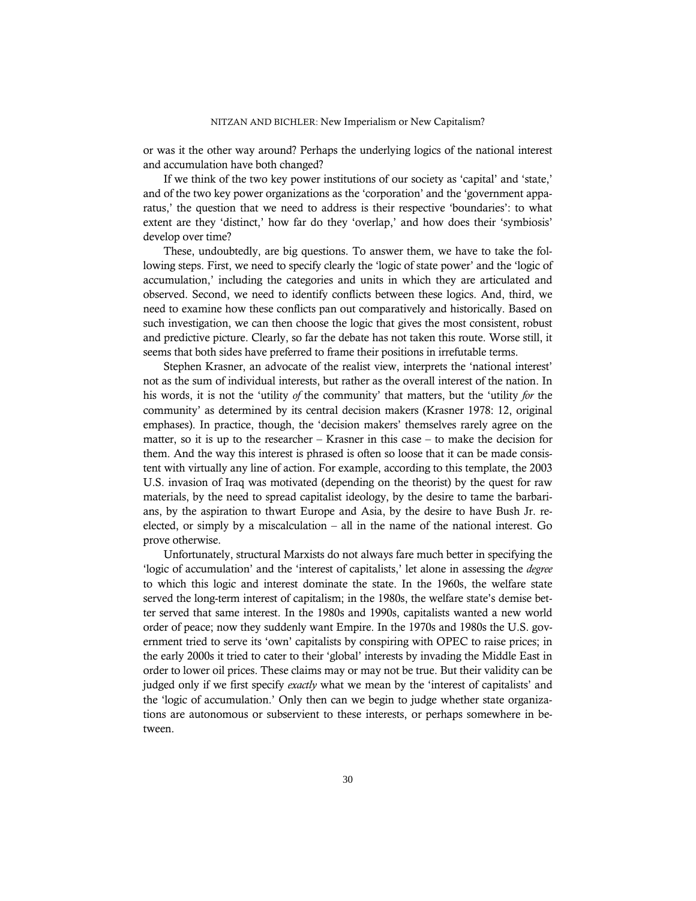or was it the other way around? Perhaps the underlying logics of the national interest and accumulation have both changed?

If we think of the two key power institutions of our society as 'capital' and 'state,' and of the two key power organizations as the 'corporation' and the 'government apparatus,' the question that we need to address is their respective 'boundaries': to what extent are they 'distinct,' how far do they 'overlap,' and how does their 'symbiosis' develop over time?

These, undoubtedly, are big questions. To answer them, we have to take the following steps. First, we need to specify clearly the 'logic of state power' and the 'logic of accumulation,' including the categories and units in which they are articulated and observed. Second, we need to identify conflicts between these logics. And, third, we need to examine how these conflicts pan out comparatively and historically. Based on such investigation, we can then choose the logic that gives the most consistent, robust and predictive picture. Clearly, so far the debate has not taken this route. Worse still, it seems that both sides have preferred to frame their positions in irrefutable terms.

Stephen Krasner, an advocate of the realist view, interprets the 'national interest' not as the sum of individual interests, but rather as the overall interest of the nation. In his words, it is not the 'utility *of* the community' that matters, but the 'utility *for* the community' as determined by its central decision makers (Krasner 1978: 12, original emphases). In practice, though, the 'decision makers' themselves rarely agree on the matter, so it is up to the researcher – Krasner in this case – to make the decision for them. And the way this interest is phrased is often so loose that it can be made consistent with virtually any line of action. For example, according to this template, the 2003 U.S. invasion of Iraq was motivated (depending on the theorist) by the quest for raw materials, by the need to spread capitalist ideology, by the desire to tame the barbarians, by the aspiration to thwart Europe and Asia, by the desire to have Bush Jr. reelected, or simply by a miscalculation – all in the name of the national interest. Go prove otherwise.

Unfortunately, structural Marxists do not always fare much better in specifying the 'logic of accumulation' and the 'interest of capitalists,' let alone in assessing the *degree*  to which this logic and interest dominate the state. In the 1960s, the welfare state served the long-term interest of capitalism; in the 1980s, the welfare state's demise better served that same interest. In the 1980s and 1990s, capitalists wanted a new world order of peace; now they suddenly want Empire. In the 1970s and 1980s the U.S. government tried to serve its 'own' capitalists by conspiring with OPEC to raise prices; in the early 2000s it tried to cater to their 'global' interests by invading the Middle East in order to lower oil prices. These claims may or may not be true. But their validity can be judged only if we first specify *exactly* what we mean by the 'interest of capitalists' and the 'logic of accumulation.' Only then can we begin to judge whether state organizations are autonomous or subservient to these interests, or perhaps somewhere in between.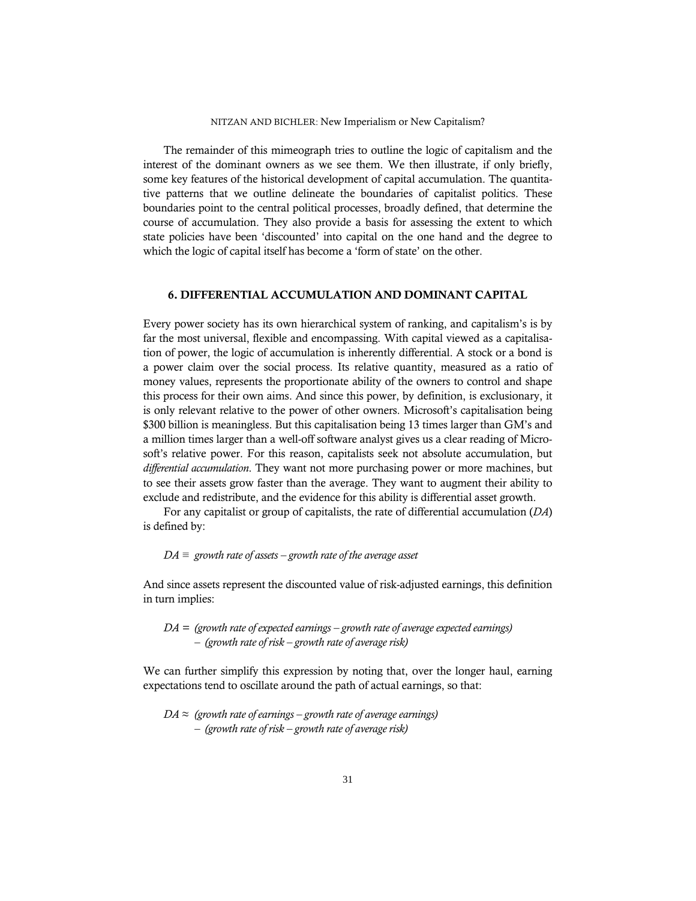The remainder of this mimeograph tries to outline the logic of capitalism and the interest of the dominant owners as we see them. We then illustrate, if only briefly, some key features of the historical development of capital accumulation. The quantitative patterns that we outline delineate the boundaries of capitalist politics. These boundaries point to the central political processes, broadly defined, that determine the course of accumulation. They also provide a basis for assessing the extent to which state policies have been 'discounted' into capital on the one hand and the degree to which the logic of capital itself has become a 'form of state' on the other.

# 6. DIFFERENTIAL ACCUMULATION AND DOMINANT CAPITAL

Every power society has its own hierarchical system of ranking, and capitalism's is by far the most universal, flexible and encompassing. With capital viewed as a capitalisation of power, the logic of accumulation is inherently differential. A stock or a bond is a power claim over the social process. Its relative quantity, measured as a ratio of money values, represents the proportionate ability of the owners to control and shape this process for their own aims. And since this power, by definition, is exclusionary, it is only relevant relative to the power of other owners. Microsoft's capitalisation being \$300 billion is meaningless. But this capitalisation being 13 times larger than GM's and a million times larger than a well-off software analyst gives us a clear reading of Microsoft's relative power. For this reason, capitalists seek not absolute accumulation, but *differential accumulation*. They want not more purchasing power or more machines, but to see their assets grow faster than the average. They want to augment their ability to exclude and redistribute, and the evidence for this ability is differential asset growth.

For any capitalist or group of capitalists, the rate of differential accumulation (*DA*) is defined by:

# $DA \equiv$  growth rate of assets – growth rate of the average asset

And since assets represent the discounted value of risk-adjusted earnings, this definition in turn implies:

*DA = (growth rate of expected earnings – growth rate of average expected earnings) – (growth rate of risk – growth rate of average risk)* 

We can further simplify this expression by noting that, over the longer haul, earning expectations tend to oscillate around the path of actual earnings, so that:

 $DA \approx$  (growth rate of earnings – growth rate of average earnings)  *– (growth rate of risk – growth rate of average risk)*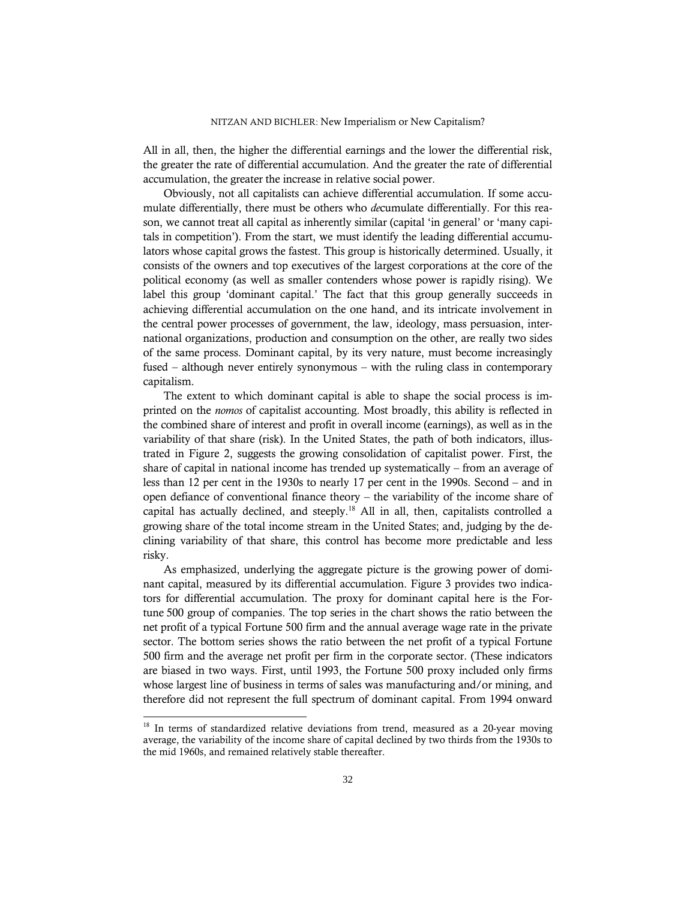All in all, then, the higher the differential earnings and the lower the differential risk, the greater the rate of differential accumulation. And the greater the rate of differential accumulation, the greater the increase in relative social power.

Obviously, not all capitalists can achieve differential accumulation. If some accumulate differentially, there must be others who *de*cumulate differentially. For this reason, we cannot treat all capital as inherently similar (capital 'in general' or 'many capitals in competition'). From the start, we must identify the leading differential accumulators whose capital grows the fastest. This group is historically determined. Usually, it consists of the owners and top executives of the largest corporations at the core of the political economy (as well as smaller contenders whose power is rapidly rising). We label this group 'dominant capital.' The fact that this group generally succeeds in achieving differential accumulation on the one hand, and its intricate involvement in the central power processes of government, the law, ideology, mass persuasion, international organizations, production and consumption on the other, are really two sides of the same process. Dominant capital, by its very nature, must become increasingly fused – although never entirely synonymous – with the ruling class in contemporary capitalism.

The extent to which dominant capital is able to shape the social process is imprinted on the *nomos* of capitalist accounting. Most broadly, this ability is reflected in the combined share of interest and profit in overall income (earnings), as well as in the variability of that share (risk). In the United States, the path of both indicators, illustrated in Figure 2, suggests the growing consolidation of capitalist power. First, the share of capital in national income has trended up systematically – from an average of less than 12 per cent in the 1930s to nearly 17 per cent in the 1990s. Second – and in open defiance of conventional finance theory – the variability of the income share of capital has actually declined, and steeply. [18](#page-33-0) All in all, then, capitalists controlled a growing share of the total income stream in the United States; and, judging by the declining variability of that share, this control has become more predictable and less risky.

As emphasized, underlying the aggregate picture is the growing power of dominant capital, measured by its differential accumulation. Figure 3 provides two indicators for differential accumulation. The proxy for dominant capital here is the Fortune 500 group of companies. The top series in the chart shows the ratio between the net profit of a typical Fortune 500 firm and the annual average wage rate in the private sector. The bottom series shows the ratio between the net profit of a typical Fortune 500 firm and the average net profit per firm in the corporate sector. (These indicators are biased in two ways. First, until 1993, the Fortune 500 proxy included only firms whose largest line of business in terms of sales was manufacturing and/or mining, and therefore did not represent the full spectrum of dominant capital. From 1994 onward

<span id="page-33-0"></span> $18\,$ 18 In terms of standardized relative deviations from trend, measured as a 20-year moving average, the variability of the income share of capital declined by two thirds from the 1930s to the mid 1960s, and remained relatively stable thereafter.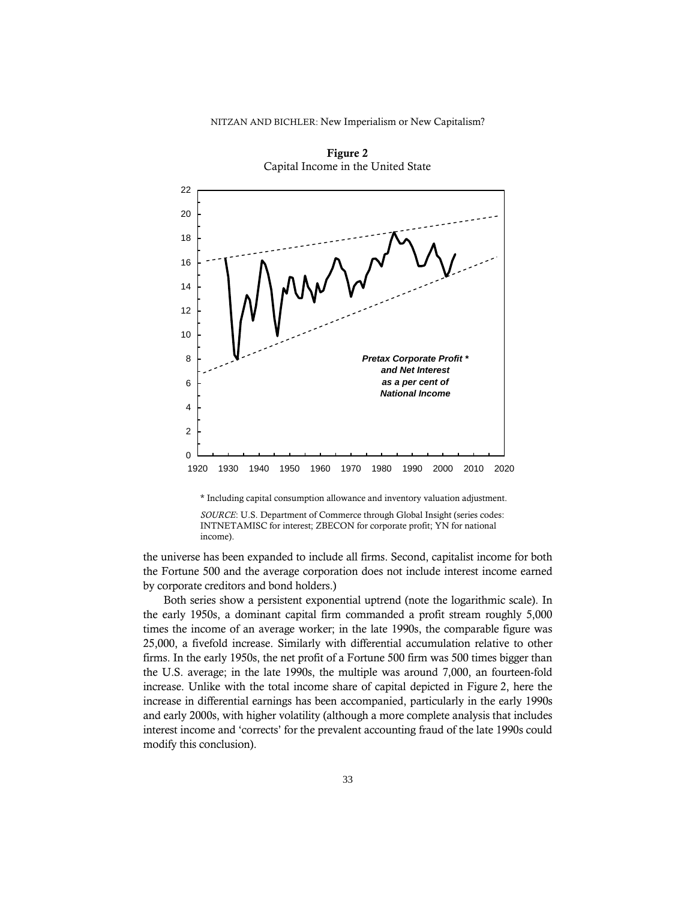

Figure 2 Capital Income in the United State

\* Including capital consumption allowance and inventory valuation adjustment.

*SOURCE*: U.S. Department of Commerce through Global Insight (series codes: INTNETAMISC for interest; ZBECON for corporate profit; YN for national income).

the universe has been expanded to include all firms. Second, capitalist income for both the Fortune 500 and the average corporation does not include interest income earned by corporate creditors and bond holders.)

Both series show a persistent exponential uptrend (note the logarithmic scale). In the early 1950s, a dominant capital firm commanded a profit stream roughly 5,000 times the income of an average worker; in the late 1990s, the comparable figure was 25,000, a fivefold increase. Similarly with differential accumulation relative to other firms. In the early 1950s, the net profit of a Fortune 500 firm was 500 times bigger than the U.S. average; in the late 1990s, the multiple was around 7,000, an fourteen-fold increase. Unlike with the total income share of capital depicted in Figure 2, here the increase in differential earnings has been accompanied, particularly in the early 1990s and early 2000s, with higher volatility (although a more complete analysis that includes interest income and 'corrects' for the prevalent accounting fraud of the late 1990s could modify this conclusion).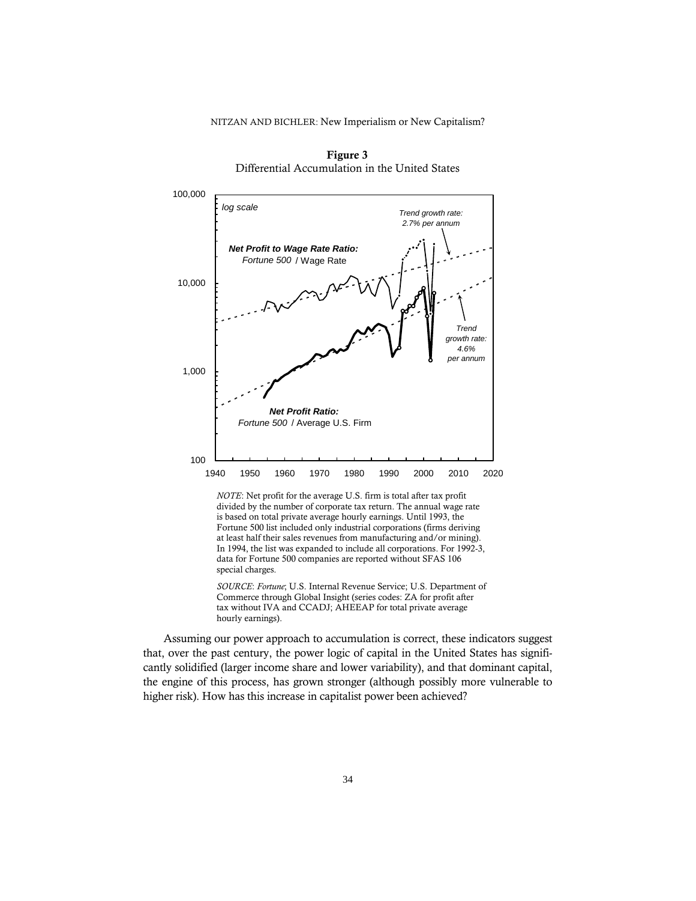

Figure 3 Differential Accumulation in the United States

*NOTE*: Net profit for the average U.S. firm is total after tax profit divided by the number of corporate tax return. The annual wage rate is based on total private average hourly earnings. Until 1993, the Fortune 500 list included only industrial corporations (firms deriving at least half their sales revenues from manufacturing and/or mining). In 1994, the list was expanded to include all corporations. For 1992-3, data for Fortune 500 companies are reported without SFAS 106 special charges.

*SOURCE*: *Fortune*; U.S. Internal Revenue Service; U.S. Department of Commerce through Global Insight (series codes: ZA for profit after tax without IVA and CCADJ; AHEEAP for total private average hourly earnings).

Assuming our power approach to accumulation is correct, these indicators suggest that, over the past century, the power logic of capital in the United States has significantly solidified (larger income share and lower variability), and that dominant capital, the engine of this process, has grown stronger (although possibly more vulnerable to higher risk). How has this increase in capitalist power been achieved?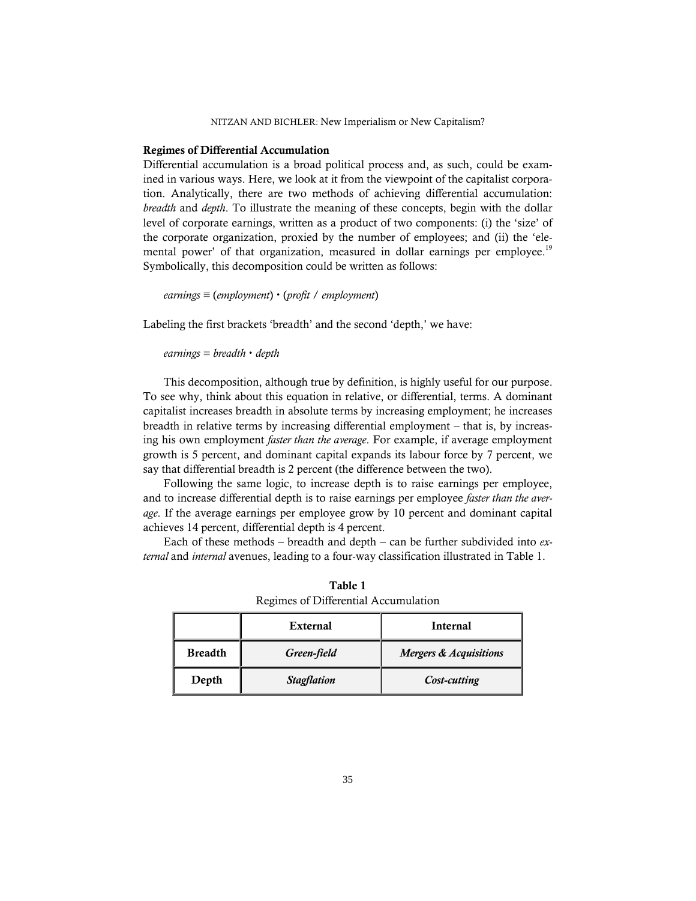# Regimes of Differential Accumulation

Differential accumulation is a broad political process and, as such, could be examined in various ways. Here, we look at it from the viewpoint of the capitalist corporation. Analytically, there are two methods of achieving differential accumulation: *breadth* and *depth*. To illustrate the meaning of these concepts, begin with the dollar level of corporate earnings, written as a product of two components: (i) the 'size' of the corporate organization, proxied by the number of employees; and (ii) the 'ele-mental power' of that organization, measured in dollar earnings per employee.<sup>[19](#page-36-0)</sup> Symbolically, this decomposition could be written as follows:

```
\epsilonearnings \equiv (employment) \cdot (profit / employment)
```
Labeling the first brackets 'breadth' and the second 'depth,' we have:

```
earnings \equiv breadth \cdot depth
```
This decomposition, although true by definition, is highly useful for our purpose. To see why, think about this equation in relative, or differential, terms. A dominant capitalist increases breadth in absolute terms by increasing employment; he increases breadth in relative terms by increasing differential employment – that is, by increasing his own employment *faster than the average*. For example, if average employment growth is 5 percent, and dominant capital expands its labour force by 7 percent, we say that differential breadth is 2 percent (the difference between the two).

Following the same logic, to increase depth is to raise earnings per employee, and to increase differential depth is to raise earnings per employee *faster than the average*. If the average earnings per employee grow by 10 percent and dominant capital achieves 14 percent, differential depth is 4 percent.

Each of these methods – breadth and depth – can be further subdivided into *external* and *internal* avenues, leading to a four-way classification illustrated in Table 1.

<span id="page-36-0"></span>

|                | External           | Internal                          |  |
|----------------|--------------------|-----------------------------------|--|
| <b>Breadth</b> | Green-field        | <b>Mergers &amp; Acquisitions</b> |  |
| Depth          | <b>Stagflation</b> | Cost-cutting                      |  |

Table 1 Regimes of Differential Accumulation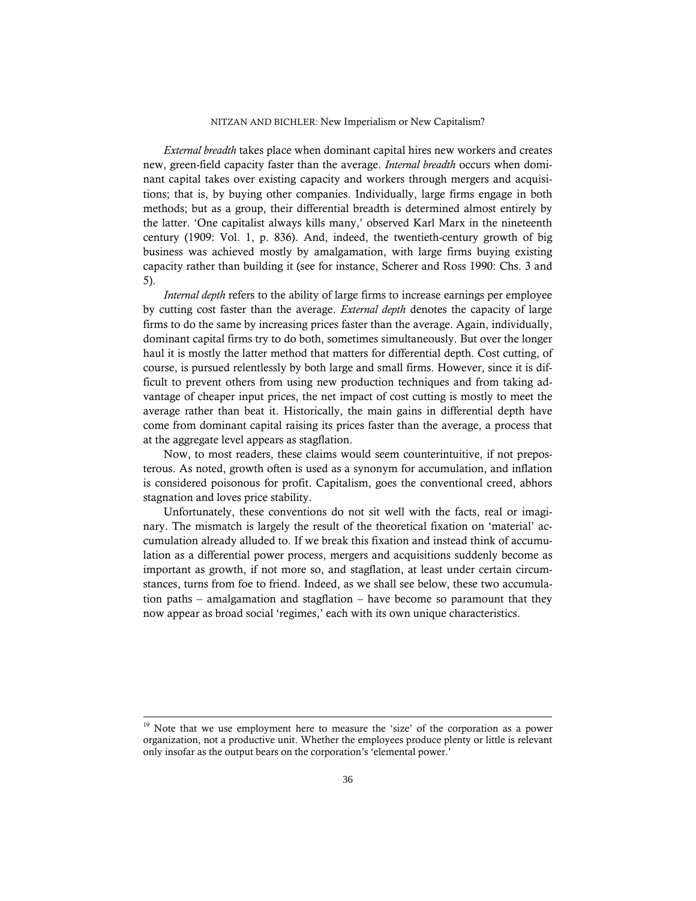*External breadth* takes place when dominant capital hires new workers and creates new, green-field capacity faster than the average. *Internal breadth* occurs when dominant capital takes over existing capacity and workers through mergers and acquisitions; that is, by buying other companies. Individually, large firms engage in both methods; but as a group, their differential breadth is determined almost entirely by the latter. 'One capitalist always kills many,' observed Karl Marx in the nineteenth century (1909: Vol. 1, p. 836). And, indeed, the twentieth-century growth of big business was achieved mostly by amalgamation, with large firms buying existing capacity rather than building it (see for instance, Scherer and Ross 1990: Chs. 3 and 5).

*Internal depth* refers to the ability of large firms to increase earnings per employee by cutting cost faster than the average. *External depth* denotes the capacity of large firms to do the same by increasing prices faster than the average. Again, individually, dominant capital firms try to do both, sometimes simultaneously. But over the longer haul it is mostly the latter method that matters for differential depth. Cost cutting, of course, is pursued relentlessly by both large and small firms. However, since it is difficult to prevent others from using new production techniques and from taking advantage of cheaper input prices, the net impact of cost cutting is mostly to meet the average rather than beat it. Historically, the main gains in differential depth have come from dominant capital raising its prices faster than the average, a process that at the aggregate level appears as stagflation.

Now, to most readers, these claims would seem counterintuitive, if not preposterous. As noted, growth often is used as a synonym for accumulation, and inflation is considered poisonous for profit. Capitalism, goes the conventional creed, abhors stagnation and loves price stability.

Unfortunately, these conventions do not sit well with the facts, real or imaginary. The mismatch is largely the result of the theoretical fixation on 'material' accumulation already alluded to. If we break this fixation and instead think of accumulation as a differential power process, mergers and acquisitions suddenly become as important as growth, if not more so, and stagflation, at least under certain circumstances, turns from foe to friend. Indeed, as we shall see below, these two accumulation paths – amalgamation and stagflation – have become so paramount that they now appear as broad social 'regimes,' each with its own unique characteristics.

1

Note that we use employment here to measure the 'size' of the corporation as a power organization, not a productive unit. Whether the employees produce plenty or little is relevant only insofar as the output bears on the corporation's 'elemental power.'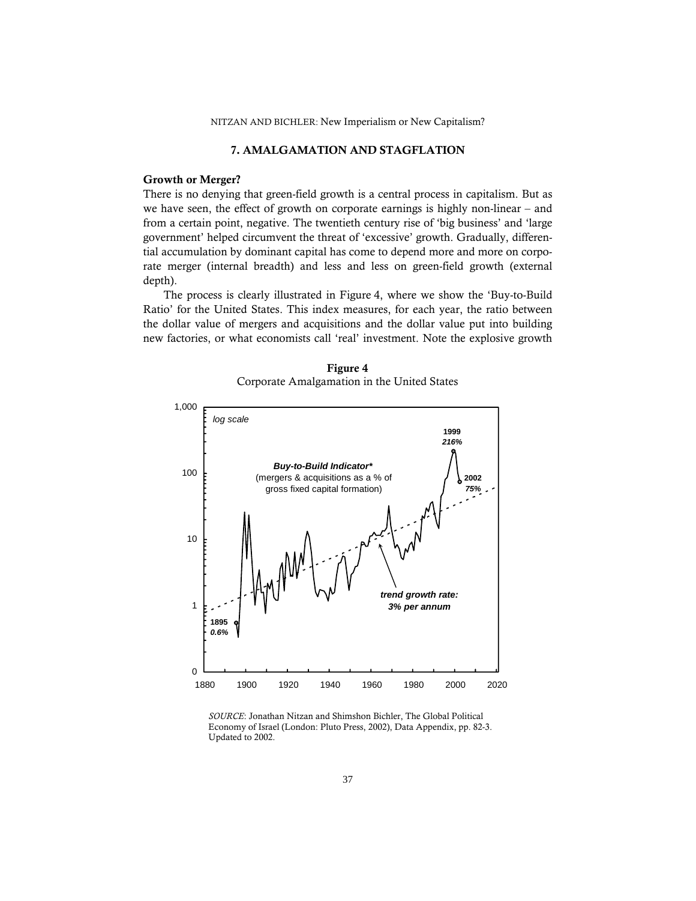# 7. AMALGAMATION AND STAGFLATION

#### Growth or Merger?

There is no denying that green-field growth is a central process in capitalism. But as we have seen, the effect of growth on corporate earnings is highly non-linear – and from a certain point, negative. The twentieth century rise of 'big business' and 'large government' helped circumvent the threat of 'excessive' growth. Gradually, differential accumulation by dominant capital has come to depend more and more on corporate merger (internal breadth) and less and less on green-field growth (external depth).

The process is clearly illustrated in Figure 4, where we show the 'Buy-to-Build Ratio' for the United States. This index measures, for each year, the ratio between the dollar value of mergers and acquisitions and the dollar value put into building new factories, or what economists call 'real' investment. Note the explosive growth



Figure 4 Corporate Amalgamation in the United States

*SOURCE*: Jonathan Nitzan and Shimshon Bichler, The Global Political Economy of Israel (London: Pluto Press, 2002), Data Appendix, pp. 82-3. Updated to 2002.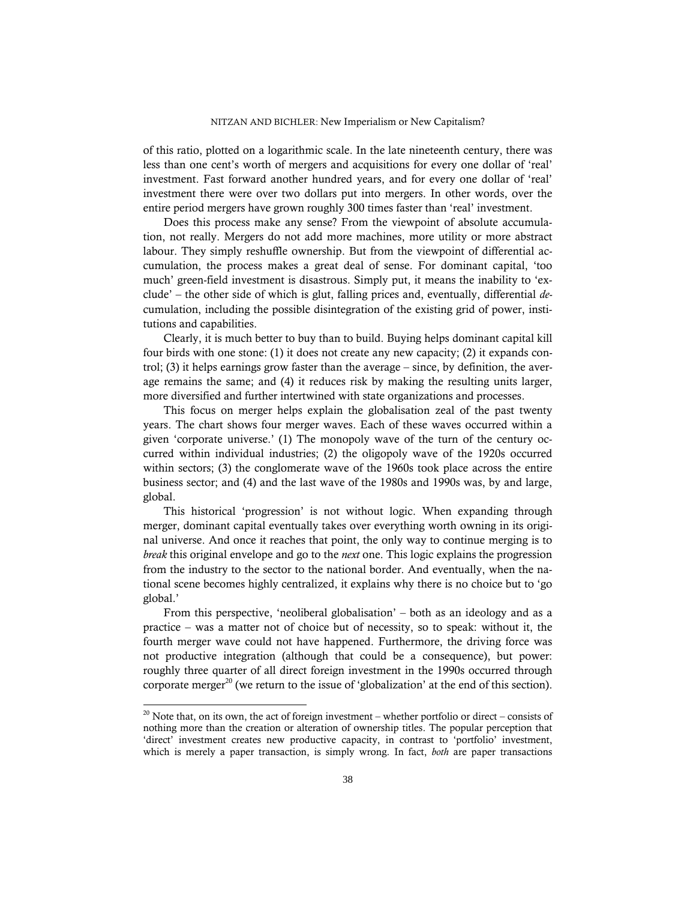of this ratio, plotted on a logarithmic scale. In the late nineteenth century, there was less than one cent's worth of mergers and acquisitions for every one dollar of 'real' investment. Fast forward another hundred years, and for every one dollar of 'real' investment there were over two dollars put into mergers. In other words, over the entire period mergers have grown roughly 300 times faster than 'real' investment.

Does this process make any sense? From the viewpoint of absolute accumulation, not really. Mergers do not add more machines, more utility or more abstract labour. They simply reshuffle ownership. But from the viewpoint of differential accumulation, the process makes a great deal of sense. For dominant capital, 'too much' green-field investment is disastrous. Simply put, it means the inability to 'exclude' – the other side of which is glut, falling prices and, eventually, differential *de*cumulation, including the possible disintegration of the existing grid of power, institutions and capabilities.

Clearly, it is much better to buy than to build. Buying helps dominant capital kill four birds with one stone: (1) it does not create any new capacity; (2) it expands control; (3) it helps earnings grow faster than the average – since, by definition, the average remains the same; and (4) it reduces risk by making the resulting units larger, more diversified and further intertwined with state organizations and processes.

This focus on merger helps explain the globalisation zeal of the past twenty years. The chart shows four merger waves. Each of these waves occurred within a given 'corporate universe.' (1) The monopoly wave of the turn of the century occurred within individual industries; (2) the oligopoly wave of the 1920s occurred within sectors; (3) the conglomerate wave of the 1960s took place across the entire business sector; and (4) and the last wave of the 1980s and 1990s was, by and large, global.

This historical 'progression' is not without logic. When expanding through merger, dominant capital eventually takes over everything worth owning in its original universe. And once it reaches that point, the only way to continue merging is to *break* this original envelope and go to the *next* one. This logic explains the progression from the industry to the sector to the national border. And eventually, when the national scene becomes highly centralized, it explains why there is no choice but to 'go global.'

From this perspective, 'neoliberal globalisation' – both as an ideology and as a practice – was a matter not of choice but of necessity, so to speak: without it, the fourth merger wave could not have happened. Furthermore, the driving force was not productive integration (although that could be a consequence), but power: roughly three quarter of all direct foreign investment in the 1990s occurred through corporate merger<sup>20</sup> (we return to the issue of 'globalization' at the end of this section).

 $\overline{a}$ 

<span id="page-39-0"></span><sup>&</sup>lt;sup>20</sup> Note that, on its own, the act of foreign investment – whether portfolio or direct – consists of nothing more than the creation or alteration of ownership titles. The popular perception that 'direct' investment creates new productive capacity, in contrast to 'portfolio' investment, which is merely a paper transaction, is simply wrong. In fact, *both* are paper transactions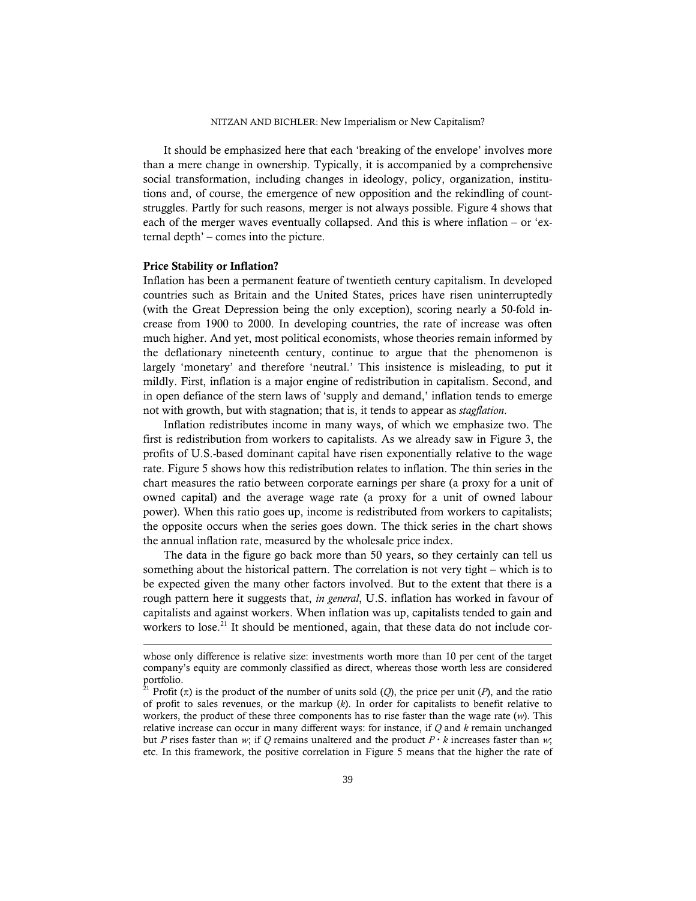It should be emphasized here that each 'breaking of the envelope' involves more than a mere change in ownership. Typically, it is accompanied by a comprehensive social transformation, including changes in ideology, policy, organization, institutions and, of course, the emergence of new opposition and the rekindling of countstruggles. Partly for such reasons, merger is not always possible. Figure 4 shows that each of the merger waves eventually collapsed. And this is where inflation – or 'external depth' – comes into the picture.

#### Price Stability or Inflation?

 $\overline{a}$ 

Inflation has been a permanent feature of twentieth century capitalism. In developed countries such as Britain and the United States, prices have risen uninterruptedly (with the Great Depression being the only exception), scoring nearly a 50-fold increase from 1900 to 2000. In developing countries, the rate of increase was often much higher. And yet, most political economists, whose theories remain informed by the deflationary nineteenth century, continue to argue that the phenomenon is largely 'monetary' and therefore 'neutral.' This insistence is misleading, to put it mildly. First, inflation is a major engine of redistribution in capitalism. Second, and in open defiance of the stern laws of 'supply and demand,' inflation tends to emerge not with growth, but with stagnation; that is, it tends to appear as *stagflation*.

Inflation redistributes income in many ways, of which we emphasize two. The first is redistribution from workers to capitalists. As we already saw in Figure 3, the profits of U.S.-based dominant capital have risen exponentially relative to the wage rate. Figure 5 shows how this redistribution relates to inflation. The thin series in the chart measures the ratio between corporate earnings per share (a proxy for a unit of owned capital) and the average wage rate (a proxy for a unit of owned labour power). When this ratio goes up, income is redistributed from workers to capitalists; the opposite occurs when the series goes down. The thick series in the chart shows the annual inflation rate, measured by the wholesale price index.

The data in the figure go back more than 50 years, so they certainly can tell us something about the historical pattern. The correlation is not very tight – which is to be expected given the many other factors involved. But to the extent that there is a rough pattern here it suggests that, *in general*, U.S. inflation has worked in favour of capitalists and against workers. When inflation was up, capitalists tended to gain and workers to lose.<sup>21</sup> It should be mentioned, again, that these data do not include cor-

whose only difference is relative size: investments worth more than 10 per cent of the target company's equity are commonly classified as direct, whereas those worth less are considered portfolio.

<span id="page-40-0"></span>Profit  $(\pi)$  is the product of the number of units sold  $(Q)$ , the price per unit  $(P)$ , and the ratio of profit to sales revenues, or the markup (*k*). In order for capitalists to benefit relative to workers, the product of these three components has to rise faster than the wage rate (*w*). This relative increase can occur in many different ways: for instance, if *Q* and *k* remain unchanged but *P* rises faster than *w*; if *Q* remains unaltered and the product  $P \cdot k$  increases faster than *w*; etc. In this framework, the positive correlation in Figure 5 means that the higher the rate of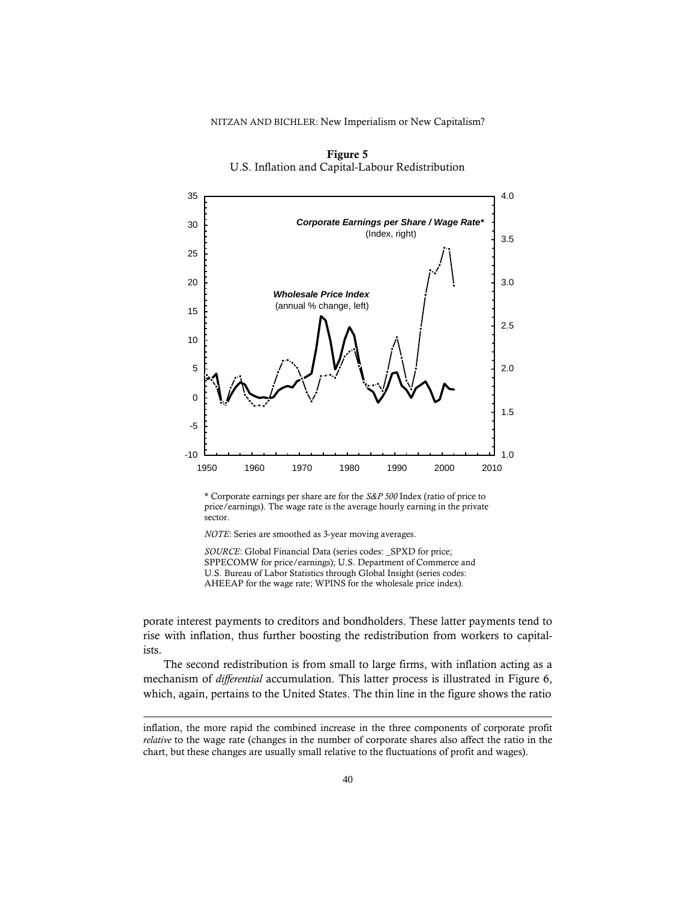

Figure 5 U.S. Inflation and Capital-Labour Redistribution

\* Corporate earnings per share are for the *S&P 500* Index (ratio of price to price/earnings). The wage rate is the average hourly earning in the private sector.

*NOTE*: Series are smoothed as 3-year moving averages.

 $\overline{a}$ 

*SOURCE*: Global Financial Data (series codes: \_SPXD for price; SPPECOMW for price/earnings); U.S. Department of Commerce and U.S. Bureau of Labor Statistics through Global Insight (series codes: AHEEAP for the wage rate; WPINS for the wholesale price index).

porate interest payments to creditors and bondholders. These latter payments tend to rise with inflation, thus further boosting the redistribution from workers to capitalists.

The second redistribution is from small to large firms, with inflation acting as a mechanism of *differential* accumulation. This latter process is illustrated in Figure 6, which, again, pertains to the United States. The thin line in the figure shows the ratio

inflation, the more rapid the combined increase in the three components of corporate profit *relative* to the wage rate (changes in the number of corporate shares also affect the ratio in the chart, but these changes are usually small relative to the fluctuations of profit and wages).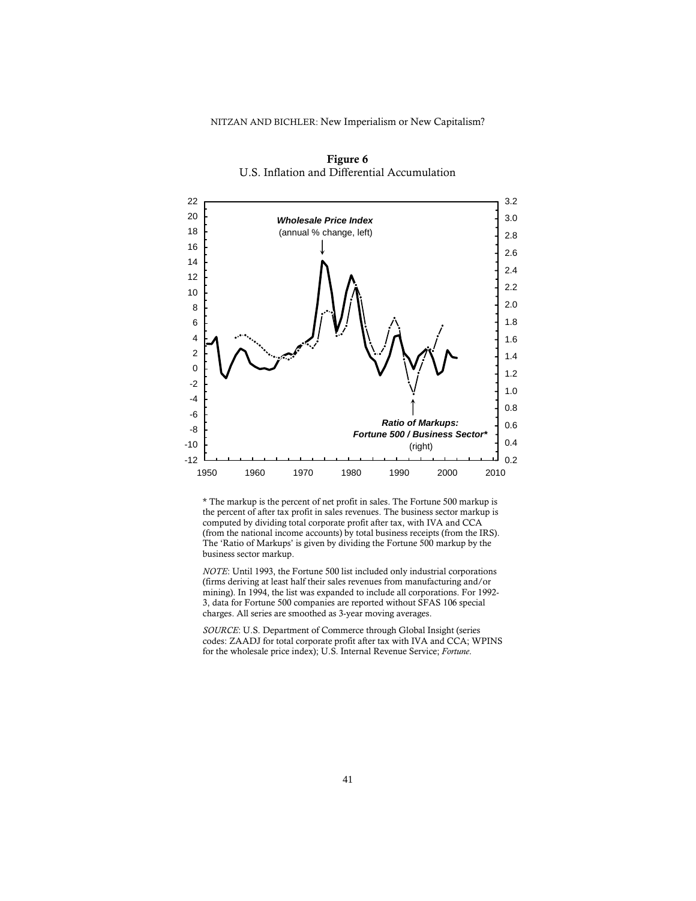

Figure 6 U.S. Inflation and Differential Accumulation

\* The markup is the percent of net profit in sales. The Fortune 500 markup is the percent of after tax profit in sales revenues. The business sector markup is computed by dividing total corporate profit after tax, with IVA and CCA (from the national income accounts) by total business receipts (from the IRS). The 'Ratio of Markups' is given by dividing the Fortune 500 markup by the business sector markup.

*NOTE*: Until 1993, the Fortune 500 list included only industrial corporations (firms deriving at least half their sales revenues from manufacturing and/or mining). In 1994, the list was expanded to include all corporations. For 1992- 3, data for Fortune 500 companies are reported without SFAS 106 special charges. All series are smoothed as 3-year moving averages.

*SOURCE*: U.S. Department of Commerce through Global Insight (series codes: ZAADJ for total corporate profit after tax with IVA and CCA; WPINS for the wholesale price index); U.S. Internal Revenue Service; *Fortune*.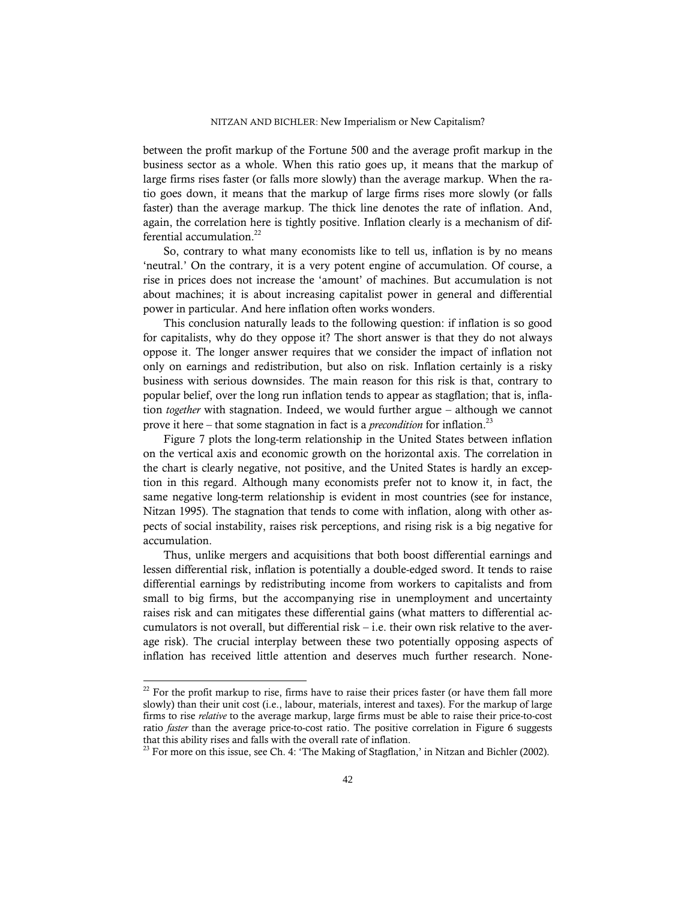between the profit markup of the Fortune 500 and the average profit markup in the business sector as a whole. When this ratio goes up, it means that the markup of large firms rises faster (or falls more slowly) than the average markup. When the ratio goes down, it means that the markup of large firms rises more slowly (or falls faster) than the average markup. The thick line denotes the rate of inflation. And, again, the correlation here is tightly positive. Inflation clearly is a mechanism of dif-ferential accumulation.<sup>[22](#page-43-0)</sup>

So, contrary to what many economists like to tell us, inflation is by no means 'neutral.' On the contrary, it is a very potent engine of accumulation. Of course, a rise in prices does not increase the 'amount' of machines. But accumulation is not about machines; it is about increasing capitalist power in general and differential power in particular. And here inflation often works wonders.

This conclusion naturally leads to the following question: if inflation is so good for capitalists, why do they oppose it? The short answer is that they do not always oppose it. The longer answer requires that we consider the impact of inflation not only on earnings and redistribution, but also on risk. Inflation certainly is a risky business with serious downsides. The main reason for this risk is that, contrary to popular belief, over the long run inflation tends to appear as stagflation; that is, inflation *together* with stagnation. Indeed, we would further argue – although we cannot prove it here – that some stagnation in fact is a *precondition* for inflation.[23](#page-43-1) 

Figure 7 plots the long-term relationship in the United States between inflation on the vertical axis and economic growth on the horizontal axis. The correlation in the chart is clearly negative, not positive, and the United States is hardly an exception in this regard. Although many economists prefer not to know it, in fact, the same negative long-term relationship is evident in most countries (see for instance, Nitzan 1995). The stagnation that tends to come with inflation, along with other aspects of social instability, raises risk perceptions, and rising risk is a big negative for accumulation.

Thus, unlike mergers and acquisitions that both boost differential earnings and lessen differential risk, inflation is potentially a double-edged sword. It tends to raise differential earnings by redistributing income from workers to capitalists and from small to big firms, but the accompanying rise in unemployment and uncertainty raises risk and can mitigates these differential gains (what matters to differential accumulators is not overall, but differential risk  $-$  i.e. their own risk relative to the average risk). The crucial interplay between these two potentially opposing aspects of inflation has received little attention and deserves much further research. None-

1

<span id="page-43-0"></span> $22$  For the profit markup to rise, firms have to raise their prices faster (or have them fall more slowly) than their unit cost (i.e., labour, materials, interest and taxes). For the markup of large firms to rise *relative* to the average markup, large firms must be able to raise their price-to-cost ratio *faster* than the average price-to-cost ratio. The positive correlation in Figure 6 suggests that this ability rises and falls with the overall rate of inflation.<br><sup>23</sup> For more on this issue, see Ch. 4: 'The Making of Stagflation,' in Nitzan and Bichler (2002).

<span id="page-43-1"></span>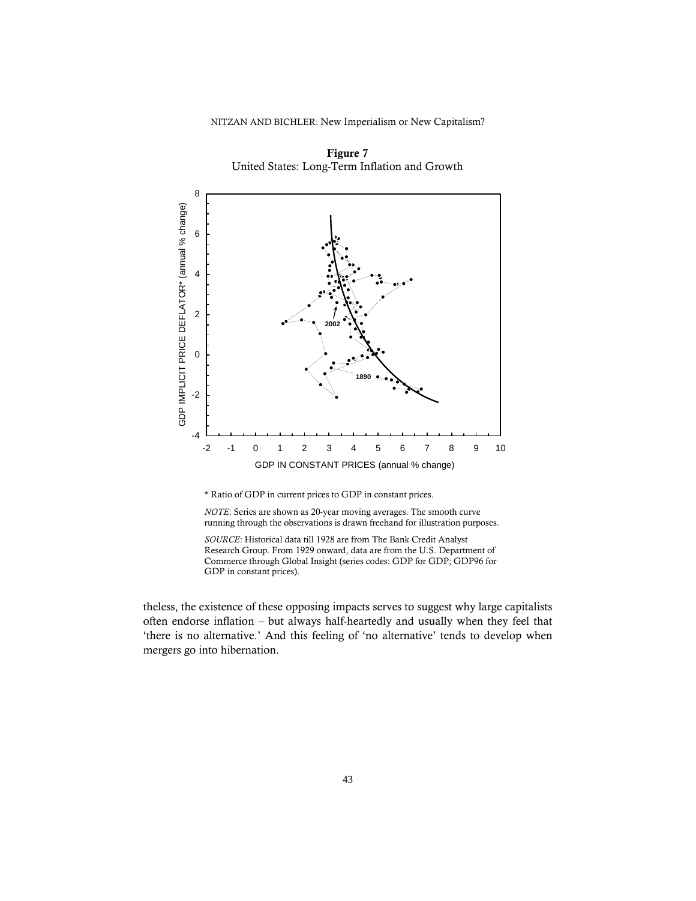

Figure 7 United States: Long-Term Inflation and Growth

\* Ratio of GDP in current prices to GDP in constant prices.

*NOTE*: Series are shown as 20-year moving averages. The smooth curve running through the observations is drawn freehand for illustration purposes.

*SOURCE*: Historical data till 1928 are from The Bank Credit Analyst Research Group*.* From 1929 onward, data are from the U.S. Department of Commerce through Global Insight (series codes: GDP for GDP; GDP96 for GDP in constant prices).

theless, the existence of these opposing impacts serves to suggest why large capitalists often endorse inflation – but always half-heartedly and usually when they feel that 'there is no alternative.' And this feeling of 'no alternative' tends to develop when mergers go into hibernation.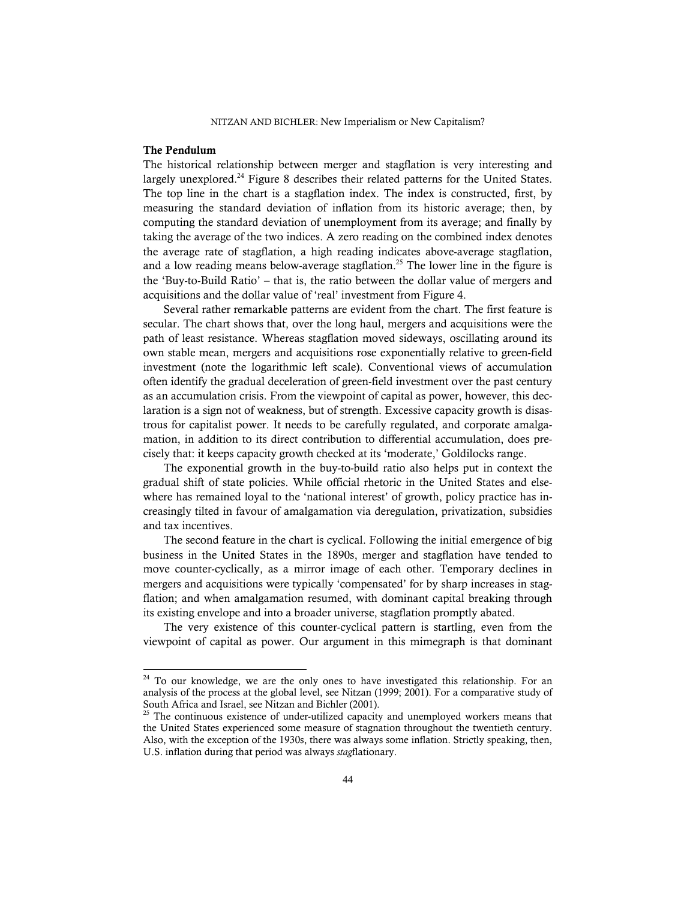# The Pendulum

-

The historical relationship between merger and stagflation is very interesting and largely unexplored.<sup>24</sup> Figure 8 describes their related patterns for the United States. The top line in the chart is a stagflation index. The index is constructed, first, by measuring the standard deviation of inflation from its historic average; then, by computing the standard deviation of unemployment from its average; and finally by taking the average of the two indices. A zero reading on the combined index denotes the average rate of stagflation, a high reading indicates above-average stagflation, and a low reading means below-average stagflation.<sup>25</sup> The lower line in the figure is the 'Buy-to-Build Ratio' – that is, the ratio between the dollar value of mergers and acquisitions and the dollar value of 'real' investment from Figure 4.

Several rather remarkable patterns are evident from the chart. The first feature is secular. The chart shows that, over the long haul, mergers and acquisitions were the path of least resistance. Whereas stagflation moved sideways, oscillating around its own stable mean, mergers and acquisitions rose exponentially relative to green-field investment (note the logarithmic left scale). Conventional views of accumulation often identify the gradual deceleration of green-field investment over the past century as an accumulation crisis. From the viewpoint of capital as power, however, this declaration is a sign not of weakness, but of strength. Excessive capacity growth is disastrous for capitalist power. It needs to be carefully regulated, and corporate amalgamation, in addition to its direct contribution to differential accumulation, does precisely that: it keeps capacity growth checked at its 'moderate,' Goldilocks range.

The exponential growth in the buy-to-build ratio also helps put in context the gradual shift of state policies. While official rhetoric in the United States and elsewhere has remained loyal to the 'national interest' of growth, policy practice has increasingly tilted in favour of amalgamation via deregulation, privatization, subsidies and tax incentives.

The second feature in the chart is cyclical. Following the initial emergence of big business in the United States in the 1890s, merger and stagflation have tended to move counter-cyclically, as a mirror image of each other. Temporary declines in mergers and acquisitions were typically 'compensated' for by sharp increases in stagflation; and when amalgamation resumed, with dominant capital breaking through its existing envelope and into a broader universe, stagflation promptly abated.

The very existence of this counter-cyclical pattern is startling, even from the viewpoint of capital as power. Our argument in this mimegraph is that dominant

<span id="page-45-0"></span><sup>&</sup>lt;sup>24</sup> To our knowledge, we are the only ones to have investigated this relationship. For an analysis of the process at the global level, see Nitzan (1999; 2001). For a comparative study of

<span id="page-45-1"></span> $25$  The continuous existence of under-utilized capacity and unemployed workers means that the United States experienced some measure of stagnation throughout the twentieth century. Also, with the exception of the 1930s, there was always some inflation. Strictly speaking, then, U.S. inflation during that period was always *stag*flationary.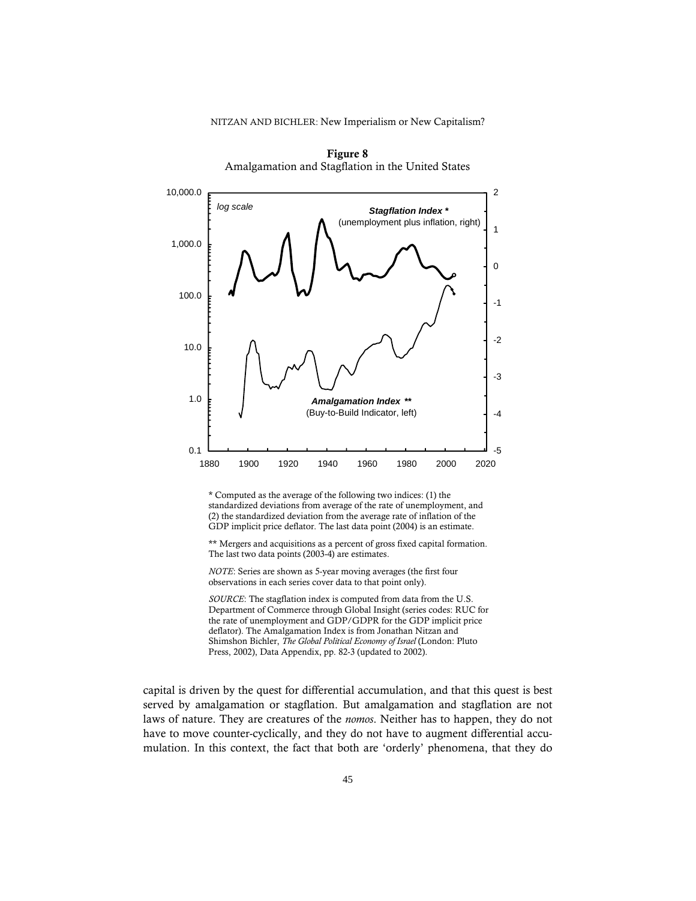

Figure 8 Amalgamation and Stagflation in the United States

\* Computed as the average of the following two indices: (1) the standardized deviations from average of the rate of unemployment, and (2) the standardized deviation from the average rate of inflation of the GDP implicit price deflator. The last data point (2004) is an estimate.

\*\* Mergers and acquisitions as a percent of gross fixed capital formation. The last two data points (2003-4) are estimates.

*NOTE*: Series are shown as 5-year moving averages (the first four observations in each series cover data to that point only).

*SOURCE*: The stagflation index is computed from data from the U.S. Department of Commerce through Global Insight (series codes: RUC for the rate of unemployment and GDP/GDPR for the GDP implicit price deflator). The Amalgamation Index is from Jonathan Nitzan and Shimshon Bichler, *The Global Political Economy of Israel* (London: Pluto Press, 2002), Data Appendix, pp. 82-3 (updated to 2002).

capital is driven by the quest for differential accumulation, and that this quest is best served by amalgamation or stagflation. But amalgamation and stagflation are not laws of nature. They are creatures of the *nomos*. Neither has to happen, they do not have to move counter-cyclically, and they do not have to augment differential accumulation. In this context, the fact that both are 'orderly' phenomena, that they do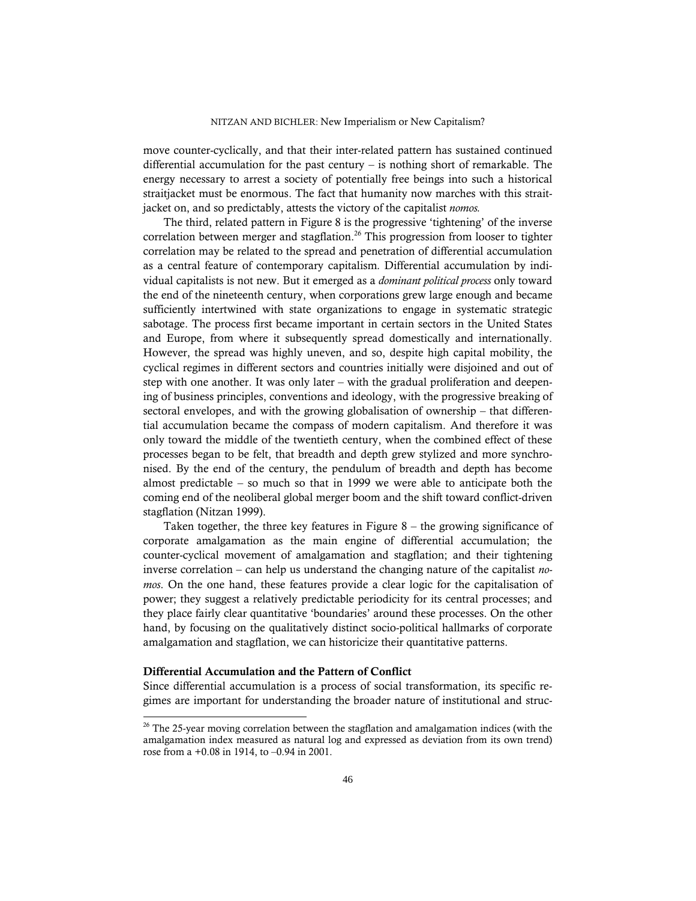move counter-cyclically, and that their inter-related pattern has sustained continued differential accumulation for the past century  $-$  is nothing short of remarkable. The energy necessary to arrest a society of potentially free beings into such a historical straitjacket must be enormous. The fact that humanity now marches with this straitjacket on, and so predictably, attests the victory of the capitalist *nomos.*

The third, related pattern in Figure 8 is the progressive 'tightening' of the inverse correlation between merger and stagflation.<sup>26</sup> This progression from looser to tighter correlation may be related to the spread and penetration of differential accumulation as a central feature of contemporary capitalism*.* Differential accumulation by individual capitalists is not new. But it emerged as a *dominant political process* only toward the end of the nineteenth century, when corporations grew large enough and became sufficiently intertwined with state organizations to engage in systematic strategic sabotage. The process first became important in certain sectors in the United States and Europe, from where it subsequently spread domestically and internationally. However, the spread was highly uneven, and so, despite high capital mobility, the cyclical regimes in different sectors and countries initially were disjoined and out of step with one another. It was only later – with the gradual proliferation and deepening of business principles, conventions and ideology, with the progressive breaking of sectoral envelopes, and with the growing globalisation of ownership – that differential accumulation became the compass of modern capitalism. And therefore it was only toward the middle of the twentieth century, when the combined effect of these processes began to be felt, that breadth and depth grew stylized and more synchronised. By the end of the century, the pendulum of breadth and depth has become almost predictable – so much so that in 1999 we were able to anticipate both the coming end of the neoliberal global merger boom and the shift toward conflict-driven stagflation (Nitzan 1999).

Taken together, the three key features in Figure  $8$  – the growing significance of corporate amalgamation as the main engine of differential accumulation; the counter-cyclical movement of amalgamation and stagflation; and their tightening inverse correlation – can help us understand the changing nature of the capitalist *nomos*. On the one hand, these features provide a clear logic for the capitalisation of power; they suggest a relatively predictable periodicity for its central processes; and they place fairly clear quantitative 'boundaries' around these processes. On the other hand, by focusing on the qualitatively distinct socio-political hallmarks of corporate amalgamation and stagflation, we can historicize their quantitative patterns.

#### Differential Accumulation and the Pattern of Conflict

1

Since differential accumulation is a process of social transformation, its specific regimes are important for understanding the broader nature of institutional and struc-

<span id="page-47-0"></span> $26$  The 25-year moving correlation between the stagflation and amalgamation indices (with the amalgamation index measured as natural log and expressed as deviation from its own trend) rose from a +0.08 in 1914, to –0.94 in 2001.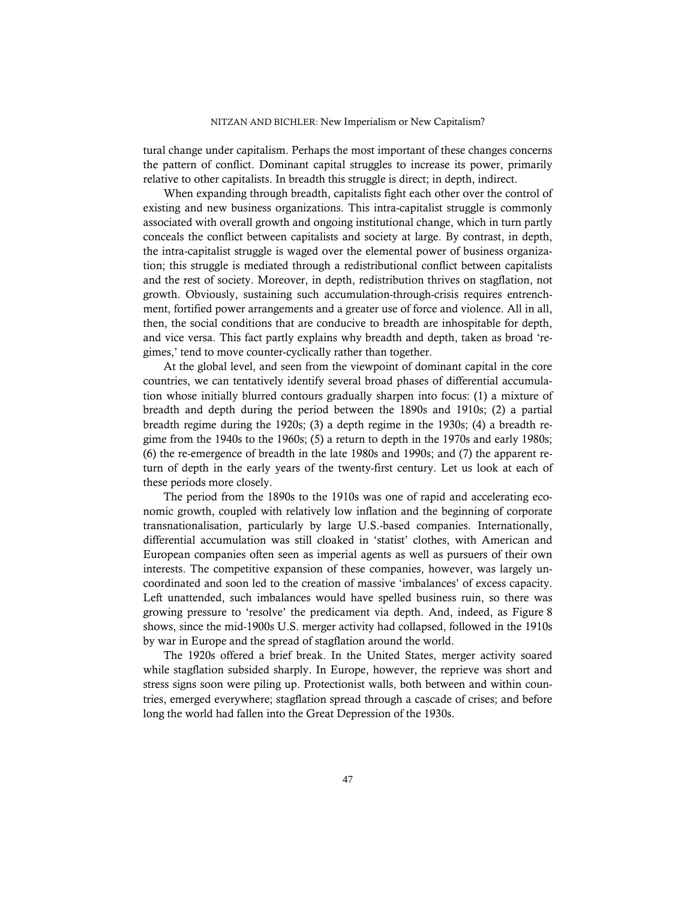tural change under capitalism. Perhaps the most important of these changes concerns the pattern of conflict. Dominant capital struggles to increase its power, primarily relative to other capitalists. In breadth this struggle is direct; in depth, indirect.

When expanding through breadth, capitalists fight each other over the control of existing and new business organizations. This intra-capitalist struggle is commonly associated with overall growth and ongoing institutional change, which in turn partly conceals the conflict between capitalists and society at large. By contrast, in depth, the intra-capitalist struggle is waged over the elemental power of business organization; this struggle is mediated through a redistributional conflict between capitalists and the rest of society. Moreover, in depth, redistribution thrives on stagflation, not growth. Obviously, sustaining such accumulation-through-crisis requires entrenchment, fortified power arrangements and a greater use of force and violence. All in all, then, the social conditions that are conducive to breadth are inhospitable for depth, and vice versa. This fact partly explains why breadth and depth, taken as broad 'regimes,' tend to move counter-cyclically rather than together.

At the global level, and seen from the viewpoint of dominant capital in the core countries, we can tentatively identify several broad phases of differential accumulation whose initially blurred contours gradually sharpen into focus: (1) a mixture of breadth and depth during the period between the 1890s and 1910s; (2) a partial breadth regime during the 1920s; (3) a depth regime in the 1930s; (4) a breadth regime from the 1940s to the 1960s; (5) a return to depth in the 1970s and early 1980s; (6) the re-emergence of breadth in the late 1980s and 1990s; and (7) the apparent return of depth in the early years of the twenty-first century. Let us look at each of these periods more closely.

The period from the 1890s to the 1910s was one of rapid and accelerating economic growth, coupled with relatively low inflation and the beginning of corporate transnationalisation, particularly by large U.S.-based companies. Internationally, differential accumulation was still cloaked in 'statist' clothes, with American and European companies often seen as imperial agents as well as pursuers of their own interests. The competitive expansion of these companies, however, was largely uncoordinated and soon led to the creation of massive 'imbalances' of excess capacity. Left unattended, such imbalances would have spelled business ruin, so there was growing pressure to 'resolve' the predicament via depth. And, indeed, as Figure 8 shows, since the mid-1900s U.S. merger activity had collapsed, followed in the 1910s by war in Europe and the spread of stagflation around the world.

The 1920s offered a brief break. In the United States, merger activity soared while stagflation subsided sharply. In Europe, however, the reprieve was short and stress signs soon were piling up. Protectionist walls, both between and within countries, emerged everywhere; stagflation spread through a cascade of crises; and before long the world had fallen into the Great Depression of the 1930s.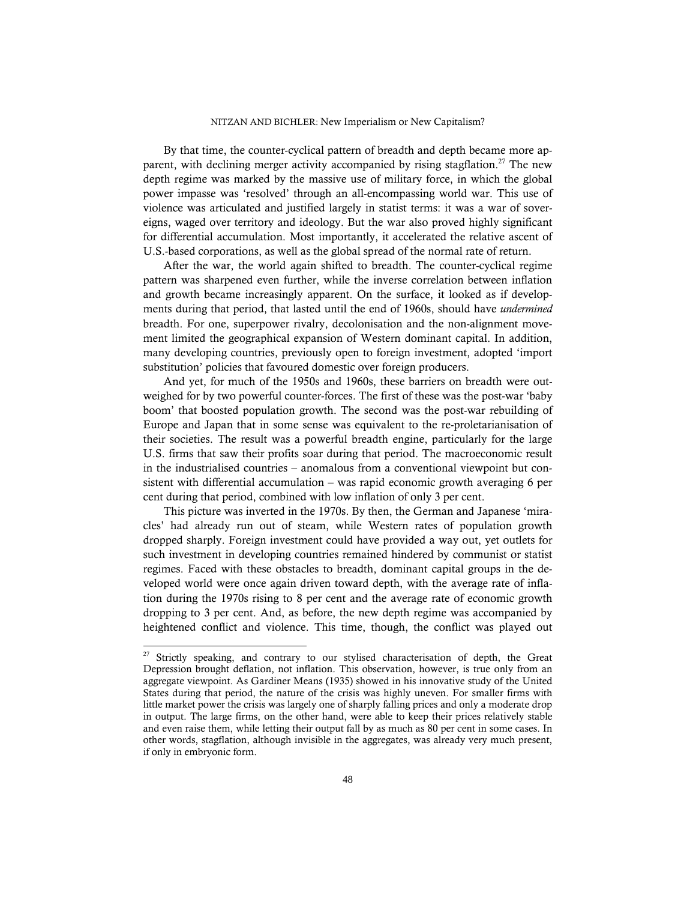By that time, the counter-cyclical pattern of breadth and depth became more apparent, with declining merger activity accompanied by rising stagflation.<sup>27</sup> The new depth regime was marked by the massive use of military force, in which the global power impasse was 'resolved' through an all-encompassing world war. This use of violence was articulated and justified largely in statist terms: it was a war of sovereigns, waged over territory and ideology. But the war also proved highly significant for differential accumulation. Most importantly, it accelerated the relative ascent of U.S.-based corporations, as well as the global spread of the normal rate of return.

After the war, the world again shifted to breadth. The counter-cyclical regime pattern was sharpened even further, while the inverse correlation between inflation and growth became increasingly apparent. On the surface, it looked as if developments during that period, that lasted until the end of 1960s, should have *undermined* breadth. For one, superpower rivalry, decolonisation and the non-alignment movement limited the geographical expansion of Western dominant capital. In addition, many developing countries, previously open to foreign investment, adopted 'import substitution' policies that favoured domestic over foreign producers.

And yet, for much of the 1950s and 1960s, these barriers on breadth were outweighed for by two powerful counter-forces. The first of these was the post-war 'baby boom' that boosted population growth. The second was the post-war rebuilding of Europe and Japan that in some sense was equivalent to the re-proletarianisation of their societies. The result was a powerful breadth engine, particularly for the large U.S. firms that saw their profits soar during that period. The macroeconomic result in the industrialised countries – anomalous from a conventional viewpoint but consistent with differential accumulation – was rapid economic growth averaging 6 per cent during that period, combined with low inflation of only 3 per cent.

This picture was inverted in the 1970s. By then, the German and Japanese 'miracles' had already run out of steam, while Western rates of population growth dropped sharply. Foreign investment could have provided a way out, yet outlets for such investment in developing countries remained hindered by communist or statist regimes. Faced with these obstacles to breadth, dominant capital groups in the developed world were once again driven toward depth, with the average rate of inflation during the 1970s rising to 8 per cent and the average rate of economic growth dropping to 3 per cent. And, as before, the new depth regime was accompanied by heightened conflict and violence. This time, though, the conflict was played out

 $\overline{a}$ 

<span id="page-49-0"></span> $27$  Strictly speaking, and contrary to our stylised characterisation of depth, the Great Depression brought deflation, not inflation. This observation, however, is true only from an aggregate viewpoint. As Gardiner Means (1935) showed in his innovative study of the United States during that period, the nature of the crisis was highly uneven. For smaller firms with little market power the crisis was largely one of sharply falling prices and only a moderate drop in output. The large firms, on the other hand, were able to keep their prices relatively stable and even raise them, while letting their output fall by as much as 80 per cent in some cases. In other words, stagflation, although invisible in the aggregates, was already very much present, if only in embryonic form.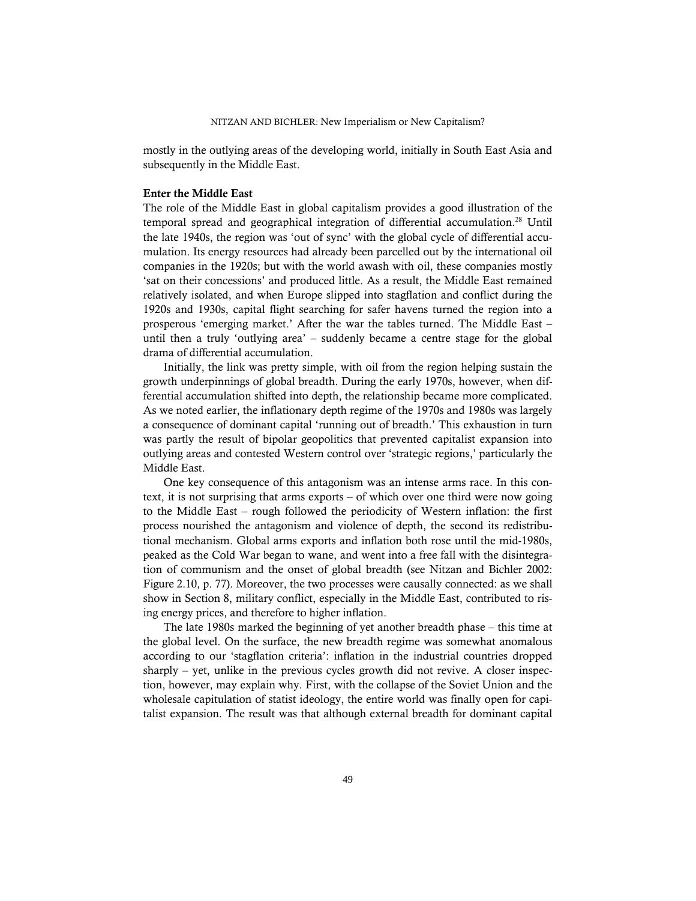mostly in the outlying areas of the developing world, initially in South East Asia and subsequently in the Middle East.

# Enter the Middle East

The role of the Middle East in global capitalism provides a good illustration of the temporal spread and geographical integration of differential accumulation.<sup>28</sup> Until the late 1940s, the region was 'out of sync' with the global cycle of differential accumulation. Its energy resources had already been parcelled out by the international oil companies in the 1920s; but with the world awash with oil, these companies mostly 'sat on their concessions' and produced little. As a result, the Middle East remained relatively isolated, and when Europe slipped into stagflation and conflict during the 1920s and 1930s, capital flight searching for safer havens turned the region into a prosperous 'emerging market.' After the war the tables turned. The Middle East – until then a truly 'outlying area' – suddenly became a centre stage for the global drama of differential accumulation.

Initially, the link was pretty simple, with oil from the region helping sustain the growth underpinnings of global breadth. During the early 1970s, however, when differential accumulation shifted into depth, the relationship became more complicated. As we noted earlier, the inflationary depth regime of the 1970s and 1980s was largely a consequence of dominant capital 'running out of breadth.' This exhaustion in turn was partly the result of bipolar geopolitics that prevented capitalist expansion into outlying areas and contested Western control over 'strategic regions,' particularly the Middle East.

One key consequence of this antagonism was an intense arms race. In this context, it is not surprising that arms exports – of which over one third were now going to the Middle East – rough followed the periodicity of Western inflation: the first process nourished the antagonism and violence of depth, the second its redistributional mechanism. Global arms exports and inflation both rose until the mid-1980s, peaked as the Cold War began to wane, and went into a free fall with the disintegration of communism and the onset of global breadth (see Nitzan and Bichler 2002: Figure 2.10, p. 77). Moreover, the two processes were causally connected: as we shall show in Section 8, military conflict, especially in the Middle East, contributed to rising energy prices, and therefore to higher inflation.

<span id="page-50-0"></span>The late 1980s marked the beginning of yet another breadth phase – this time at the global level. On the surface, the new breadth regime was somewhat anomalous according to our 'stagflation criteria': inflation in the industrial countries dropped sharply – yet, unlike in the previous cycles growth did not revive. A closer inspection, however, may explain why. First, with the collapse of the Soviet Union and the wholesale capitulation of statist ideology, the entire world was finally open for capitalist expansion. The result was that although external breadth for dominant capital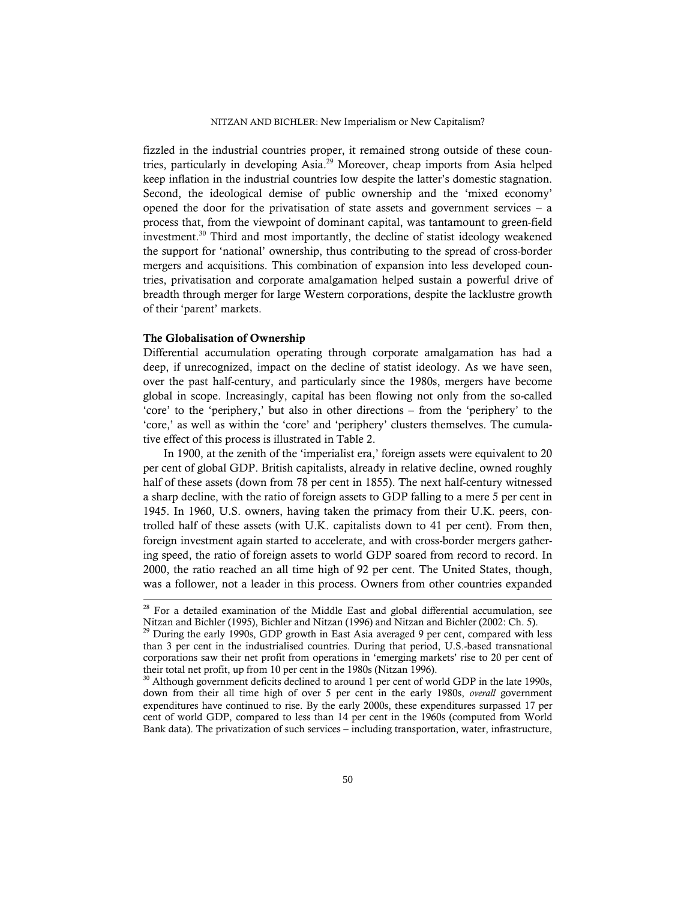fizzled in the industrial countries proper, it remained strong outside of these countries, particularly in developing Asia. [29](#page-51-0) Moreover, cheap imports from Asia helped keep inflation in the industrial countries low despite the latter's domestic stagnation. Second, the ideological demise of public ownership and the 'mixed economy' opened the door for the privatisation of state assets and government services  $- a$ process that, from the viewpoint of dominant capital, was tantamount to green-field investment.[30](#page-51-1) Third and most importantly, the decline of statist ideology weakened the support for 'national' ownership, thus contributing to the spread of cross-border mergers and acquisitions. This combination of expansion into less developed countries, privatisation and corporate amalgamation helped sustain a powerful drive of breadth through merger for large Western corporations, despite the lacklustre growth of their 'parent' markets.

# The Globalisation of Ownership

-

Differential accumulation operating through corporate amalgamation has had a deep, if unrecognized, impact on the decline of statist ideology. As we have seen, over the past half-century, and particularly since the 1980s, mergers have become global in scope. Increasingly, capital has been flowing not only from the so-called 'core' to the 'periphery,' but also in other directions – from the 'periphery' to the 'core,' as well as within the 'core' and 'periphery' clusters themselves. The cumulative effect of this process is illustrated in Table 2.

In 1900, at the zenith of the 'imperialist era,' foreign assets were equivalent to 20 per cent of global GDP. British capitalists, already in relative decline, owned roughly half of these assets (down from 78 per cent in 1855). The next half-century witnessed a sharp decline, with the ratio of foreign assets to GDP falling to a mere 5 per cent in 1945. In 1960, U.S. owners, having taken the primacy from their U.K. peers, controlled half of these assets (with U.K. capitalists down to 41 per cent). From then, foreign investment again started to accelerate, and with cross-border mergers gathering speed, the ratio of foreign assets to world GDP soared from record to record. In 2000, the ratio reached an all time high of 92 per cent. The United States, though, was a follower, not a leader in this process. Owners from other countries expanded

 $28$  For a detailed examination of the Middle East and global differential accumulation, see Nitzan and Bichler (1995), Bichler and Nitzan (1996) and Nitzan and Bichler (2002: Ch. 5).<br><sup>29</sup> During the early 1990s, GDP growth in East Asia averaged 9 per cent, compared with less

<span id="page-51-0"></span>than 3 per cent in the industrialised countries. During that period, U.S.-based transnational corporations saw their net profit from operations in 'emerging markets' rise to 20 per cent of their total net profit, up from 10 per cent in the 1980s (Nitzan 1996).<br><sup>30</sup> Although government deficits declined to around 1 per cent of world GDP in the late 1990s,

<span id="page-51-1"></span>down from their all time high of over 5 per cent in the early 1980s, *overall* government expenditures have continued to rise. By the early 2000s, these expenditures surpassed 17 per cent of world GDP, compared to less than 14 per cent in the 1960s (computed from World Bank data). The privatization of such services – including transportation, water, infrastructure,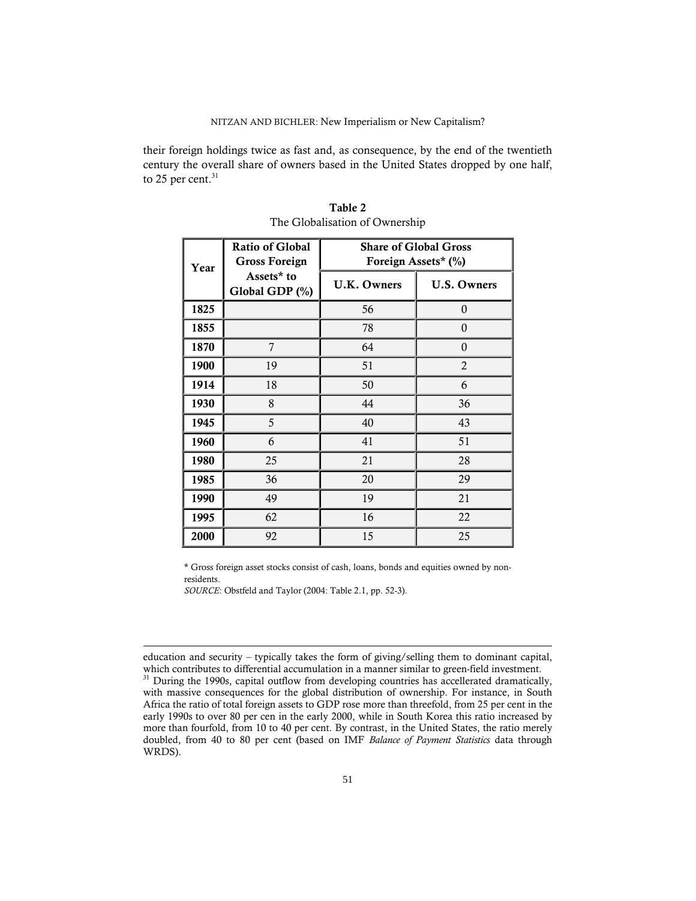their foreign holdings twice as fast and, as consequence, by the end of the twentieth century the overall share of owners based in the United States dropped by one half, to 25 per cent. $31$ 

| Year | <b>Ratio of Global</b><br><b>Gross Foreign</b><br>Assets* to<br>Global GDP (%) | <b>Share of Global Gross</b><br>Foreign Assets* (%) |                    |
|------|--------------------------------------------------------------------------------|-----------------------------------------------------|--------------------|
|      |                                                                                | <b>U.K. Owners</b>                                  | <b>U.S. Owners</b> |
| 1825 |                                                                                | 56                                                  | $\boldsymbol{0}$   |
| 1855 |                                                                                | 78                                                  | $\boldsymbol{0}$   |
| 1870 | 7                                                                              | 64                                                  | $\boldsymbol{0}$   |
| 1900 | 19                                                                             | 51                                                  | $\overline{c}$     |
| 1914 | 18                                                                             | 50                                                  | 6                  |
| 1930 | 8                                                                              | 44                                                  | 36                 |
| 1945 | 5                                                                              | 40                                                  | 43                 |
| 1960 | 6                                                                              | 41                                                  | 51                 |
| 1980 | 25                                                                             | 21                                                  | 28                 |
| 1985 | 36                                                                             | 20                                                  | 29                 |
| 1990 | 49                                                                             | 19                                                  | 21                 |
| 1995 | 62                                                                             | 16                                                  | 22                 |
| 2000 | 92                                                                             | 15                                                  | 25                 |

Table 2 The Globalisation of Ownership

\* Gross foreign asset stocks consist of cash, loans, bonds and equities owned by nonresidents.

*SOURCE*: Obstfeld and Taylor (2004: Table 2.1, pp. 52-3).

 $\overline{a}$ 

<span id="page-52-0"></span>education and security – typically takes the form of giving/selling them to dominant capital, <sup>31</sup> During the 1990s, capital outflow from developing countries has accellerated dramatically, with massive consequences for the global distribution of ownership. For instance, in South Africa the ratio of total foreign assets to GDP rose more than threefold, from 25 per cent in the early 1990s to over 80 per cen in the early 2000, while in South Korea this ratio increased by more than fourfold, from 10 to 40 per cent. By contrast, in the United States, the ratio merely doubled, from 40 to 80 per cent (based on IMF *Balance of Payment Statistics* data through WRDS).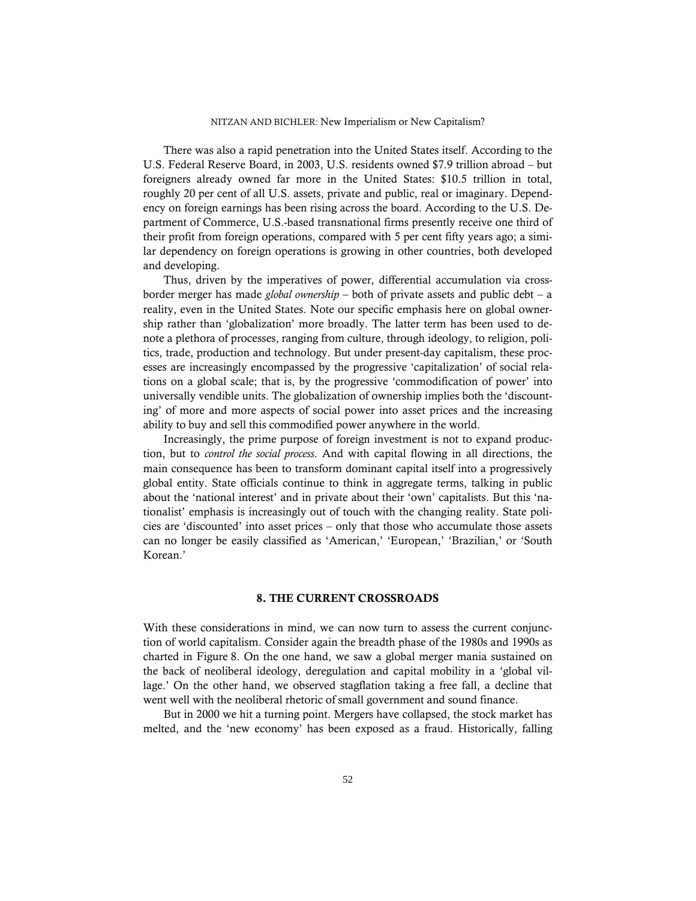There was also a rapid penetration into the United States itself. According to the U.S. Federal Reserve Board, in 2003, U.S. residents owned \$7.9 trillion abroad – but foreigners already owned far more in the United States: \$10.5 trillion in total, roughly 20 per cent of all U.S. assets, private and public, real or imaginary. Dependency on foreign earnings has been rising across the board. According to the U.S. Department of Commerce, U.S.-based transnational firms presently receive one third of their profit from foreign operations, compared with 5 per cent fifty years ago; a similar dependency on foreign operations is growing in other countries, both developed and developing.

Thus, driven by the imperatives of power, differential accumulation via crossborder merger has made *global ownership* – both of private assets and public debt – a reality, even in the United States. Note our specific emphasis here on global ownership rather than 'globalization' more broadly. The latter term has been used to denote a plethora of processes, ranging from culture, through ideology, to religion, politics, trade, production and technology. But under present-day capitalism, these processes are increasingly encompassed by the progressive 'capitalization' of social relations on a global scale; that is, by the progressive 'commodification of power' into universally vendible units. The globalization of ownership implies both the 'discounting' of more and more aspects of social power into asset prices and the increasing ability to buy and sell this commodified power anywhere in the world.

Increasingly, the prime purpose of foreign investment is not to expand production, but to *control the social process*. And with capital flowing in all directions, the main consequence has been to transform dominant capital itself into a progressively global entity. State officials continue to think in aggregate terms, talking in public about the 'national interest' and in private about their 'own' capitalists. But this 'nationalist' emphasis is increasingly out of touch with the changing reality. State policies are 'discounted' into asset prices – only that those who accumulate those assets can no longer be easily classified as 'American,' 'European,' 'Brazilian,' or 'South Korean.'

# 8. THE CURRENT CROSSROADS

With these considerations in mind, we can now turn to assess the current conjunction of world capitalism. Consider again the breadth phase of the 1980s and 1990s as charted in Figure 8. On the one hand, we saw a global merger mania sustained on the back of neoliberal ideology, deregulation and capital mobility in a 'global village.' On the other hand, we observed stagflation taking a free fall, a decline that went well with the neoliberal rhetoric of small government and sound finance.

But in 2000 we hit a turning point. Mergers have collapsed, the stock market has melted, and the 'new economy' has been exposed as a fraud. Historically, falling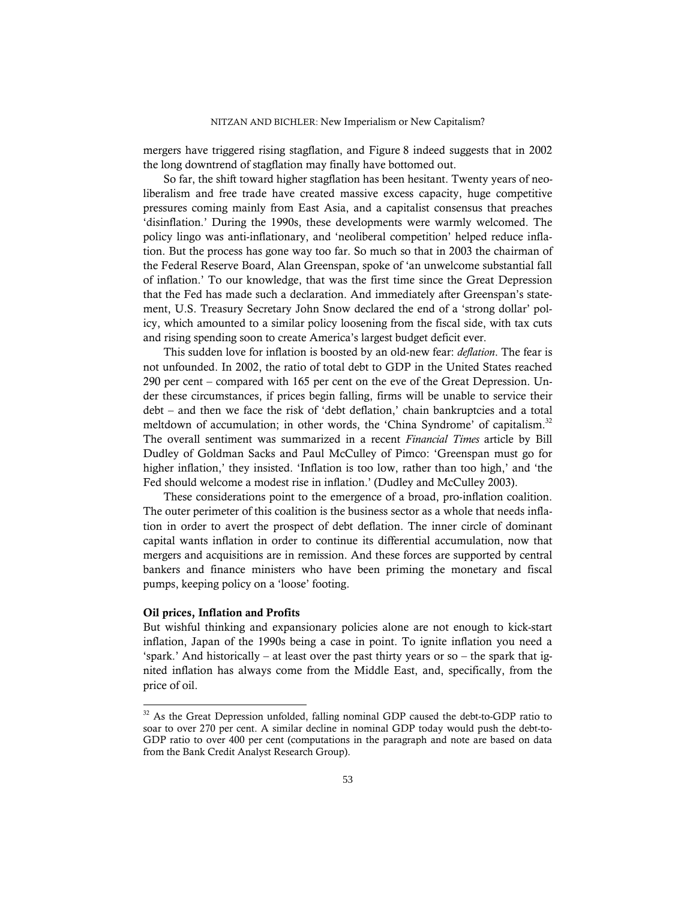mergers have triggered rising stagflation, and Figure 8 indeed suggests that in 2002 the long downtrend of stagflation may finally have bottomed out.

So far, the shift toward higher stagflation has been hesitant. Twenty years of neoliberalism and free trade have created massive excess capacity, huge competitive pressures coming mainly from East Asia, and a capitalist consensus that preaches 'disinflation.' During the 1990s, these developments were warmly welcomed. The policy lingo was anti-inflationary, and 'neoliberal competition' helped reduce inflation. But the process has gone way too far. So much so that in 2003 the chairman of the Federal Reserve Board, Alan Greenspan, spoke of 'an unwelcome substantial fall of inflation.' To our knowledge, that was the first time since the Great Depression that the Fed has made such a declaration. And immediately after Greenspan's statement, U.S. Treasury Secretary John Snow declared the end of a 'strong dollar' policy, which amounted to a similar policy loosening from the fiscal side, with tax cuts and rising spending soon to create America's largest budget deficit ever.

This sudden love for inflation is boosted by an old-new fear: *deflation*. The fear is not unfounded. In 2002, the ratio of total debt to GDP in the United States reached 290 per cent – compared with 165 per cent on the eve of the Great Depression. Under these circumstances, if prices begin falling, firms will be unable to service their debt – and then we face the risk of 'debt deflation,' chain bankruptcies and a total meltdown of accumulation; in other words, the 'China Syndrome' of capitalism.<sup>[32](#page-54-0)</sup> The overall sentiment was summarized in a recent *Financial Times* article by Bill Dudley of Goldman Sacks and Paul McCulley of Pimco: 'Greenspan must go for higher inflation,' they insisted. 'Inflation is too low, rather than too high,' and 'the Fed should welcome a modest rise in inflation.' (Dudley and McCulley 2003).

These considerations point to the emergence of a broad, pro-inflation coalition. The outer perimeter of this coalition is the business sector as a whole that needs inflation in order to avert the prospect of debt deflation. The inner circle of dominant capital wants inflation in order to continue its differential accumulation, now that mergers and acquisitions are in remission. And these forces are supported by central bankers and finance ministers who have been priming the monetary and fiscal pumps, keeping policy on a 'loose' footing.

# Oil prices, Inflation and Profits

 $\overline{a}$ 

But wishful thinking and expansionary policies alone are not enough to kick-start inflation, Japan of the 1990s being a case in point. To ignite inflation you need a 'spark.' And historically – at least over the past thirty years or so – the spark that ignited inflation has always come from the Middle East, and, specifically, from the price of oil.

<span id="page-54-0"></span> $32$  As the Great Depression unfolded, falling nominal GDP caused the debt-to-GDP ratio to soar to over 270 per cent. A similar decline in nominal GDP today would push the debt-to-GDP ratio to over 400 per cent (computations in the paragraph and note are based on data from the Bank Credit Analyst Research Group).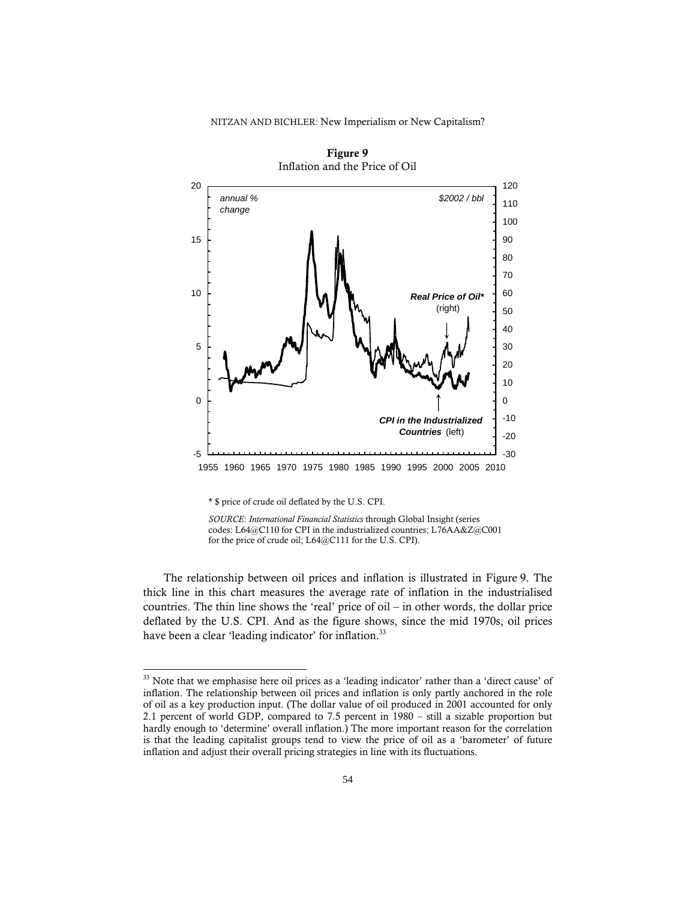

Figure 9 Inflation and the Price of Oil

\* \$ price of crude oil deflated by the U.S. CPI.

 $\overline{a}$ 

*SOURCE*: *International Financial Statistics* through Global Insight (series codes: L64@C110 for CPI in the industrialized countries; L76AA&Z@C001 for the price of crude oil; L64@C111 for the U.S. CPI).

The relationship between oil prices and inflation is illustrated in Figure 9. The thick line in this chart measures the average rate of inflation in the industrialised countries. The thin line shows the 'real' price of oil – in other words, the dollar price deflated by the U.S. CPI. And as the figure shows, since the mid 1970s, oil prices have been a clear 'leading indicator' for inflation.<sup>[33](#page-55-0)</sup>

<span id="page-55-0"></span><sup>&</sup>lt;sup>33</sup> Note that we emphasise here oil prices as a 'leading indicator' rather than a 'direct cause' of inflation. The relationship between oil prices and inflation is only partly anchored in the role of oil as a key production input. (The dollar value of oil produced in 2001 accounted for only 2.1 percent of world GDP, compared to 7.5 percent in 1980 – still a sizable proportion but hardly enough to 'determine' overall inflation.) The more important reason for the correlation is that the leading capitalist groups tend to view the price of oil as a 'barometer' of future inflation and adjust their overall pricing strategies in line with its fluctuations.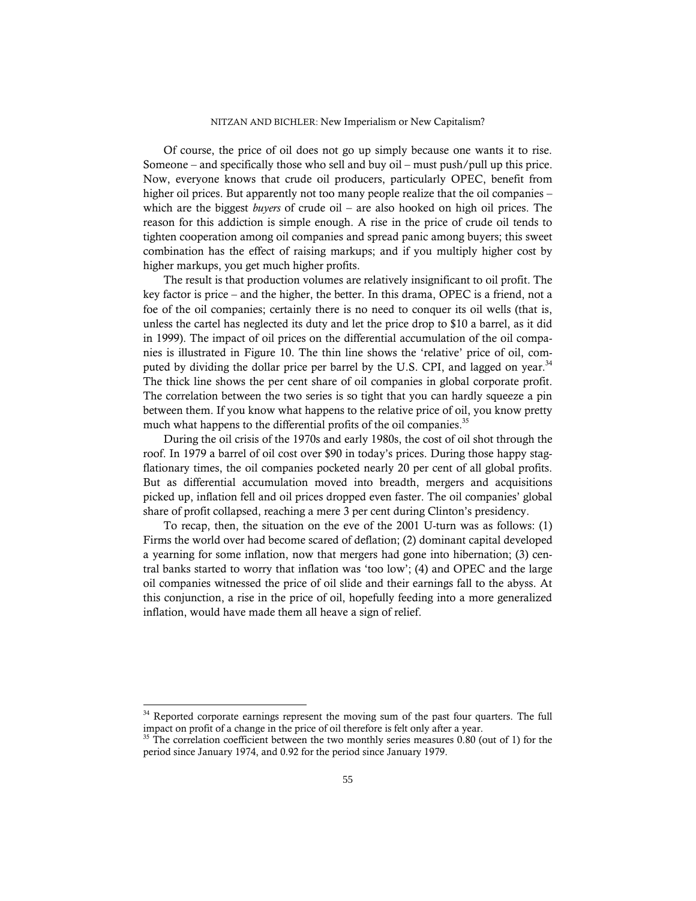Of course, the price of oil does not go up simply because one wants it to rise. Someone – and specifically those who sell and buy oil – must push/pull up this price. Now, everyone knows that crude oil producers, particularly OPEC, benefit from higher oil prices. But apparently not too many people realize that the oil companies – which are the biggest *buyers* of crude oil – are also hooked on high oil prices. The reason for this addiction is simple enough. A rise in the price of crude oil tends to tighten cooperation among oil companies and spread panic among buyers; this sweet combination has the effect of raising markups; and if you multiply higher cost by higher markups, you get much higher profits.

The result is that production volumes are relatively insignificant to oil profit. The key factor is price – and the higher, the better. In this drama, OPEC is a friend, not a foe of the oil companies; certainly there is no need to conquer its oil wells (that is, unless the cartel has neglected its duty and let the price drop to \$10 a barrel, as it did in 1999). The impact of oil prices on the differential accumulation of the oil companies is illustrated in Figure 10. The thin line shows the 'relative' price of oil, com-puted by dividing the dollar price per barrel by the U.S. CPI, and lagged on year.<sup>[34](#page-56-0)</sup> The thick line shows the per cent share of oil companies in global corporate profit. The correlation between the two series is so tight that you can hardly squeeze a pin between them. If you know what happens to the relative price of oil, you know pretty much what happens to the differential profits of the oil companies.<sup>[35](#page-56-1)</sup>

During the oil crisis of the 1970s and early 1980s, the cost of oil shot through the roof. In 1979 a barrel of oil cost over \$90 in today's prices. During those happy stagflationary times, the oil companies pocketed nearly 20 per cent of all global profits. But as differential accumulation moved into breadth, mergers and acquisitions picked up, inflation fell and oil prices dropped even faster. The oil companies' global share of profit collapsed, reaching a mere 3 per cent during Clinton's presidency.

To recap, then, the situation on the eve of the 2001 U-turn was as follows: (1) Firms the world over had become scared of deflation; (2) dominant capital developed a yearning for some inflation, now that mergers had gone into hibernation; (3) central banks started to worry that inflation was 'too low'; (4) and OPEC and the large oil companies witnessed the price of oil slide and their earnings fall to the abyss. At this conjunction, a rise in the price of oil, hopefully feeding into a more generalized inflation, would have made them all heave a sign of relief.

-

<span id="page-56-0"></span><sup>34</sup> Reported corporate earnings represent the moving sum of the past four quarters. The full impact on profit of a change in the price of oil therefore is felt only after a year. 35 The correlation coefficient between the two monthly series measures 0.80 (out of 1) for the

<span id="page-56-1"></span>period since January 1974, and 0.92 for the period since January 1979.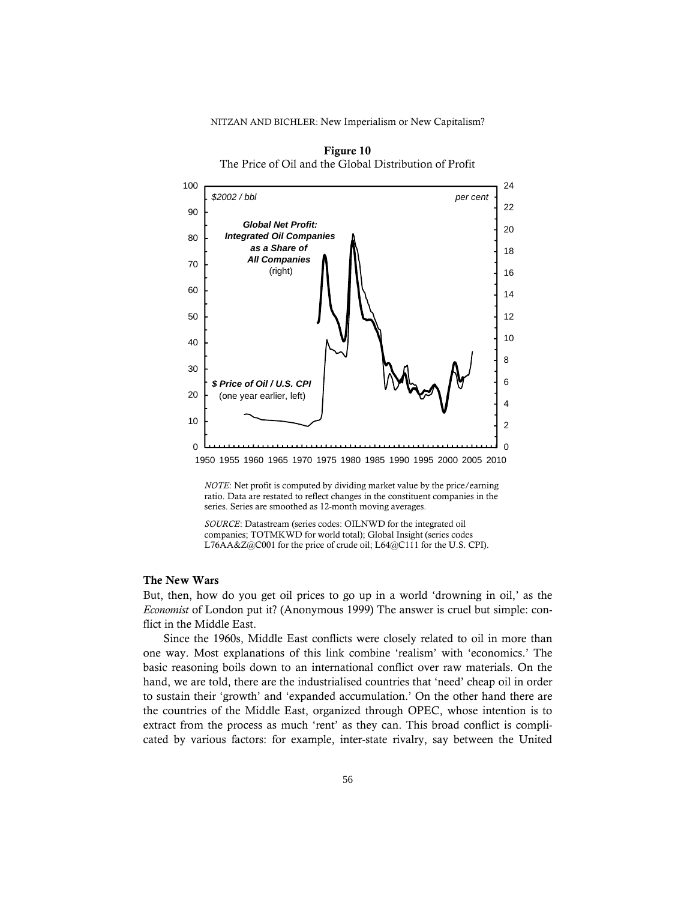

Figure 10 The Price of Oil and the Global Distribution of Profit

*NOTE*: Net profit is computed by dividing market value by the price/earning ratio. Data are restated to reflect changes in the constituent companies in the series. Series are smoothed as 12-month moving averages.

*SOURCE*: Datastream (series codes: OILNWD for the integrated oil companies; TOTMKWD for world total); Global Insight (series codes L76AA&Z@C001 for the price of crude oil; L64@C111 for the U.S. CPI).

# The New Wars

But, then, how do you get oil prices to go up in a world 'drowning in oil,' as the *Economist* of London put it? (Anonymous 1999) The answer is cruel but simple: conflict in the Middle East.

Since the 1960s, Middle East conflicts were closely related to oil in more than one way. Most explanations of this link combine 'realism' with 'economics.' The basic reasoning boils down to an international conflict over raw materials. On the hand, we are told, there are the industrialised countries that 'need' cheap oil in order to sustain their 'growth' and 'expanded accumulation.' On the other hand there are the countries of the Middle East, organized through OPEC, whose intention is to extract from the process as much 'rent' as they can. This broad conflict is complicated by various factors: for example, inter-state rivalry, say between the United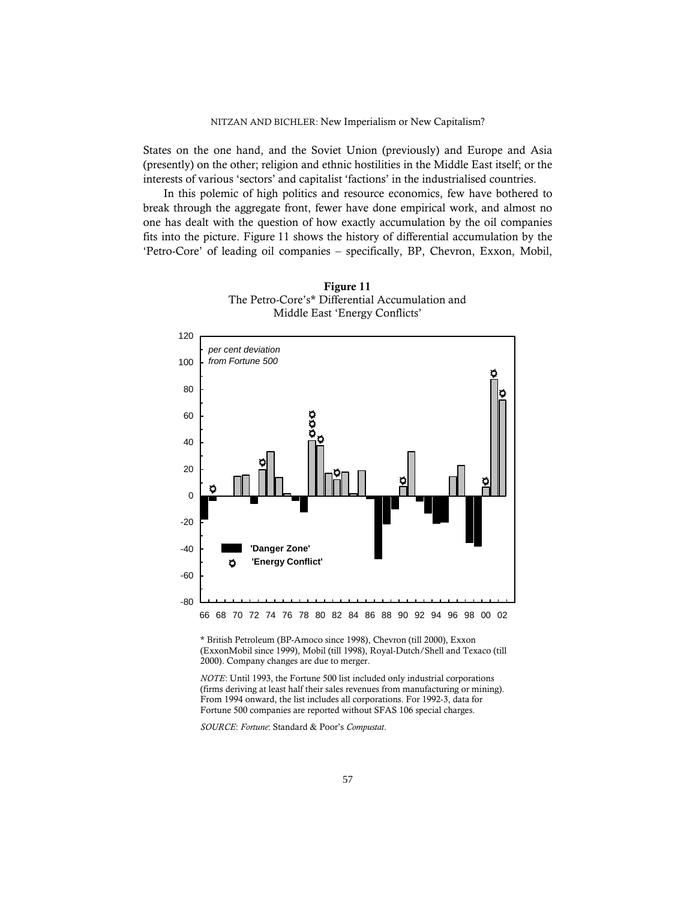States on the one hand, and the Soviet Union (previously) and Europe and Asia (presently) on the other; religion and ethnic hostilities in the Middle East itself; or the interests of various 'sectors' and capitalist 'factions' in the industrialised countries.

In this polemic of high politics and resource economics, few have bothered to break through the aggregate front, fewer have done empirical work, and almost no one has dealt with the question of how exactly accumulation by the oil companies fits into the picture. Figure 11 shows the history of differential accumulation by the 'Petro-Core' of leading oil companies – specifically, BP, Chevron, Exxon, Mobil,



Figure 11 The Petro-Core's\* Differential Accumulation and Middle East 'Energy Conflicts'

\* British Petroleum (BP-Amoco since 1998), Chevron (till 2000), Exxon (ExxonMobil since 1999), Mobil (till 1998), Royal-Dutch/Shell and Texaco (till 2000). Company changes are due to merger.

*NOTE*: Until 1993, the Fortune 500 list included only industrial corporations (firms deriving at least half their sales revenues from manufacturing or mining). From 1994 onward, the list includes all corporations. For 1992-3, data for Fortune 500 companies are reported without SFAS 106 special charges.

*SOURCE*: *Fortune*: Standard & Poor's *Compustat*.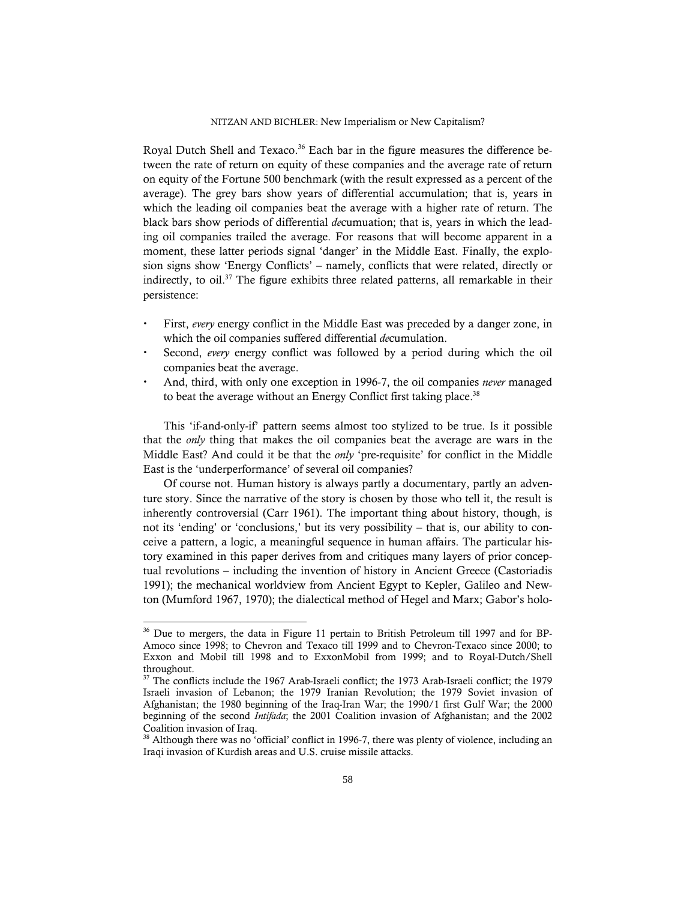Royal Dutch Shell and Texaco.<sup>36</sup> Each bar in the figure measures the difference between the rate of return on equity of these companies and the average rate of return on equity of the Fortune 500 benchmark (with the result expressed as a percent of the average). The grey bars show years of differential accumulation; that is, years in which the leading oil companies beat the average with a higher rate of return. The black bars show periods of differential *de*cumuation; that is, years in which the leading oil companies trailed the average. For reasons that will become apparent in a moment, these latter periods signal 'danger' in the Middle East. Finally, the explosion signs show 'Energy Conflicts' – namely, conflicts that were related, directly or indirectly, to oil.<sup>37</sup> The figure exhibits three related patterns, all remarkable in their persistence:

- First, *every* energy conflict in the Middle East was preceded by a danger zone, in which the oil companies suffered differential *de*cumulation.
- Second, *every* energy conflict was followed by a period during which the oil companies beat the average.
- And, third, with only one exception in 1996-7, the oil companies *never* managed to beat the average without an Energy Conflict first taking place.<sup>38</sup>

This 'if-and-only-if' pattern seems almost too stylized to be true. Is it possible that the *only* thing that makes the oil companies beat the average are wars in the Middle East? And could it be that the *only* 'pre-requisite' for conflict in the Middle East is the 'underperformance' of several oil companies?

Of course not. Human history is always partly a documentary, partly an adventure story. Since the narrative of the story is chosen by those who tell it, the result is inherently controversial (Carr 1961). The important thing about history, though, is not its 'ending' or 'conclusions,' but its very possibility – that is, our ability to conceive a pattern, a logic, a meaningful sequence in human affairs. The particular history examined in this paper derives from and critiques many layers of prior conceptual revolutions – including the invention of history in Ancient Greece (Castoriadis 1991); the mechanical worldview from Ancient Egypt to Kepler, Galileo and Newton (Mumford 1967, 1970); the dialectical method of Hegel and Marx; Gabor's holo-

 $\overline{a}$ 

<span id="page-59-0"></span> $36$  Due to mergers, the data in Figure 11 pertain to British Petroleum till 1997 and for BP-Amoco since 1998; to Chevron and Texaco till 1999 and to Chevron-Texaco since 2000; to Exxon and Mobil till 1998 and to ExxonMobil from 1999; and to Royal-Dutch/Shell throughout.

<span id="page-59-1"></span><sup>&</sup>lt;sup>37</sup> The conflicts include the 1967 Arab-Israeli conflict; the 1973 Arab-Israeli conflict; the 1979 Israeli invasion of Lebanon; the 1979 Iranian Revolution; the 1979 Soviet invasion of Afghanistan; the 1980 beginning of the Iraq-Iran War; the 1990/1 first Gulf War; the 2000 beginning of the second *Intifada*; the 2001 Coalition invasion of Afghanistan; and the 2002 Coalition invasion of Iraq.<br><sup>38</sup> Although there was no 'official' conflict in 1996-7, there was plenty of violence, including an

<span id="page-59-2"></span>Iraqi invasion of Kurdish areas and U.S. cruise missile attacks.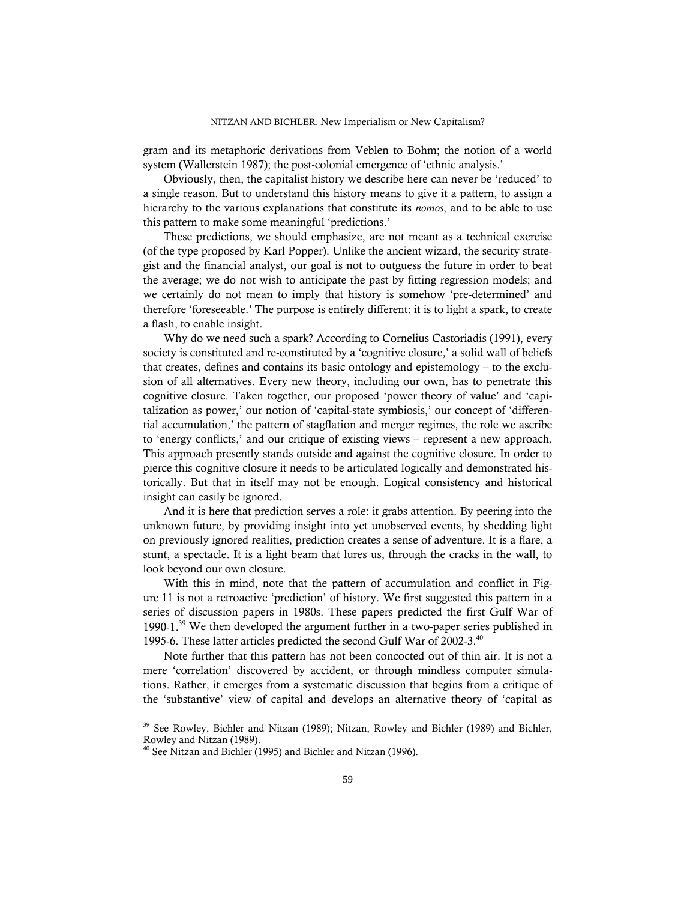gram and its metaphoric derivations from Veblen to Bohm; the notion of a world system (Wallerstein 1987); the post-colonial emergence of 'ethnic analysis.'

Obviously, then, the capitalist history we describe here can never be 'reduced' to a single reason. But to understand this history means to give it a pattern, to assign a hierarchy to the various explanations that constitute its *nomos*, and to be able to use this pattern to make some meaningful 'predictions.'

These predictions, we should emphasize, are not meant as a technical exercise (of the type proposed by Karl Popper). Unlike the ancient wizard, the security strategist and the financial analyst, our goal is not to outguess the future in order to beat the average; we do not wish to anticipate the past by fitting regression models; and we certainly do not mean to imply that history is somehow 'pre-determined' and therefore 'foreseeable.' The purpose is entirely different: it is to light a spark, to create a flash, to enable insight.

Why do we need such a spark? According to Cornelius Castoriadis (1991), every society is constituted and re-constituted by a 'cognitive closure,' a solid wall of beliefs that creates, defines and contains its basic ontology and epistemology – to the exclusion of all alternatives. Every new theory, including our own, has to penetrate this cognitive closure. Taken together, our proposed 'power theory of value' and 'capitalization as power,' our notion of 'capital-state symbiosis,' our concept of 'differential accumulation,' the pattern of stagflation and merger regimes, the role we ascribe to 'energy conflicts,' and our critique of existing views – represent a new approach. This approach presently stands outside and against the cognitive closure. In order to pierce this cognitive closure it needs to be articulated logically and demonstrated historically. But that in itself may not be enough. Logical consistency and historical insight can easily be ignored.

And it is here that prediction serves a role: it grabs attention. By peering into the unknown future, by providing insight into yet unobserved events, by shedding light on previously ignored realities, prediction creates a sense of adventure. It is a flare, a stunt, a spectacle. It is a light beam that lures us, through the cracks in the wall, to look beyond our own closure.

With this in mind, note that the pattern of accumulation and conflict in Figure 11 is not a retroactive 'prediction' of history. We first suggested this pattern in a series of discussion papers in 1980s. These papers predicted the first Gulf War of 1990-1.<sup>39</sup> We then developed the argument further in a two-paper series published in 1995-6. These latter articles predicted the second Gulf War of 2002-3[.40](#page-60-1) 

Note further that this pattern has not been concocted out of thin air. It is not a mere 'correlation' discovered by accident, or through mindless computer simulations. Rather, it emerges from a systematic discussion that begins from a critique of the 'substantive' view of capital and develops an alternative theory of 'capital as

1

<span id="page-60-0"></span><sup>&</sup>lt;sup>39</sup> See Rowley, Bichler and Nitzan (1989); Nitzan, Rowley and Bichler (1989) and Bichler, Rowley and Nitzan (1989).<br><sup>40</sup> See Nitzan and Bichler (1995) and Bichler and Nitzan (1996).

<span id="page-60-1"></span>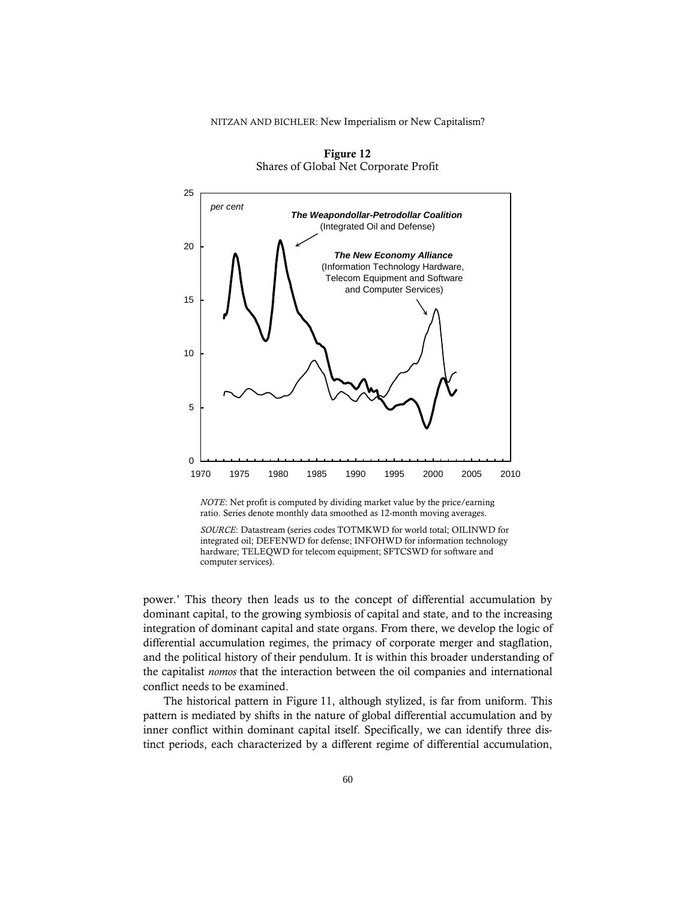



*NOTE*: Net profit is computed by dividing market value by the price/earning ratio. Series denote monthly data smoothed as 12-month moving averages.



power.' This theory then leads us to the concept of differential accumulation by dominant capital, to the growing symbiosis of capital and state, and to the increasing integration of dominant capital and state organs. From there, we develop the logic of differential accumulation regimes, the primacy of corporate merger and stagflation, and the political history of their pendulum. It is within this broader understanding of the capitalist *nomos* that the interaction between the oil companies and international conflict needs to be examined.

The historical pattern in Figure 11, although stylized, is far from uniform. This pattern is mediated by shifts in the nature of global differential accumulation and by inner conflict within dominant capital itself. Specifically, we can identify three distinct periods, each characterized by a different regime of differential accumulation,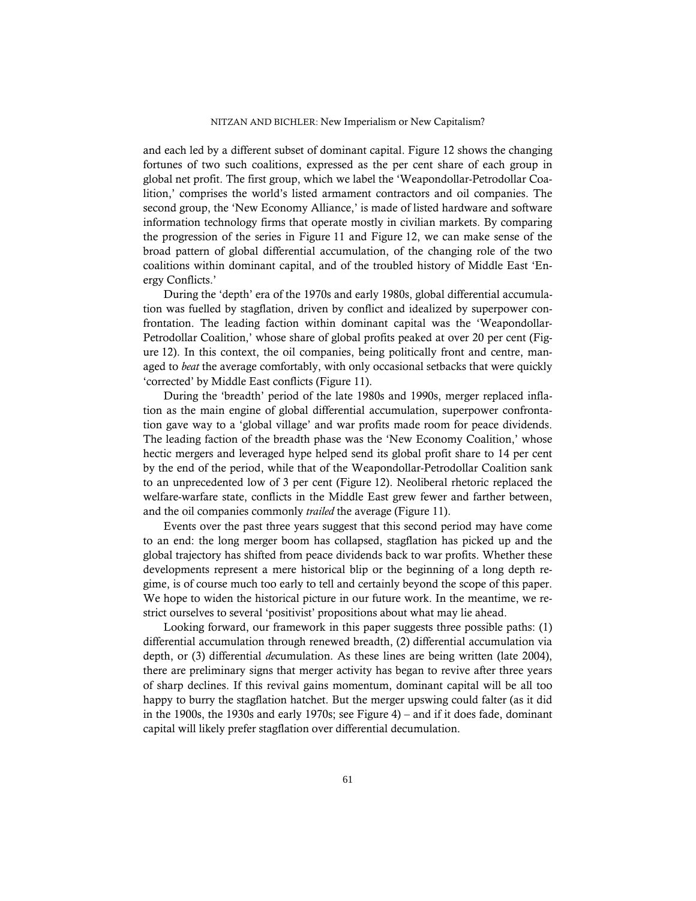and each led by a different subset of dominant capital. Figure 12 shows the changing fortunes of two such coalitions, expressed as the per cent share of each group in global net profit. The first group, which we label the 'Weapondollar-Petrodollar Coalition,' comprises the world's listed armament contractors and oil companies. The second group, the 'New Economy Alliance,' is made of listed hardware and software information technology firms that operate mostly in civilian markets. By comparing the progression of the series in Figure 11 and Figure 12, we can make sense of the broad pattern of global differential accumulation, of the changing role of the two coalitions within dominant capital, and of the troubled history of Middle East 'Energy Conflicts.'

During the 'depth' era of the 1970s and early 1980s, global differential accumulation was fuelled by stagflation, driven by conflict and idealized by superpower confrontation. The leading faction within dominant capital was the 'Weapondollar-Petrodollar Coalition,' whose share of global profits peaked at over 20 per cent (Figure 12). In this context, the oil companies, being politically front and centre, managed to *beat* the average comfortably, with only occasional setbacks that were quickly 'corrected' by Middle East conflicts (Figure 11).

During the 'breadth' period of the late 1980s and 1990s, merger replaced inflation as the main engine of global differential accumulation, superpower confrontation gave way to a 'global village' and war profits made room for peace dividends. The leading faction of the breadth phase was the 'New Economy Coalition,' whose hectic mergers and leveraged hype helped send its global profit share to 14 per cent by the end of the period, while that of the Weapondollar-Petrodollar Coalition sank to an unprecedented low of 3 per cent (Figure 12). Neoliberal rhetoric replaced the welfare-warfare state, conflicts in the Middle East grew fewer and farther between, and the oil companies commonly *trailed* the average (Figure 11).

Events over the past three years suggest that this second period may have come to an end: the long merger boom has collapsed, stagflation has picked up and the global trajectory has shifted from peace dividends back to war profits. Whether these developments represent a mere historical blip or the beginning of a long depth regime, is of course much too early to tell and certainly beyond the scope of this paper. We hope to widen the historical picture in our future work. In the meantime, we restrict ourselves to several 'positivist' propositions about what may lie ahead.

Looking forward, our framework in this paper suggests three possible paths: (1) differential accumulation through renewed breadth, (2) differential accumulation via depth, or (3) differential *de*cumulation. As these lines are being written (late 2004), there are preliminary signs that merger activity has began to revive after three years of sharp declines. If this revival gains momentum, dominant capital will be all too happy to burry the stagflation hatchet. But the merger upswing could falter (as it did in the 1900s, the 1930s and early 1970s; see Figure 4) – and if it does fade, dominant capital will likely prefer stagflation over differential decumulation.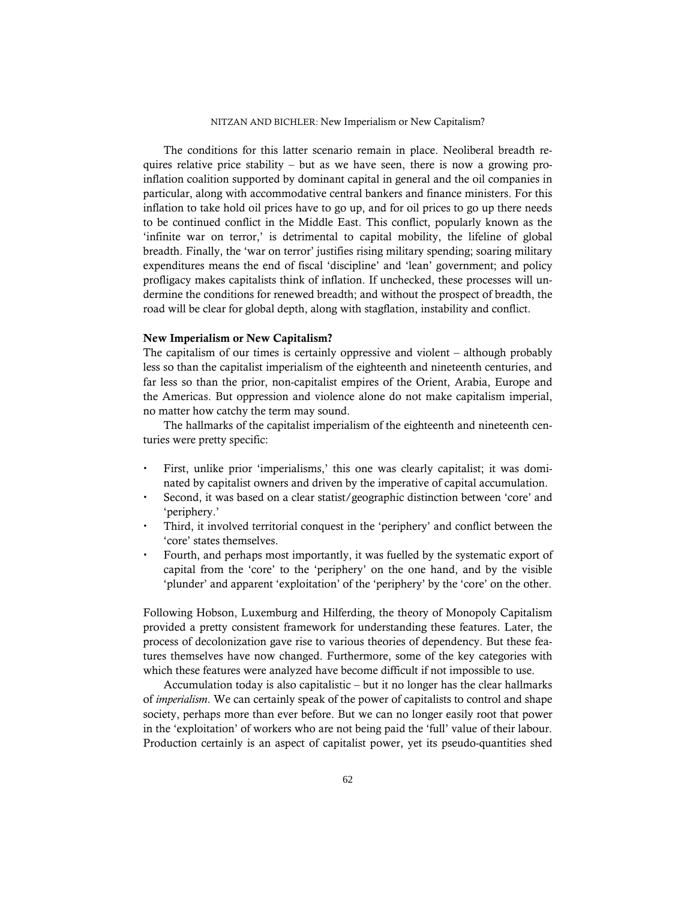The conditions for this latter scenario remain in place. Neoliberal breadth requires relative price stability – but as we have seen, there is now a growing proinflation coalition supported by dominant capital in general and the oil companies in particular, along with accommodative central bankers and finance ministers. For this inflation to take hold oil prices have to go up, and for oil prices to go up there needs to be continued conflict in the Middle East. This conflict, popularly known as the 'infinite war on terror,' is detrimental to capital mobility, the lifeline of global breadth. Finally, the 'war on terror' justifies rising military spending; soaring military expenditures means the end of fiscal 'discipline' and 'lean' government; and policy profligacy makes capitalists think of inflation. If unchecked, these processes will undermine the conditions for renewed breadth; and without the prospect of breadth, the road will be clear for global depth, along with stagflation, instability and conflict.

# New Imperialism or New Capitalism?

The capitalism of our times is certainly oppressive and violent – although probably less so than the capitalist imperialism of the eighteenth and nineteenth centuries, and far less so than the prior, non-capitalist empires of the Orient, Arabia, Europe and the Americas. But oppression and violence alone do not make capitalism imperial, no matter how catchy the term may sound.

The hallmarks of the capitalist imperialism of the eighteenth and nineteenth centuries were pretty specific:

- First, unlike prior 'imperialisms,' this one was clearly capitalist; it was dominated by capitalist owners and driven by the imperative of capital accumulation.
- Second, it was based on a clear statist/geographic distinction between 'core' and 'periphery.'
- Third, it involved territorial conquest in the 'periphery' and conflict between the 'core' states themselves.
- x Fourth, and perhaps most importantly, it was fuelled by the systematic export of capital from the 'core' to the 'periphery' on the one hand, and by the visible 'plunder' and apparent 'exploitation' of the 'periphery' by the 'core' on the other.

Following Hobson, Luxemburg and Hilferding, the theory of Monopoly Capitalism provided a pretty consistent framework for understanding these features. Later, the process of decolonization gave rise to various theories of dependency. But these features themselves have now changed. Furthermore, some of the key categories with which these features were analyzed have become difficult if not impossible to use.

Accumulation today is also capitalistic – but it no longer has the clear hallmarks of *imperialism*. We can certainly speak of the power of capitalists to control and shape society, perhaps more than ever before. But we can no longer easily root that power in the 'exploitation' of workers who are not being paid the 'full' value of their labour. Production certainly is an aspect of capitalist power, yet its pseudo-quantities shed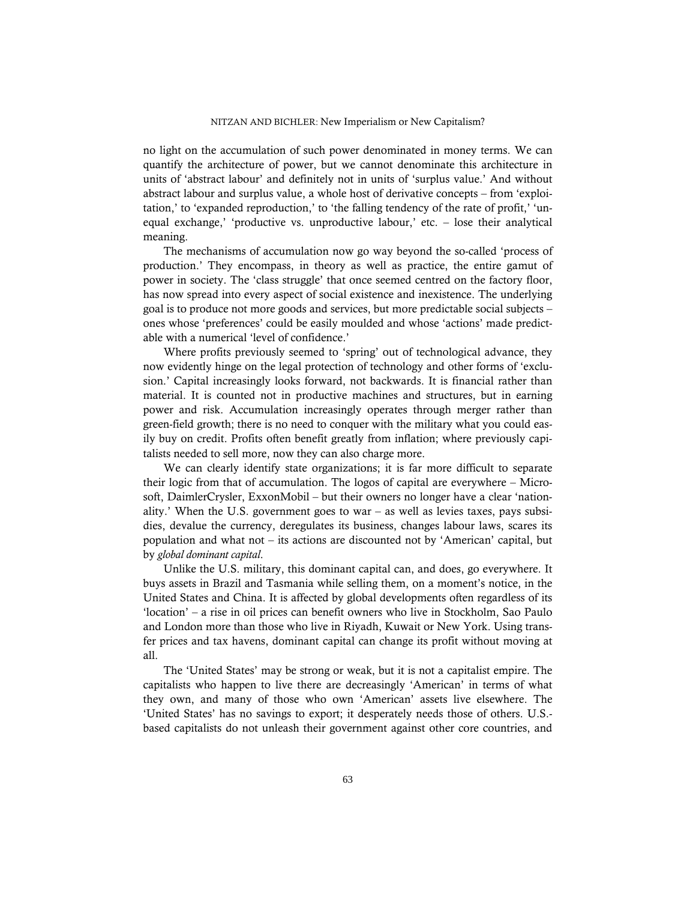no light on the accumulation of such power denominated in money terms. We can quantify the architecture of power, but we cannot denominate this architecture in units of 'abstract labour' and definitely not in units of 'surplus value.' And without abstract labour and surplus value, a whole host of derivative concepts – from 'exploitation,' to 'expanded reproduction,' to 'the falling tendency of the rate of profit,' 'unequal exchange,' 'productive vs. unproductive labour,' etc. – lose their analytical meaning.

The mechanisms of accumulation now go way beyond the so-called 'process of production.' They encompass, in theory as well as practice, the entire gamut of power in society. The 'class struggle' that once seemed centred on the factory floor, has now spread into every aspect of social existence and inexistence. The underlying goal is to produce not more goods and services, but more predictable social subjects – ones whose 'preferences' could be easily moulded and whose 'actions' made predictable with a numerical 'level of confidence.'

Where profits previously seemed to 'spring' out of technological advance, they now evidently hinge on the legal protection of technology and other forms of 'exclusion.' Capital increasingly looks forward, not backwards. It is financial rather than material. It is counted not in productive machines and structures, but in earning power and risk. Accumulation increasingly operates through merger rather than green-field growth; there is no need to conquer with the military what you could easily buy on credit. Profits often benefit greatly from inflation; where previously capitalists needed to sell more, now they can also charge more.

We can clearly identify state organizations; it is far more difficult to separate their logic from that of accumulation. The logos of capital are everywhere – Microsoft, DaimlerCrysler, ExxonMobil – but their owners no longer have a clear 'nationality.' When the U.S. government goes to war  $-$  as well as levies taxes, pays subsidies, devalue the currency, deregulates its business, changes labour laws, scares its population and what not – its actions are discounted not by 'American' capital, but by *global dominant capital*.

Unlike the U.S. military, this dominant capital can, and does, go everywhere. It buys assets in Brazil and Tasmania while selling them, on a moment's notice, in the United States and China. It is affected by global developments often regardless of its 'location' – a rise in oil prices can benefit owners who live in Stockholm, Sao Paulo and London more than those who live in Riyadh, Kuwait or New York. Using transfer prices and tax havens, dominant capital can change its profit without moving at all.

The 'United States' may be strong or weak, but it is not a capitalist empire. The capitalists who happen to live there are decreasingly 'American' in terms of what they own, and many of those who own 'American' assets live elsewhere. The 'United States' has no savings to export; it desperately needs those of others. U.S. based capitalists do not unleash their government against other core countries, and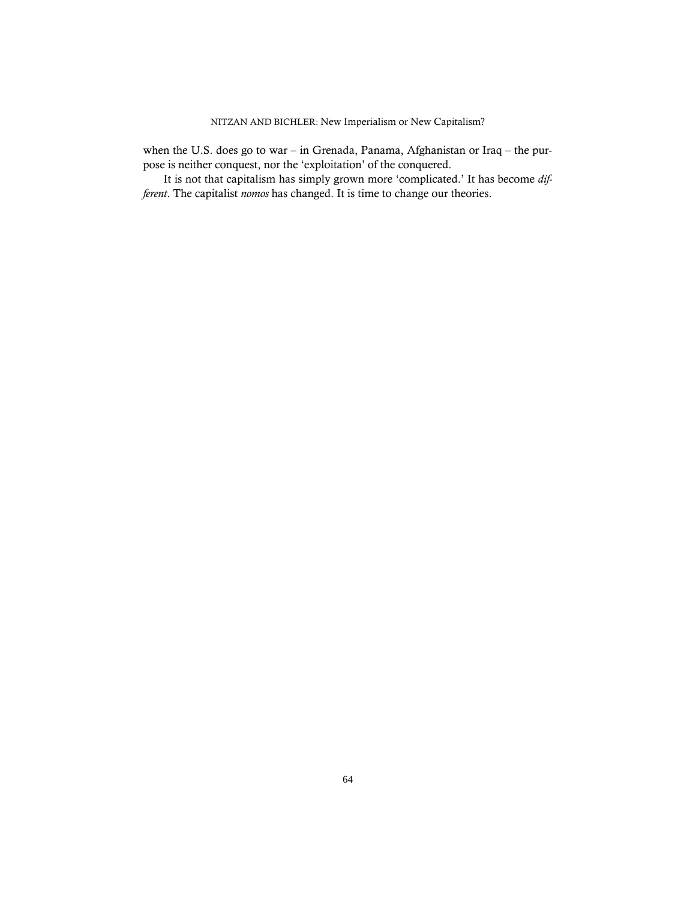when the U.S. does go to war – in Grenada, Panama, Afghanistan or Iraq – the purpose is neither conquest, nor the 'exploitation' of the conquered.

It is not that capitalism has simply grown more 'complicated.' It has become *different*. The capitalist *nomos* has changed. It is time to change our theories.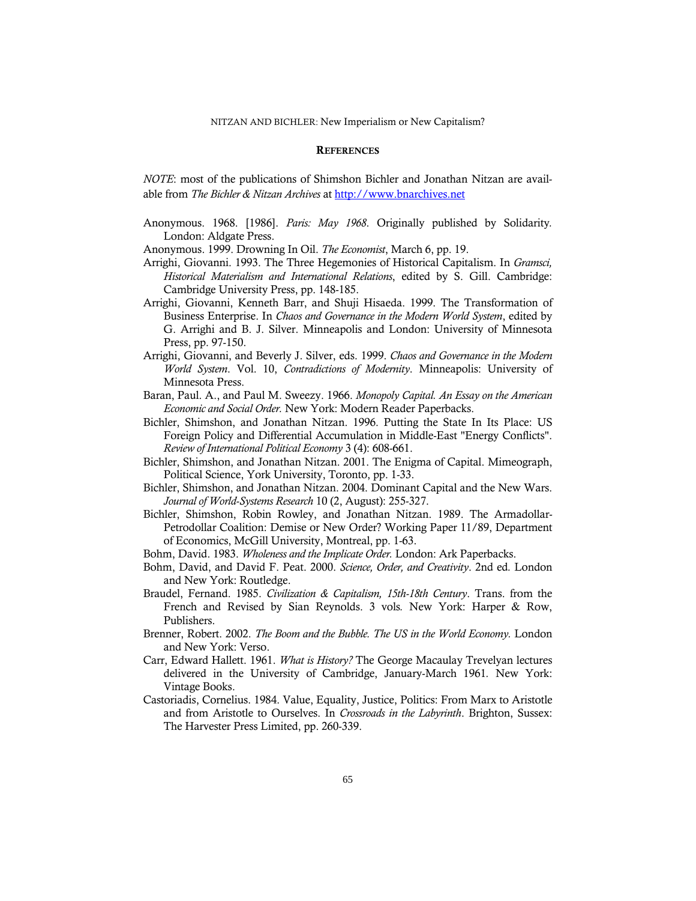# **REFERENCES**

*NOTE*: most of the publications of Shimshon Bichler and Jonathan Nitzan are available from *The Bichler & Nitzan Archives* at [http://www.bnarchives.net](http://www.bnarchives.net/)

- Anonymous. 1968. [1986]. *Paris: May 1968*. Originally published by Solidarity*.* London: Aldgate Press.
- Anonymous. 1999. Drowning In Oil. *The Economist*, March 6, pp. 19.
- Arrighi, Giovanni. 1993. The Three Hegemonies of Historical Capitalism. In *Gramsci, Historical Materialism and International Relations*, edited by S. Gill. Cambridge: Cambridge University Press, pp. 148-185.
- Arrighi, Giovanni, Kenneth Barr, and Shuji Hisaeda. 1999. The Transformation of Business Enterprise. In *Chaos and Governance in the Modern World System*, edited by G. Arrighi and B. J. Silver. Minneapolis and London: University of Minnesota Press, pp. 97-150.
- Arrighi, Giovanni, and Beverly J. Silver, eds. 1999. *Chaos and Governance in the Modern World System*. Vol. 10, *Contradictions of Modernity*. Minneapolis: University of Minnesota Press.
- Baran, Paul. A., and Paul M. Sweezy. 1966. *Monopoly Capital. An Essay on the American Economic and Social Order.* New York: Modern Reader Paperbacks.
- Bichler, Shimshon, and Jonathan Nitzan. 1996. Putting the State In Its Place: US Foreign Policy and Differential Accumulation in Middle-East "Energy Conflicts". *Review of International Political Economy* 3 (4): 608-661.
- Bichler, Shimshon, and Jonathan Nitzan. 2001. The Enigma of Capital. Mimeograph, Political Science, York University, Toronto, pp. 1-33.
- Bichler, Shimshon, and Jonathan Nitzan. 2004. Dominant Capital and the New Wars. *Journal of World-Systems Research* 10 (2, August): 255-327.
- Bichler, Shimshon, Robin Rowley, and Jonathan Nitzan. 1989. The Armadollar-Petrodollar Coalition: Demise or New Order? Working Paper 11/89, Department of Economics, McGill University, Montreal, pp. 1-63.
- Bohm, David. 1983. *Wholeness and the Implicate Order.* London: Ark Paperbacks.
- Bohm, David, and David F. Peat. 2000. *Science, Order, and Creativity*. 2nd ed*.* London and New York: Routledge.
- Braudel, Fernand. 1985. *Civilization & Capitalism, 15th-18th Century*. Trans. from the French and Revised by Sian Reynolds. 3 vols*.* New York: Harper & Row, Publishers.
- Brenner, Robert. 2002. *The Boom and the Bubble. The US in the World Economy.* London and New York: Verso.
- Carr, Edward Hallett. 1961. *What is History?* The George Macaulay Trevelyan lectures delivered in the University of Cambridge, January-March 1961*.* New York: Vintage Books.
- Castoriadis, Cornelius. 1984. Value, Equality, Justice, Politics: From Marx to Aristotle and from Aristotle to Ourselves. In *Crossroads in the Labyrinth*. Brighton, Sussex: The Harvester Press Limited, pp. 260-339.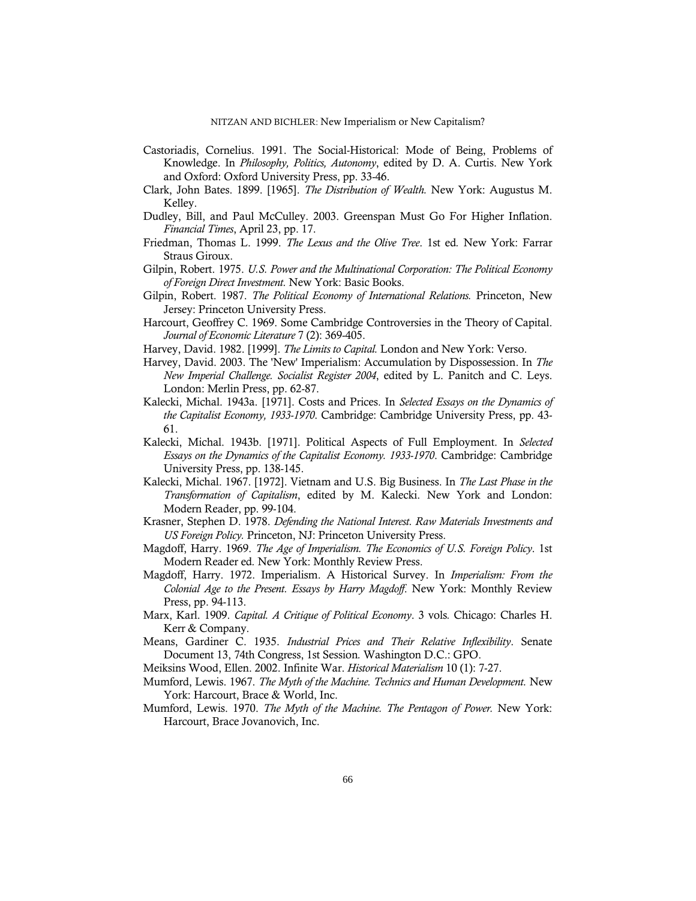- Castoriadis, Cornelius. 1991. The Social-Historical: Mode of Being, Problems of Knowledge. In *Philosophy, Politics, Autonomy*, edited by D. A. Curtis. New York and Oxford: Oxford University Press, pp. 33-46.
- Clark, John Bates. 1899. [1965]. *The Distribution of Wealth.* New York: Augustus M. Kelley.
- Dudley, Bill, and Paul McCulley. 2003. Greenspan Must Go For Higher Inflation. *Financial Times*, April 23, pp. 17.
- Friedman, Thomas L. 1999. *The Lexus and the Olive Tree*. 1st ed*.* New York: Farrar Straus Giroux.
- Gilpin, Robert. 1975. *U.S. Power and the Multinational Corporation: The Political Economy of Foreign Direct Investment.* New York: Basic Books.
- Gilpin, Robert. 1987. *The Political Economy of International Relations.* Princeton, New Jersey: Princeton University Press.
- Harcourt, Geoffrey C. 1969. Some Cambridge Controversies in the Theory of Capital. *Journal of Economic Literature* 7 (2): 369-405.
- Harvey, David. 1982. [1999]. *The Limits to Capital.* London and New York: Verso.
- Harvey, David. 2003. The 'New' Imperialism: Accumulation by Dispossession. In *The New Imperial Challenge. Socialist Register 2004*, edited by L. Panitch and C. Leys. London: Merlin Press, pp. 62-87.
- Kalecki, Michal. 1943a. [1971]. Costs and Prices. In *Selected Essays on the Dynamics of the Capitalist Economy, 1933-1970*. Cambridge: Cambridge University Press, pp. 43- 61.
- Kalecki, Michal. 1943b. [1971]. Political Aspects of Full Employment. In *Selected Essays on the Dynamics of the Capitalist Economy. 1933-1970*. Cambridge: Cambridge University Press, pp. 138-145.
- Kalecki, Michal. 1967. [1972]. Vietnam and U.S. Big Business. In *The Last Phase in the Transformation of Capitalism*, edited by M. Kalecki. New York and London: Modern Reader, pp. 99-104.
- Krasner, Stephen D. 1978. *Defending the National Interest. Raw Materials Investments and US Foreign Policy.* Princeton, NJ: Princeton University Press.
- Magdoff, Harry. 1969. *The Age of Imperialism. The Economics of U.S. Foreign Policy*. 1st Modern Reader ed*.* New York: Monthly Review Press.
- Magdoff, Harry. 1972. Imperialism. A Historical Survey. In *Imperialism: From the Colonial Age to the Present. Essays by Harry Magdoff*. New York: Monthly Review Press, pp. 94-113.
- Marx, Karl. 1909. *Capital. A Critique of Political Economy*. 3 vols*.* Chicago: Charles H. Kerr & Company.
- Means, Gardiner C. 1935. *Industrial Prices and Their Relative Inflexibility*. Senate Document 13, 74th Congress, 1st Session*.* Washington D.C.: GPO.
- Meiksins Wood, Ellen. 2002. Infinite War. *Historical Materialism* 10 (1): 7-27.
- Mumford, Lewis. 1967. *The Myth of the Machine. Technics and Human Development.* New York: Harcourt, Brace & World, Inc.
- Mumford, Lewis. 1970. *The Myth of the Machine. The Pentagon of Power.* New York: Harcourt, Brace Jovanovich, Inc.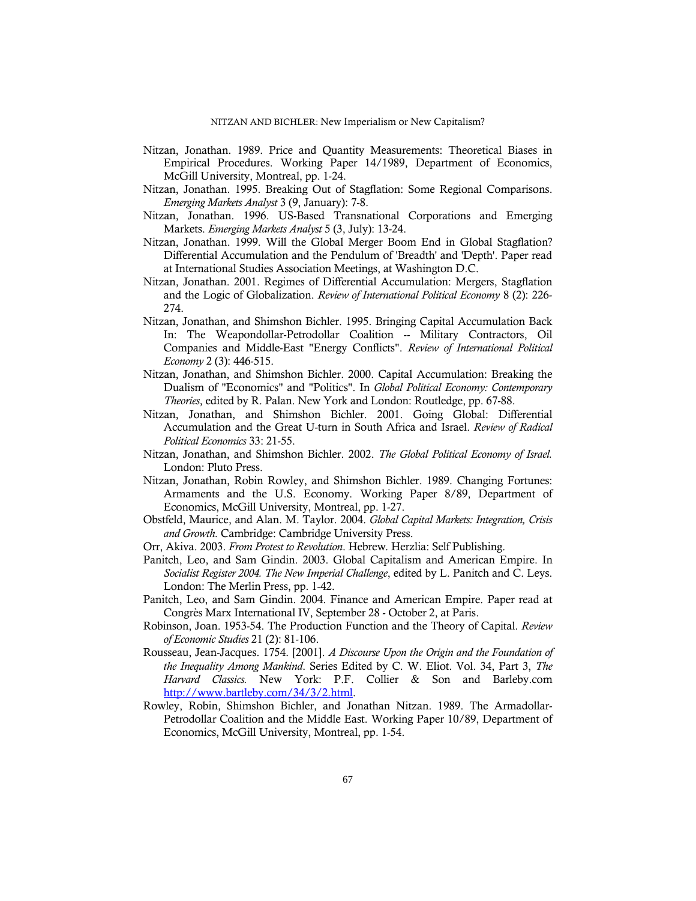- Nitzan, Jonathan. 1989. Price and Quantity Measurements: Theoretical Biases in Empirical Procedures. Working Paper 14/1989, Department of Economics, McGill University, Montreal, pp. 1-24.
- Nitzan, Jonathan. 1995. Breaking Out of Stagflation: Some Regional Comparisons. *Emerging Markets Analyst* 3 (9, January): 7-8.
- Nitzan, Jonathan. 1996. US-Based Transnational Corporations and Emerging Markets. *Emerging Markets Analyst* 5 (3, July): 13-24.
- Nitzan, Jonathan. 1999. Will the Global Merger Boom End in Global Stagflation? Differential Accumulation and the Pendulum of 'Breadth' and 'Depth'. Paper read at International Studies Association Meetings, at Washington D.C.
- Nitzan, Jonathan. 2001. Regimes of Differential Accumulation: Mergers, Stagflation and the Logic of Globalization. *Review of International Political Economy* 8 (2): 226- 274.
- Nitzan, Jonathan, and Shimshon Bichler. 1995. Bringing Capital Accumulation Back In: The Weapondollar-Petrodollar Coalition -- Military Contractors, Oil Companies and Middle-East "Energy Conflicts". *Review of International Political Economy* 2 (3): 446-515.
- Nitzan, Jonathan, and Shimshon Bichler. 2000. Capital Accumulation: Breaking the Dualism of "Economics" and "Politics". In *Global Political Economy: Contemporary Theories*, edited by R. Palan. New York and London: Routledge, pp. 67-88.
- Nitzan, Jonathan, and Shimshon Bichler. 2001. Going Global: Differential Accumulation and the Great U-turn in South Africa and Israel. *Review of Radical Political Economics* 33: 21-55.
- Nitzan, Jonathan, and Shimshon Bichler. 2002. *The Global Political Economy of Israel.* London: Pluto Press.
- Nitzan, Jonathan, Robin Rowley, and Shimshon Bichler. 1989. Changing Fortunes: Armaments and the U.S. Economy. Working Paper 8/89, Department of Economics, McGill University, Montreal, pp. 1-27.
- Obstfeld, Maurice, and Alan. M. Taylor. 2004. *Global Capital Markets: Integration, Crisis and Growth.* Cambridge: Cambridge University Press.
- Orr, Akiva. 2003. *From Protest to Revolution*. Hebrew*.* Herzlia: Self Publishing.
- Panitch, Leo, and Sam Gindin. 2003. Global Capitalism and American Empire. In *Socialist Register 2004. The New Imperial Challenge*, edited by L. Panitch and C. Leys. London: The Merlin Press, pp. 1-42.
- Panitch, Leo, and Sam Gindin. 2004. Finance and American Empire. Paper read at Congrès Marx International IV, September 28 - October 2, at Paris.
- Robinson, Joan. 1953-54. The Production Function and the Theory of Capital. *Review of Economic Studies* 21 (2): 81-106.
- Rousseau, Jean-Jacques. 1754. [2001]. *A Discourse Upon the Origin and the Foundation of the Inequality Among Mankind*. Series Edited by C. W. Eliot. Vol. 34, Part 3, *The Harvard Classics.* New York: P.F. Collier & Son and Barleby.com <http://www.bartleby.com/34/3/2.html>.
- Rowley, Robin, Shimshon Bichler, and Jonathan Nitzan. 1989. The Armadollar-Petrodollar Coalition and the Middle East. Working Paper 10/89, Department of Economics, McGill University, Montreal, pp. 1-54.